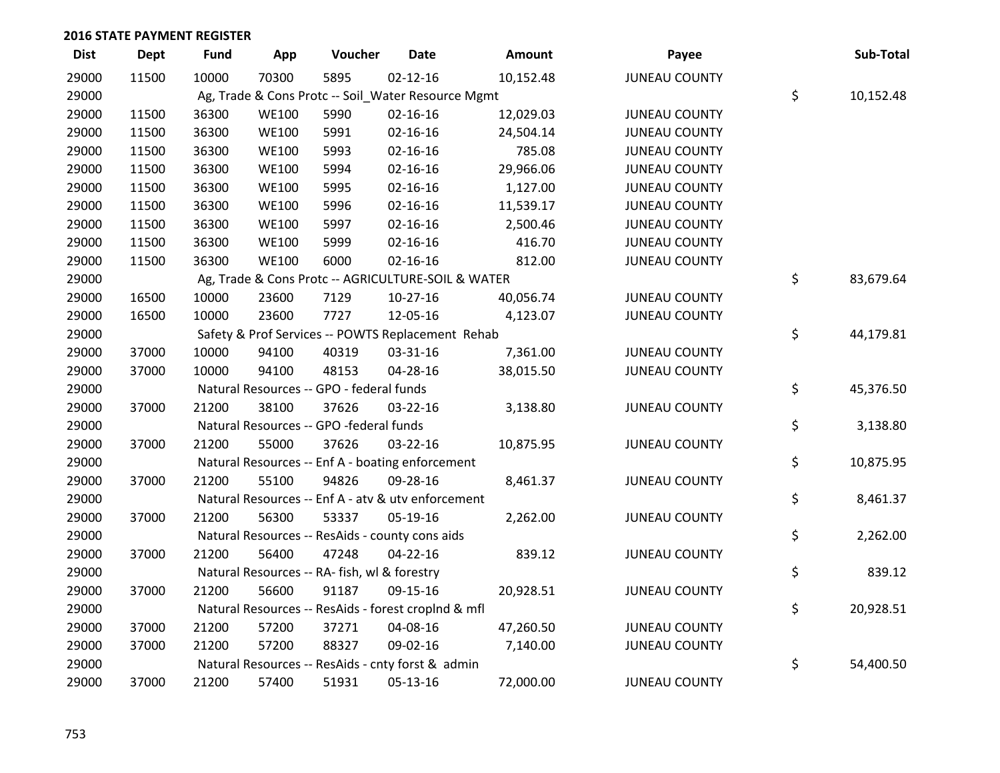| <b>Dist</b> | <b>Dept</b> | <b>Fund</b> | App          | Voucher                                             | <b>Date</b>    | Amount    | Payee                | Sub-Total       |
|-------------|-------------|-------------|--------------|-----------------------------------------------------|----------------|-----------|----------------------|-----------------|
| 29000       | 11500       | 10000       | 70300        | 5895                                                | $02 - 12 - 16$ | 10,152.48 | <b>JUNEAU COUNTY</b> |                 |
| 29000       |             |             |              | Ag, Trade & Cons Protc -- Soil_Water Resource Mgmt  |                |           |                      | \$<br>10,152.48 |
| 29000       | 11500       | 36300       | <b>WE100</b> | 5990                                                | $02 - 16 - 16$ | 12,029.03 | <b>JUNEAU COUNTY</b> |                 |
| 29000       | 11500       | 36300       | <b>WE100</b> | 5991                                                | $02 - 16 - 16$ | 24,504.14 | <b>JUNEAU COUNTY</b> |                 |
| 29000       | 11500       | 36300       | <b>WE100</b> | 5993                                                | $02 - 16 - 16$ | 785.08    | <b>JUNEAU COUNTY</b> |                 |
| 29000       | 11500       | 36300       | <b>WE100</b> | 5994                                                | $02 - 16 - 16$ | 29,966.06 | <b>JUNEAU COUNTY</b> |                 |
| 29000       | 11500       | 36300       | <b>WE100</b> | 5995                                                | $02 - 16 - 16$ | 1,127.00  | <b>JUNEAU COUNTY</b> |                 |
| 29000       | 11500       | 36300       | <b>WE100</b> | 5996                                                | $02 - 16 - 16$ | 11,539.17 | <b>JUNEAU COUNTY</b> |                 |
| 29000       | 11500       | 36300       | <b>WE100</b> | 5997                                                | 02-16-16       | 2,500.46  | <b>JUNEAU COUNTY</b> |                 |
| 29000       | 11500       | 36300       | <b>WE100</b> | 5999                                                | 02-16-16       | 416.70    | <b>JUNEAU COUNTY</b> |                 |
| 29000       | 11500       | 36300       | <b>WE100</b> | 6000                                                | $02 - 16 - 16$ | 812.00    | <b>JUNEAU COUNTY</b> |                 |
| 29000       |             |             |              | Ag, Trade & Cons Protc -- AGRICULTURE-SOIL & WATER  |                |           |                      | \$<br>83,679.64 |
| 29000       | 16500       | 10000       | 23600        | 7129                                                | $10-27-16$     | 40,056.74 | <b>JUNEAU COUNTY</b> |                 |
| 29000       | 16500       | 10000       | 23600        | 7727                                                | 12-05-16       | 4,123.07  | <b>JUNEAU COUNTY</b> |                 |
| 29000       |             |             |              | Safety & Prof Services -- POWTS Replacement Rehab   |                |           |                      | \$<br>44,179.81 |
| 29000       | 37000       | 10000       | 94100        | 40319                                               | 03-31-16       | 7,361.00  | <b>JUNEAU COUNTY</b> |                 |
| 29000       | 37000       | 10000       | 94100        | 48153                                               | 04-28-16       | 38,015.50 | <b>JUNEAU COUNTY</b> |                 |
| 29000       |             |             |              | Natural Resources -- GPO - federal funds            |                |           |                      | \$<br>45,376.50 |
| 29000       | 37000       | 21200       | 38100        | 37626                                               | 03-22-16       | 3,138.80  | <b>JUNEAU COUNTY</b> |                 |
| 29000       |             |             |              | Natural Resources -- GPO -federal funds             |                |           |                      | \$<br>3,138.80  |
| 29000       | 37000       | 21200       | 55000        | 37626                                               | 03-22-16       | 10,875.95 | <b>JUNEAU COUNTY</b> |                 |
| 29000       |             |             |              | Natural Resources -- Enf A - boating enforcement    |                |           |                      | \$<br>10,875.95 |
| 29000       | 37000       | 21200       | 55100        | 94826                                               | 09-28-16       | 8,461.37  | <b>JUNEAU COUNTY</b> |                 |
| 29000       |             |             |              | Natural Resources -- Enf A - atv & utv enforcement  |                |           |                      | \$<br>8,461.37  |
| 29000       | 37000       | 21200       | 56300        | 53337                                               | 05-19-16       | 2,262.00  | <b>JUNEAU COUNTY</b> |                 |
| 29000       |             |             |              | Natural Resources -- ResAids - county cons aids     |                |           |                      | \$<br>2,262.00  |
| 29000       | 37000       | 21200       | 56400        | 47248                                               | 04-22-16       | 839.12    | <b>JUNEAU COUNTY</b> |                 |
| 29000       |             |             |              | Natural Resources -- RA- fish, wl & forestry        |                |           |                      | \$<br>839.12    |
| 29000       | 37000       | 21200       | 56600        | 91187                                               | 09-15-16       | 20,928.51 | <b>JUNEAU COUNTY</b> |                 |
| 29000       |             |             |              | Natural Resources -- ResAids - forest croplnd & mfl |                |           |                      | \$<br>20,928.51 |
| 29000       | 37000       | 21200       | 57200        | 37271                                               | 04-08-16       | 47,260.50 | <b>JUNEAU COUNTY</b> |                 |
| 29000       | 37000       | 21200       | 57200        | 88327                                               | 09-02-16       | 7,140.00  | <b>JUNEAU COUNTY</b> |                 |
| 29000       |             |             |              | Natural Resources -- ResAids - cnty forst & admin   |                |           |                      | \$<br>54,400.50 |
| 29000       | 37000       | 21200       | 57400        | 51931                                               | 05-13-16       | 72,000.00 | <b>JUNEAU COUNTY</b> |                 |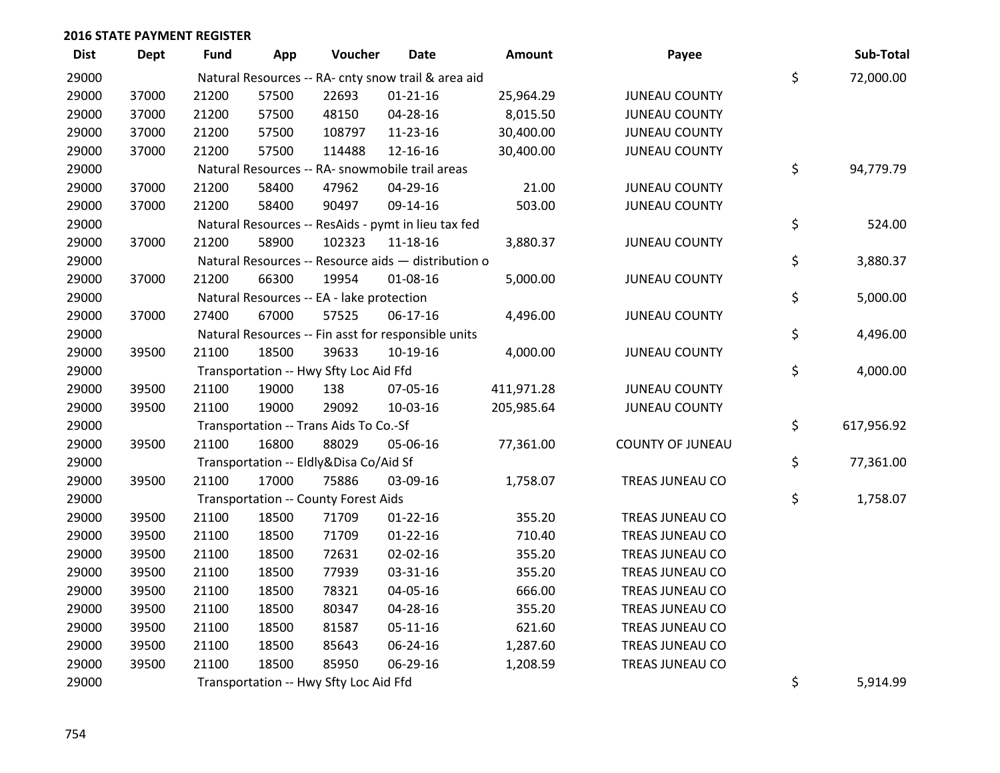| <b>Dist</b> | <b>Dept</b> | Fund  | App   | Voucher                                             | Date           | Amount     | Payee                   | Sub-Total        |
|-------------|-------------|-------|-------|-----------------------------------------------------|----------------|------------|-------------------------|------------------|
| 29000       |             |       |       | Natural Resources -- RA- cnty snow trail & area aid |                |            |                         | \$<br>72,000.00  |
| 29000       | 37000       | 21200 | 57500 | 22693                                               | $01 - 21 - 16$ | 25,964.29  | <b>JUNEAU COUNTY</b>    |                  |
| 29000       | 37000       | 21200 | 57500 | 48150                                               | 04-28-16       | 8,015.50   | <b>JUNEAU COUNTY</b>    |                  |
| 29000       | 37000       | 21200 | 57500 | 108797                                              | 11-23-16       | 30,400.00  | <b>JUNEAU COUNTY</b>    |                  |
| 29000       | 37000       | 21200 | 57500 | 114488                                              | 12-16-16       | 30,400.00  | <b>JUNEAU COUNTY</b>    |                  |
| 29000       |             |       |       | Natural Resources -- RA- snowmobile trail areas     |                |            |                         | \$<br>94,779.79  |
| 29000       | 37000       | 21200 | 58400 | 47962                                               | 04-29-16       | 21.00      | <b>JUNEAU COUNTY</b>    |                  |
| 29000       | 37000       | 21200 | 58400 | 90497                                               | 09-14-16       | 503.00     | <b>JUNEAU COUNTY</b>    |                  |
| 29000       |             |       |       | Natural Resources -- ResAids - pymt in lieu tax fed |                |            |                         | \$<br>524.00     |
| 29000       | 37000       | 21200 | 58900 | 102323                                              | 11-18-16       | 3,880.37   | <b>JUNEAU COUNTY</b>    |                  |
| 29000       |             |       |       | Natural Resources -- Resource aids - distribution o |                |            |                         | \$<br>3,880.37   |
| 29000       | 37000       | 21200 | 66300 | 19954                                               | 01-08-16       | 5,000.00   | <b>JUNEAU COUNTY</b>    |                  |
| 29000       |             |       |       | Natural Resources -- EA - lake protection           |                |            |                         | \$<br>5,000.00   |
| 29000       | 37000       | 27400 | 67000 | 57525                                               | $06-17-16$     | 4,496.00   | <b>JUNEAU COUNTY</b>    |                  |
| 29000       |             |       |       | Natural Resources -- Fin asst for responsible units |                |            |                         | \$<br>4,496.00   |
| 29000       | 39500       | 21100 | 18500 | 39633                                               | 10-19-16       | 4,000.00   | <b>JUNEAU COUNTY</b>    |                  |
| 29000       |             |       |       | Transportation -- Hwy Sfty Loc Aid Ffd              |                |            |                         | \$<br>4,000.00   |
| 29000       | 39500       | 21100 | 19000 | 138                                                 | 07-05-16       | 411,971.28 | <b>JUNEAU COUNTY</b>    |                  |
| 29000       | 39500       | 21100 | 19000 | 29092                                               | 10-03-16       | 205,985.64 | <b>JUNEAU COUNTY</b>    |                  |
| 29000       |             |       |       | Transportation -- Trans Aids To Co.-Sf              |                |            |                         | \$<br>617,956.92 |
| 29000       | 39500       | 21100 | 16800 | 88029                                               | 05-06-16       | 77,361.00  | <b>COUNTY OF JUNEAU</b> |                  |
| 29000       |             |       |       | Transportation -- Eldly&Disa Co/Aid Sf              |                |            |                         | \$<br>77,361.00  |
| 29000       | 39500       | 21100 | 17000 | 75886                                               | 03-09-16       | 1,758.07   | TREAS JUNEAU CO         |                  |
| 29000       |             |       |       | Transportation -- County Forest Aids                |                |            |                         | \$<br>1,758.07   |
| 29000       | 39500       | 21100 | 18500 | 71709                                               | $01 - 22 - 16$ | 355.20     | TREAS JUNEAU CO         |                  |
| 29000       | 39500       | 21100 | 18500 | 71709                                               | $01 - 22 - 16$ | 710.40     | TREAS JUNEAU CO         |                  |
| 29000       | 39500       | 21100 | 18500 | 72631                                               | 02-02-16       | 355.20     | TREAS JUNEAU CO         |                  |
| 29000       | 39500       | 21100 | 18500 | 77939                                               | 03-31-16       | 355.20     | TREAS JUNEAU CO         |                  |
| 29000       | 39500       | 21100 | 18500 | 78321                                               | 04-05-16       | 666.00     | TREAS JUNEAU CO         |                  |
| 29000       | 39500       | 21100 | 18500 | 80347                                               | $04 - 28 - 16$ | 355.20     | TREAS JUNEAU CO         |                  |
| 29000       | 39500       | 21100 | 18500 | 81587                                               | 05-11-16       | 621.60     | TREAS JUNEAU CO         |                  |
| 29000       | 39500       | 21100 | 18500 | 85643                                               | 06-24-16       | 1,287.60   | TREAS JUNEAU CO         |                  |
| 29000       | 39500       | 21100 | 18500 | 85950                                               | 06-29-16       | 1,208.59   | TREAS JUNEAU CO         |                  |
| 29000       |             |       |       | Transportation -- Hwy Sfty Loc Aid Ffd              |                |            |                         | \$<br>5,914.99   |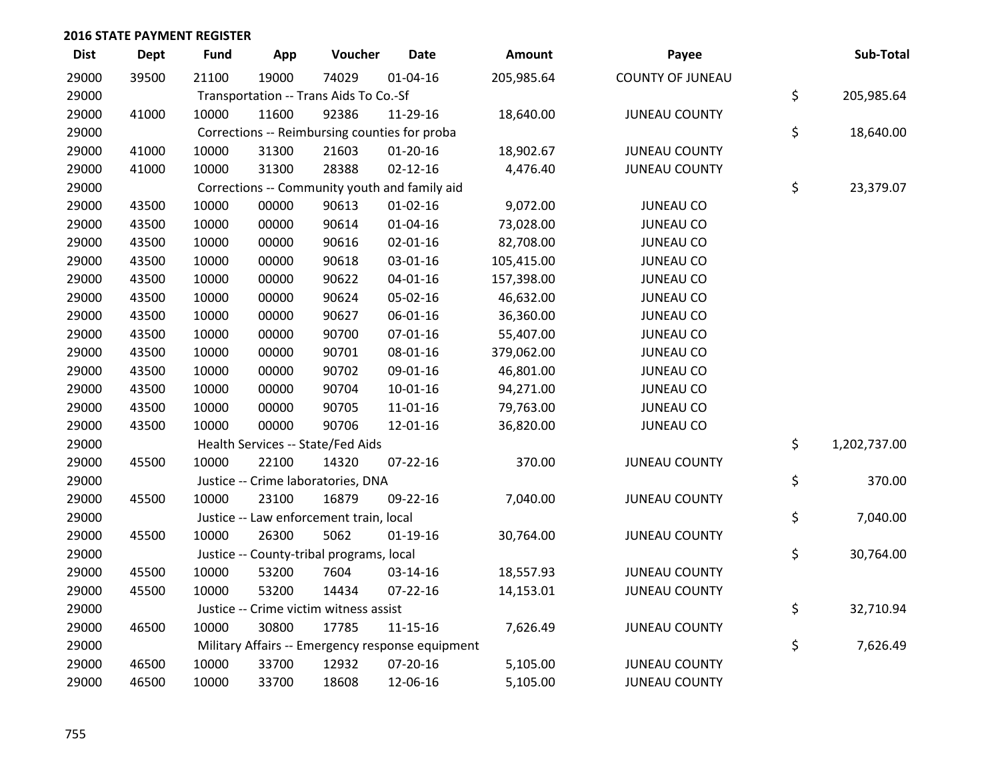| <b>Dist</b> | <b>Dept</b> | Fund  | App   | Voucher                                          | <b>Date</b>    | Amount     | Payee                   | Sub-Total          |
|-------------|-------------|-------|-------|--------------------------------------------------|----------------|------------|-------------------------|--------------------|
| 29000       | 39500       | 21100 | 19000 | 74029                                            | $01 - 04 - 16$ | 205,985.64 | <b>COUNTY OF JUNEAU</b> |                    |
| 29000       |             |       |       | Transportation -- Trans Aids To Co.-Sf           |                |            |                         | \$<br>205,985.64   |
| 29000       | 41000       | 10000 | 11600 | 92386                                            | 11-29-16       | 18,640.00  | <b>JUNEAU COUNTY</b>    |                    |
| 29000       |             |       |       | Corrections -- Reimbursing counties for proba    |                |            |                         | \$<br>18,640.00    |
| 29000       | 41000       | 10000 | 31300 | 21603                                            | $01 - 20 - 16$ | 18,902.67  | <b>JUNEAU COUNTY</b>    |                    |
| 29000       | 41000       | 10000 | 31300 | 28388                                            | $02 - 12 - 16$ | 4,476.40   | <b>JUNEAU COUNTY</b>    |                    |
| 29000       |             |       |       | Corrections -- Community youth and family aid    |                |            |                         | \$<br>23,379.07    |
| 29000       | 43500       | 10000 | 00000 | 90613                                            | $01 - 02 - 16$ | 9,072.00   | <b>JUNEAU CO</b>        |                    |
| 29000       | 43500       | 10000 | 00000 | 90614                                            | $01 - 04 - 16$ | 73,028.00  | <b>JUNEAU CO</b>        |                    |
| 29000       | 43500       | 10000 | 00000 | 90616                                            | 02-01-16       | 82,708.00  | <b>JUNEAU CO</b>        |                    |
| 29000       | 43500       | 10000 | 00000 | 90618                                            | 03-01-16       | 105,415.00 | <b>JUNEAU CO</b>        |                    |
| 29000       | 43500       | 10000 | 00000 | 90622                                            | $04 - 01 - 16$ | 157,398.00 | <b>JUNEAU CO</b>        |                    |
| 29000       | 43500       | 10000 | 00000 | 90624                                            | 05-02-16       | 46,632.00  | <b>JUNEAU CO</b>        |                    |
| 29000       | 43500       | 10000 | 00000 | 90627                                            | 06-01-16       | 36,360.00  | <b>JUNEAU CO</b>        |                    |
| 29000       | 43500       | 10000 | 00000 | 90700                                            | $07 - 01 - 16$ | 55,407.00  | <b>JUNEAU CO</b>        |                    |
| 29000       | 43500       | 10000 | 00000 | 90701                                            | 08-01-16       | 379,062.00 | <b>JUNEAU CO</b>        |                    |
| 29000       | 43500       | 10000 | 00000 | 90702                                            | 09-01-16       | 46,801.00  | <b>JUNEAU CO</b>        |                    |
| 29000       | 43500       | 10000 | 00000 | 90704                                            | $10-01-16$     | 94,271.00  | <b>JUNEAU CO</b>        |                    |
| 29000       | 43500       | 10000 | 00000 | 90705                                            | 11-01-16       | 79,763.00  | <b>JUNEAU CO</b>        |                    |
| 29000       | 43500       | 10000 | 00000 | 90706                                            | 12-01-16       | 36,820.00  | <b>JUNEAU CO</b>        |                    |
| 29000       |             |       |       | Health Services -- State/Fed Aids                |                |            |                         | \$<br>1,202,737.00 |
| 29000       | 45500       | 10000 | 22100 | 14320                                            | $07 - 22 - 16$ | 370.00     | <b>JUNEAU COUNTY</b>    |                    |
| 29000       |             |       |       | Justice -- Crime laboratories, DNA               |                |            |                         | \$<br>370.00       |
| 29000       | 45500       | 10000 | 23100 | 16879                                            | 09-22-16       | 7,040.00   | <b>JUNEAU COUNTY</b>    |                    |
| 29000       |             |       |       | Justice -- Law enforcement train, local          |                |            |                         | \$<br>7,040.00     |
| 29000       | 45500       | 10000 | 26300 | 5062                                             | $01-19-16$     | 30,764.00  | <b>JUNEAU COUNTY</b>    |                    |
| 29000       |             |       |       | Justice -- County-tribal programs, local         |                |            |                         | \$<br>30,764.00    |
| 29000       | 45500       | 10000 | 53200 | 7604                                             | 03-14-16       | 18,557.93  | <b>JUNEAU COUNTY</b>    |                    |
| 29000       | 45500       | 10000 | 53200 | 14434                                            | $07 - 22 - 16$ | 14,153.01  | <b>JUNEAU COUNTY</b>    |                    |
| 29000       |             |       |       | Justice -- Crime victim witness assist           |                |            |                         | \$<br>32,710.94    |
| 29000       | 46500       | 10000 | 30800 | 17785                                            | 11-15-16       | 7,626.49   | <b>JUNEAU COUNTY</b>    |                    |
| 29000       |             |       |       | Military Affairs -- Emergency response equipment |                |            |                         | \$<br>7,626.49     |
| 29000       | 46500       | 10000 | 33700 | 12932                                            | $07 - 20 - 16$ | 5,105.00   | <b>JUNEAU COUNTY</b>    |                    |
| 29000       | 46500       | 10000 | 33700 | 18608                                            | 12-06-16       | 5,105.00   | <b>JUNEAU COUNTY</b>    |                    |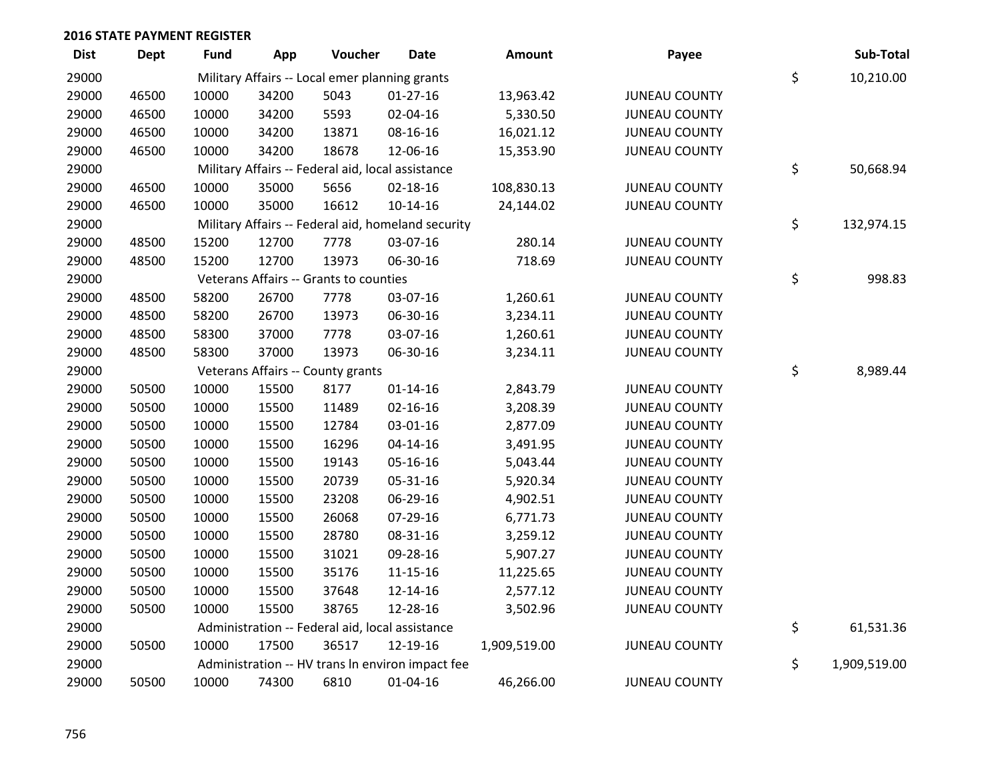| <b>Dist</b> | <b>Dept</b> | <b>Fund</b> | App   | Voucher                                           | Date                                               | Amount       | Payee                | Sub-Total          |
|-------------|-------------|-------------|-------|---------------------------------------------------|----------------------------------------------------|--------------|----------------------|--------------------|
| 29000       |             |             |       | Military Affairs -- Local emer planning grants    |                                                    |              |                      | \$<br>10,210.00    |
| 29000       | 46500       | 10000       | 34200 | 5043                                              | $01 - 27 - 16$                                     | 13,963.42    | <b>JUNEAU COUNTY</b> |                    |
| 29000       | 46500       | 10000       | 34200 | 5593                                              | 02-04-16                                           | 5,330.50     | <b>JUNEAU COUNTY</b> |                    |
| 29000       | 46500       | 10000       | 34200 | 13871                                             | 08-16-16                                           | 16,021.12    | <b>JUNEAU COUNTY</b> |                    |
| 29000       | 46500       | 10000       | 34200 | 18678                                             | 12-06-16                                           | 15,353.90    | <b>JUNEAU COUNTY</b> |                    |
| 29000       |             |             |       | Military Affairs -- Federal aid, local assistance |                                                    |              |                      | \$<br>50,668.94    |
| 29000       | 46500       | 10000       | 35000 | 5656                                              | 02-18-16                                           | 108,830.13   | <b>JUNEAU COUNTY</b> |                    |
| 29000       | 46500       | 10000       | 35000 | 16612                                             | 10-14-16                                           | 24,144.02    | <b>JUNEAU COUNTY</b> |                    |
| 29000       |             |             |       |                                                   | Military Affairs -- Federal aid, homeland security |              |                      | \$<br>132,974.15   |
| 29000       | 48500       | 15200       | 12700 | 7778                                              | 03-07-16                                           | 280.14       | <b>JUNEAU COUNTY</b> |                    |
| 29000       | 48500       | 15200       | 12700 | 13973                                             | 06-30-16                                           | 718.69       | <b>JUNEAU COUNTY</b> |                    |
| 29000       |             |             |       | Veterans Affairs -- Grants to counties            |                                                    |              |                      | \$<br>998.83       |
| 29000       | 48500       | 58200       | 26700 | 7778                                              | 03-07-16                                           | 1,260.61     | <b>JUNEAU COUNTY</b> |                    |
| 29000       | 48500       | 58200       | 26700 | 13973                                             | 06-30-16                                           | 3,234.11     | <b>JUNEAU COUNTY</b> |                    |
| 29000       | 48500       | 58300       | 37000 | 7778                                              | 03-07-16                                           | 1,260.61     | <b>JUNEAU COUNTY</b> |                    |
| 29000       | 48500       | 58300       | 37000 | 13973                                             | 06-30-16                                           | 3,234.11     | <b>JUNEAU COUNTY</b> |                    |
| 29000       |             |             |       | Veterans Affairs -- County grants                 |                                                    |              |                      | \$<br>8,989.44     |
| 29000       | 50500       | 10000       | 15500 | 8177                                              | $01 - 14 - 16$                                     | 2,843.79     | <b>JUNEAU COUNTY</b> |                    |
| 29000       | 50500       | 10000       | 15500 | 11489                                             | $02 - 16 - 16$                                     | 3,208.39     | <b>JUNEAU COUNTY</b> |                    |
| 29000       | 50500       | 10000       | 15500 | 12784                                             | 03-01-16                                           | 2,877.09     | <b>JUNEAU COUNTY</b> |                    |
| 29000       | 50500       | 10000       | 15500 | 16296                                             | $04 - 14 - 16$                                     | 3,491.95     | <b>JUNEAU COUNTY</b> |                    |
| 29000       | 50500       | 10000       | 15500 | 19143                                             | 05-16-16                                           | 5,043.44     | <b>JUNEAU COUNTY</b> |                    |
| 29000       | 50500       | 10000       | 15500 | 20739                                             | 05-31-16                                           | 5,920.34     | <b>JUNEAU COUNTY</b> |                    |
| 29000       | 50500       | 10000       | 15500 | 23208                                             | 06-29-16                                           | 4,902.51     | <b>JUNEAU COUNTY</b> |                    |
| 29000       | 50500       | 10000       | 15500 | 26068                                             | 07-29-16                                           | 6,771.73     | <b>JUNEAU COUNTY</b> |                    |
| 29000       | 50500       | 10000       | 15500 | 28780                                             | 08-31-16                                           | 3,259.12     | <b>JUNEAU COUNTY</b> |                    |
| 29000       | 50500       | 10000       | 15500 | 31021                                             | 09-28-16                                           | 5,907.27     | <b>JUNEAU COUNTY</b> |                    |
| 29000       | 50500       | 10000       | 15500 | 35176                                             | $11 - 15 - 16$                                     | 11,225.65    | <b>JUNEAU COUNTY</b> |                    |
| 29000       | 50500       | 10000       | 15500 | 37648                                             | 12-14-16                                           | 2,577.12     | <b>JUNEAU COUNTY</b> |                    |
| 29000       | 50500       | 10000       | 15500 | 38765                                             | 12-28-16                                           | 3,502.96     | <b>JUNEAU COUNTY</b> |                    |
| 29000       |             |             |       | Administration -- Federal aid, local assistance   |                                                    |              |                      | \$<br>61,531.36    |
| 29000       | 50500       | 10000       | 17500 | 36517                                             | 12-19-16                                           | 1,909,519.00 | <b>JUNEAU COUNTY</b> |                    |
| 29000       |             |             |       |                                                   | Administration -- HV trans In environ impact fee   |              |                      | \$<br>1,909,519.00 |
| 29000       | 50500       | 10000       | 74300 | 6810                                              | $01 - 04 - 16$                                     | 46,266.00    | <b>JUNEAU COUNTY</b> |                    |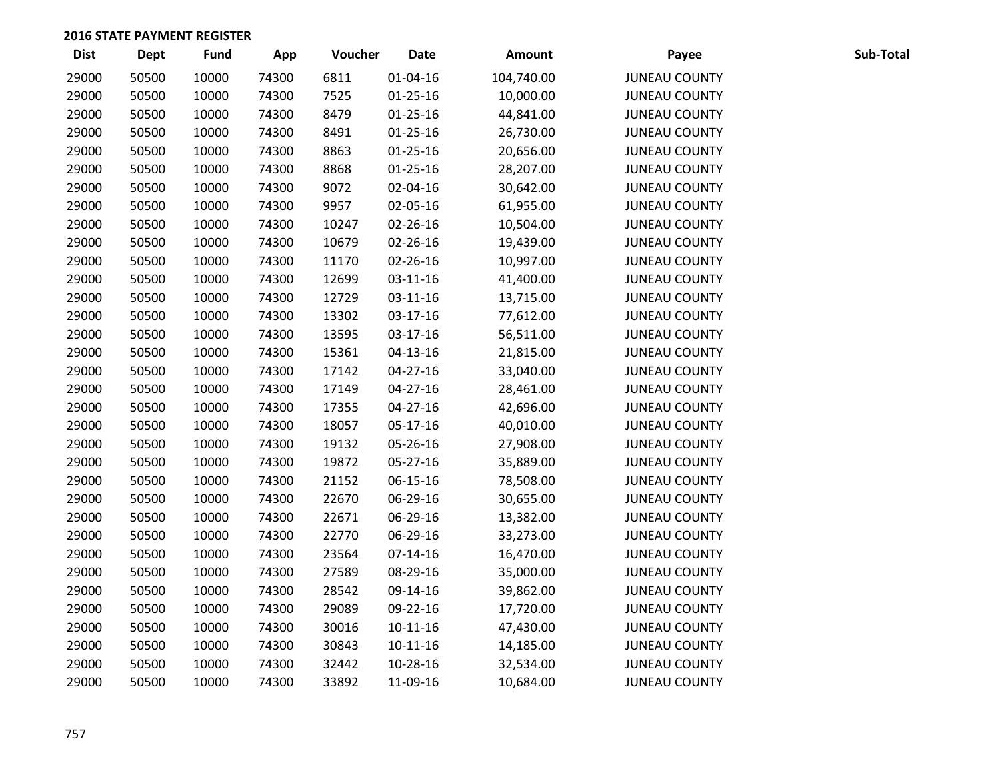| <b>Dist</b> | <b>Dept</b> | Fund  | App   | Voucher | <b>Date</b>    | Amount     | Payee                | Sub-Total |
|-------------|-------------|-------|-------|---------|----------------|------------|----------------------|-----------|
| 29000       | 50500       | 10000 | 74300 | 6811    | $01 - 04 - 16$ | 104,740.00 | <b>JUNEAU COUNTY</b> |           |
| 29000       | 50500       | 10000 | 74300 | 7525    | $01 - 25 - 16$ | 10,000.00  | <b>JUNEAU COUNTY</b> |           |
| 29000       | 50500       | 10000 | 74300 | 8479    | $01 - 25 - 16$ | 44,841.00  | <b>JUNEAU COUNTY</b> |           |
| 29000       | 50500       | 10000 | 74300 | 8491    | $01 - 25 - 16$ | 26,730.00  | <b>JUNEAU COUNTY</b> |           |
| 29000       | 50500       | 10000 | 74300 | 8863    | $01 - 25 - 16$ | 20,656.00  | <b>JUNEAU COUNTY</b> |           |
| 29000       | 50500       | 10000 | 74300 | 8868    | $01 - 25 - 16$ | 28,207.00  | <b>JUNEAU COUNTY</b> |           |
| 29000       | 50500       | 10000 | 74300 | 9072    | 02-04-16       | 30,642.00  | <b>JUNEAU COUNTY</b> |           |
| 29000       | 50500       | 10000 | 74300 | 9957    | 02-05-16       | 61,955.00  | <b>JUNEAU COUNTY</b> |           |
| 29000       | 50500       | 10000 | 74300 | 10247   | 02-26-16       | 10,504.00  | <b>JUNEAU COUNTY</b> |           |
| 29000       | 50500       | 10000 | 74300 | 10679   | 02-26-16       | 19,439.00  | <b>JUNEAU COUNTY</b> |           |
| 29000       | 50500       | 10000 | 74300 | 11170   | 02-26-16       | 10,997.00  | <b>JUNEAU COUNTY</b> |           |
| 29000       | 50500       | 10000 | 74300 | 12699   | 03-11-16       | 41,400.00  | <b>JUNEAU COUNTY</b> |           |
| 29000       | 50500       | 10000 | 74300 | 12729   | 03-11-16       | 13,715.00  | <b>JUNEAU COUNTY</b> |           |
| 29000       | 50500       | 10000 | 74300 | 13302   | 03-17-16       | 77,612.00  | <b>JUNEAU COUNTY</b> |           |
| 29000       | 50500       | 10000 | 74300 | 13595   | 03-17-16       | 56,511.00  | <b>JUNEAU COUNTY</b> |           |
| 29000       | 50500       | 10000 | 74300 | 15361   | $04 - 13 - 16$ | 21,815.00  | <b>JUNEAU COUNTY</b> |           |
| 29000       | 50500       | 10000 | 74300 | 17142   | 04-27-16       | 33,040.00  | <b>JUNEAU COUNTY</b> |           |
| 29000       | 50500       | 10000 | 74300 | 17149   | $04 - 27 - 16$ | 28,461.00  | <b>JUNEAU COUNTY</b> |           |
| 29000       | 50500       | 10000 | 74300 | 17355   | $04 - 27 - 16$ | 42,696.00  | <b>JUNEAU COUNTY</b> |           |
| 29000       | 50500       | 10000 | 74300 | 18057   | 05-17-16       | 40,010.00  | <b>JUNEAU COUNTY</b> |           |
| 29000       | 50500       | 10000 | 74300 | 19132   | 05-26-16       | 27,908.00  | <b>JUNEAU COUNTY</b> |           |
| 29000       | 50500       | 10000 | 74300 | 19872   | 05-27-16       | 35,889.00  | <b>JUNEAU COUNTY</b> |           |
| 29000       | 50500       | 10000 | 74300 | 21152   | 06-15-16       | 78,508.00  | <b>JUNEAU COUNTY</b> |           |
| 29000       | 50500       | 10000 | 74300 | 22670   | 06-29-16       | 30,655.00  | <b>JUNEAU COUNTY</b> |           |
| 29000       | 50500       | 10000 | 74300 | 22671   | 06-29-16       | 13,382.00  | <b>JUNEAU COUNTY</b> |           |
| 29000       | 50500       | 10000 | 74300 | 22770   | 06-29-16       | 33,273.00  | <b>JUNEAU COUNTY</b> |           |
| 29000       | 50500       | 10000 | 74300 | 23564   | $07-14-16$     | 16,470.00  | <b>JUNEAU COUNTY</b> |           |
| 29000       | 50500       | 10000 | 74300 | 27589   | 08-29-16       | 35,000.00  | <b>JUNEAU COUNTY</b> |           |
| 29000       | 50500       | 10000 | 74300 | 28542   | 09-14-16       | 39,862.00  | <b>JUNEAU COUNTY</b> |           |
| 29000       | 50500       | 10000 | 74300 | 29089   | 09-22-16       | 17,720.00  | <b>JUNEAU COUNTY</b> |           |
| 29000       | 50500       | 10000 | 74300 | 30016   | $10-11-16$     | 47,430.00  | <b>JUNEAU COUNTY</b> |           |
| 29000       | 50500       | 10000 | 74300 | 30843   | $10-11-16$     | 14,185.00  | <b>JUNEAU COUNTY</b> |           |
| 29000       | 50500       | 10000 | 74300 | 32442   | 10-28-16       | 32,534.00  | <b>JUNEAU COUNTY</b> |           |
| 29000       | 50500       | 10000 | 74300 | 33892   | 11-09-16       | 10,684.00  | <b>JUNEAU COUNTY</b> |           |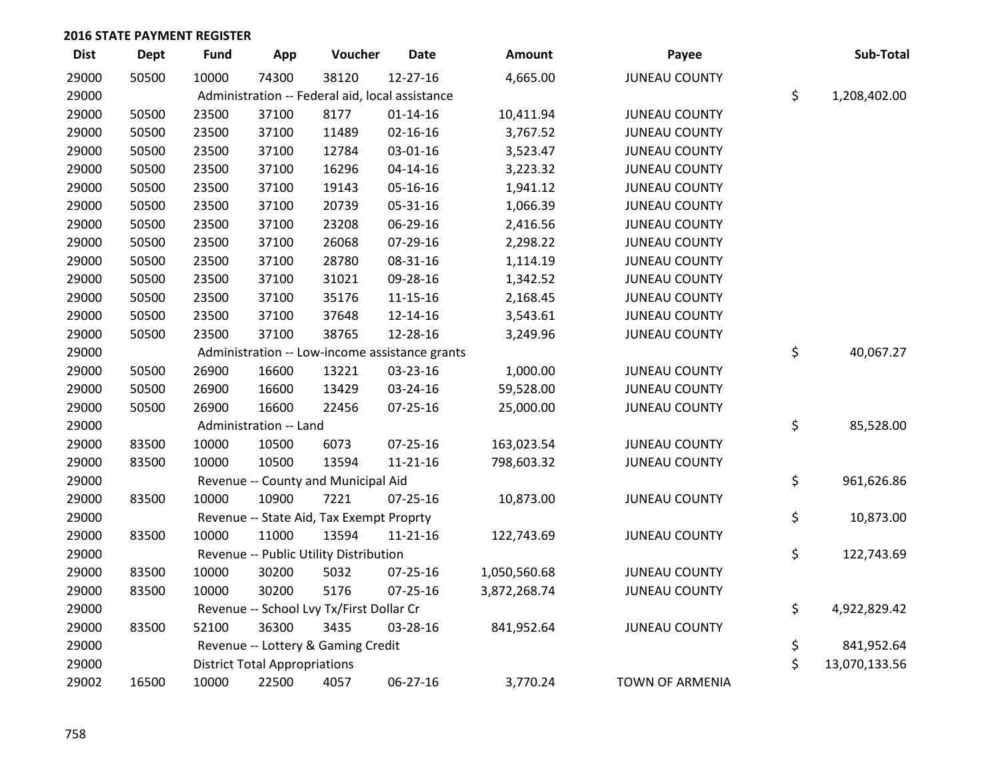| <b>Dist</b> | <b>Dept</b> | <b>Fund</b> | App                                  | Voucher                                         | <b>Date</b>    | <b>Amount</b> | Payee                  | Sub-Total           |
|-------------|-------------|-------------|--------------------------------------|-------------------------------------------------|----------------|---------------|------------------------|---------------------|
| 29000       | 50500       | 10000       | 74300                                | 38120                                           | $12 - 27 - 16$ | 4,665.00      | <b>JUNEAU COUNTY</b>   |                     |
| 29000       |             |             |                                      | Administration -- Federal aid, local assistance |                |               |                        | \$<br>1,208,402.00  |
| 29000       | 50500       | 23500       | 37100                                | 8177                                            | $01 - 14 - 16$ | 10,411.94     | <b>JUNEAU COUNTY</b>   |                     |
| 29000       | 50500       | 23500       | 37100                                | 11489                                           | $02 - 16 - 16$ | 3,767.52      | <b>JUNEAU COUNTY</b>   |                     |
| 29000       | 50500       | 23500       | 37100                                | 12784                                           | 03-01-16       | 3,523.47      | <b>JUNEAU COUNTY</b>   |                     |
| 29000       | 50500       | 23500       | 37100                                | 16296                                           | $04 - 14 - 16$ | 3,223.32      | <b>JUNEAU COUNTY</b>   |                     |
| 29000       | 50500       | 23500       | 37100                                | 19143                                           | 05-16-16       | 1,941.12      | <b>JUNEAU COUNTY</b>   |                     |
| 29000       | 50500       | 23500       | 37100                                | 20739                                           | 05-31-16       | 1,066.39      | <b>JUNEAU COUNTY</b>   |                     |
| 29000       | 50500       | 23500       | 37100                                | 23208                                           | 06-29-16       | 2,416.56      | <b>JUNEAU COUNTY</b>   |                     |
| 29000       | 50500       | 23500       | 37100                                | 26068                                           | 07-29-16       | 2,298.22      | <b>JUNEAU COUNTY</b>   |                     |
| 29000       | 50500       | 23500       | 37100                                | 28780                                           | 08-31-16       | 1,114.19      | <b>JUNEAU COUNTY</b>   |                     |
| 29000       | 50500       | 23500       | 37100                                | 31021                                           | 09-28-16       | 1,342.52      | <b>JUNEAU COUNTY</b>   |                     |
| 29000       | 50500       | 23500       | 37100                                | 35176                                           | $11 - 15 - 16$ | 2,168.45      | <b>JUNEAU COUNTY</b>   |                     |
| 29000       | 50500       | 23500       | 37100                                | 37648                                           | 12-14-16       | 3,543.61      | <b>JUNEAU COUNTY</b>   |                     |
| 29000       | 50500       | 23500       | 37100                                | 38765                                           | 12-28-16       | 3,249.96      | <b>JUNEAU COUNTY</b>   |                     |
| 29000       |             |             |                                      | Administration -- Low-income assistance grants  |                |               |                        | \$<br>40,067.27     |
| 29000       | 50500       | 26900       | 16600                                | 13221                                           | 03-23-16       | 1,000.00      | <b>JUNEAU COUNTY</b>   |                     |
| 29000       | 50500       | 26900       | 16600                                | 13429                                           | 03-24-16       | 59,528.00     | <b>JUNEAU COUNTY</b>   |                     |
| 29000       | 50500       | 26900       | 16600                                | 22456                                           | $07 - 25 - 16$ | 25,000.00     | <b>JUNEAU COUNTY</b>   |                     |
| 29000       |             |             | Administration -- Land               |                                                 |                |               |                        | \$<br>85,528.00     |
| 29000       | 83500       | 10000       | 10500                                | 6073                                            | 07-25-16       | 163,023.54    | <b>JUNEAU COUNTY</b>   |                     |
| 29000       | 83500       | 10000       | 10500                                | 13594                                           | $11 - 21 - 16$ | 798,603.32    | <b>JUNEAU COUNTY</b>   |                     |
| 29000       |             |             |                                      | Revenue -- County and Municipal Aid             |                |               |                        | \$<br>961,626.86    |
| 29000       | 83500       | 10000       | 10900                                | 7221                                            | $07 - 25 - 16$ | 10,873.00     | <b>JUNEAU COUNTY</b>   |                     |
| 29000       |             |             |                                      | Revenue -- State Aid, Tax Exempt Proprty        |                |               |                        | \$<br>10,873.00     |
| 29000       | 83500       | 10000       | 11000                                | 13594                                           | $11 - 21 - 16$ | 122,743.69    | <b>JUNEAU COUNTY</b>   |                     |
| 29000       |             |             |                                      | Revenue -- Public Utility Distribution          |                |               |                        | \$<br>122,743.69    |
| 29000       | 83500       | 10000       | 30200                                | 5032                                            | $07 - 25 - 16$ | 1,050,560.68  | <b>JUNEAU COUNTY</b>   |                     |
| 29000       | 83500       | 10000       | 30200                                | 5176                                            | 07-25-16       | 3,872,268.74  | <b>JUNEAU COUNTY</b>   |                     |
| 29000       |             |             |                                      | Revenue -- School Lvy Tx/First Dollar Cr        |                |               |                        | \$<br>4,922,829.42  |
| 29000       | 83500       | 52100       | 36300                                | 3435                                            | 03-28-16       | 841,952.64    | <b>JUNEAU COUNTY</b>   |                     |
| 29000       |             |             |                                      | Revenue -- Lottery & Gaming Credit              |                |               |                        | \$<br>841,952.64    |
| 29000       |             |             | <b>District Total Appropriations</b> |                                                 |                |               |                        | \$<br>13,070,133.56 |
| 29002       | 16500       | 10000       | 22500                                | 4057                                            | 06-27-16       | 3,770.24      | <b>TOWN OF ARMENIA</b> |                     |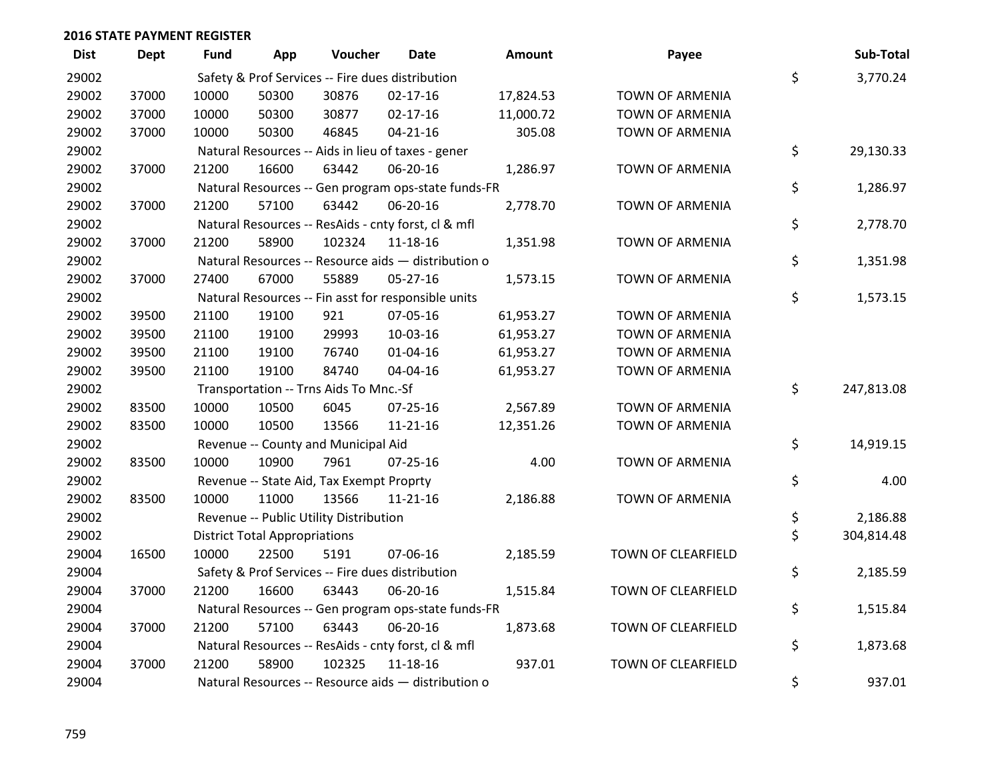| <b>Dist</b> | <b>Dept</b> | Fund  | App                                  | Voucher                                  | <b>Date</b>                                         | <b>Amount</b> | Payee                     | Sub-Total        |
|-------------|-------------|-------|--------------------------------------|------------------------------------------|-----------------------------------------------------|---------------|---------------------------|------------------|
| 29002       |             |       |                                      |                                          | Safety & Prof Services -- Fire dues distribution    |               |                           | \$<br>3,770.24   |
| 29002       | 37000       | 10000 | 50300                                | 30876                                    | $02 - 17 - 16$                                      | 17,824.53     | TOWN OF ARMENIA           |                  |
| 29002       | 37000       | 10000 | 50300                                | 30877                                    | $02 - 17 - 16$                                      | 11,000.72     | TOWN OF ARMENIA           |                  |
| 29002       | 37000       | 10000 | 50300                                | 46845                                    | $04 - 21 - 16$                                      | 305.08        | TOWN OF ARMENIA           |                  |
| 29002       |             |       |                                      |                                          | Natural Resources -- Aids in lieu of taxes - gener  |               |                           | \$<br>29,130.33  |
| 29002       | 37000       | 21200 | 16600                                | 63442                                    | 06-20-16                                            | 1,286.97      | <b>TOWN OF ARMENIA</b>    |                  |
| 29002       |             |       |                                      |                                          | Natural Resources -- Gen program ops-state funds-FR |               |                           | \$<br>1,286.97   |
| 29002       | 37000       | 21200 | 57100                                | 63442                                    | 06-20-16                                            | 2,778.70      | TOWN OF ARMENIA           |                  |
| 29002       |             |       |                                      |                                          | Natural Resources -- ResAids - cnty forst, cl & mfl |               |                           | \$<br>2,778.70   |
| 29002       | 37000       | 21200 | 58900                                | 102324                                   | 11-18-16                                            | 1,351.98      | TOWN OF ARMENIA           |                  |
| 29002       |             |       |                                      |                                          | Natural Resources -- Resource aids - distribution o |               |                           | \$<br>1,351.98   |
| 29002       | 37000       | 27400 | 67000                                | 55889                                    | $05 - 27 - 16$                                      | 1,573.15      | TOWN OF ARMENIA           |                  |
| 29002       |             |       |                                      |                                          | Natural Resources -- Fin asst for responsible units |               |                           | \$<br>1,573.15   |
| 29002       | 39500       | 21100 | 19100                                | 921                                      | 07-05-16                                            | 61,953.27     | TOWN OF ARMENIA           |                  |
| 29002       | 39500       | 21100 | 19100                                | 29993                                    | 10-03-16                                            | 61,953.27     | TOWN OF ARMENIA           |                  |
| 29002       | 39500       | 21100 | 19100                                | 76740                                    | 01-04-16                                            | 61,953.27     | <b>TOWN OF ARMENIA</b>    |                  |
| 29002       | 39500       | 21100 | 19100                                | 84740                                    | 04-04-16                                            | 61,953.27     | TOWN OF ARMENIA           |                  |
| 29002       |             |       |                                      | Transportation -- Trns Aids To Mnc.-Sf   |                                                     |               |                           | \$<br>247,813.08 |
| 29002       | 83500       | 10000 | 10500                                | 6045                                     | 07-25-16                                            | 2,567.89      | <b>TOWN OF ARMENIA</b>    |                  |
| 29002       | 83500       | 10000 | 10500                                | 13566                                    | $11 - 21 - 16$                                      | 12,351.26     | TOWN OF ARMENIA           |                  |
| 29002       |             |       |                                      | Revenue -- County and Municipal Aid      |                                                     |               |                           | \$<br>14,919.15  |
| 29002       | 83500       | 10000 | 10900                                | 7961                                     | $07 - 25 - 16$                                      | 4.00          | <b>TOWN OF ARMENIA</b>    |                  |
| 29002       |             |       |                                      | Revenue -- State Aid, Tax Exempt Proprty |                                                     |               |                           | \$<br>4.00       |
| 29002       | 83500       | 10000 | 11000                                | 13566                                    | $11 - 21 - 16$                                      | 2,186.88      | TOWN OF ARMENIA           |                  |
| 29002       |             |       |                                      | Revenue -- Public Utility Distribution   |                                                     |               |                           | \$<br>2,186.88   |
| 29002       |             |       | <b>District Total Appropriations</b> |                                          |                                                     |               |                           | \$<br>304,814.48 |
| 29004       | 16500       | 10000 | 22500                                | 5191                                     | 07-06-16                                            | 2,185.59      | TOWN OF CLEARFIELD        |                  |
| 29004       |             |       |                                      |                                          | Safety & Prof Services -- Fire dues distribution    |               |                           | \$<br>2,185.59   |
| 29004       | 37000       | 21200 | 16600                                | 63443                                    | 06-20-16                                            | 1,515.84      | TOWN OF CLEARFIELD        |                  |
| 29004       |             |       |                                      |                                          | Natural Resources -- Gen program ops-state funds-FR |               |                           | \$<br>1,515.84   |
| 29004       | 37000       | 21200 | 57100                                | 63443                                    | 06-20-16                                            | 1,873.68      | TOWN OF CLEARFIELD        |                  |
| 29004       |             |       |                                      |                                          | Natural Resources -- ResAids - cnty forst, cl & mfl |               |                           | \$<br>1,873.68   |
| 29004       | 37000       | 21200 | 58900                                | 102325                                   | $11 - 18 - 16$                                      | 937.01        | <b>TOWN OF CLEARFIELD</b> |                  |
| 29004       |             |       |                                      |                                          | Natural Resources -- Resource aids - distribution o |               |                           | \$<br>937.01     |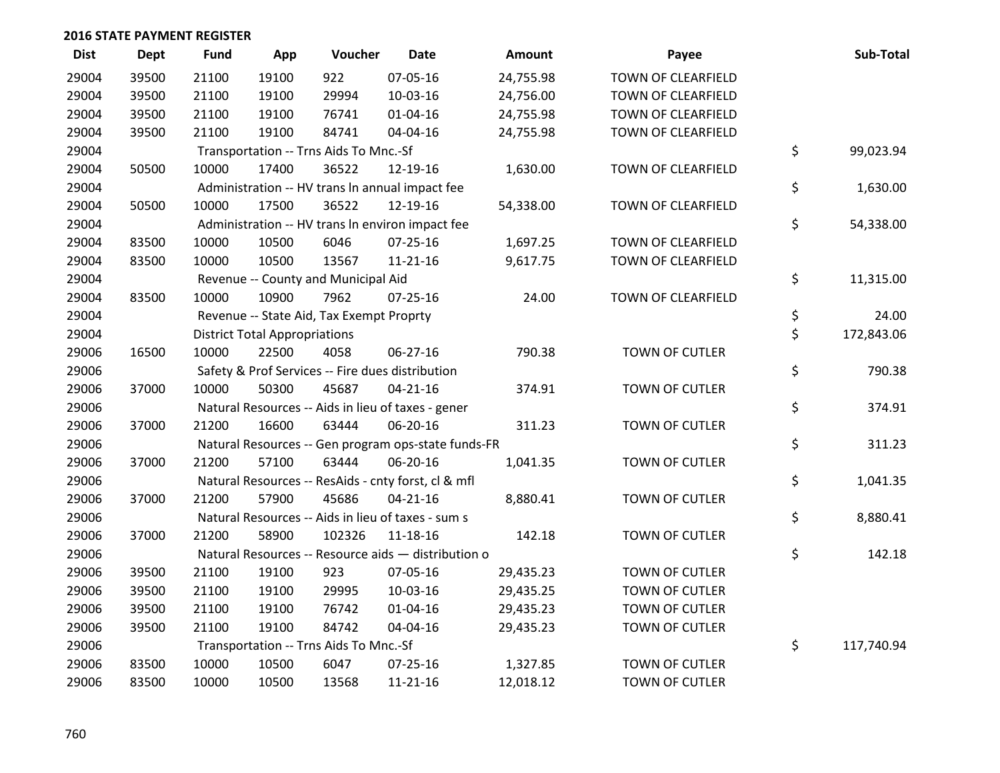| <b>Dist</b> | <b>Dept</b> | Fund  | App                                  | Voucher                                             | <b>Date</b>    | Amount    | Payee                     | Sub-Total        |
|-------------|-------------|-------|--------------------------------------|-----------------------------------------------------|----------------|-----------|---------------------------|------------------|
| 29004       | 39500       | 21100 | 19100                                | 922                                                 | 07-05-16       | 24,755.98 | TOWN OF CLEARFIELD        |                  |
| 29004       | 39500       | 21100 | 19100                                | 29994                                               | 10-03-16       | 24,756.00 | <b>TOWN OF CLEARFIELD</b> |                  |
| 29004       | 39500       | 21100 | 19100                                | 76741                                               | $01 - 04 - 16$ | 24,755.98 | TOWN OF CLEARFIELD        |                  |
| 29004       | 39500       | 21100 | 19100                                | 84741                                               | 04-04-16       | 24,755.98 | TOWN OF CLEARFIELD        |                  |
| 29004       |             |       |                                      | Transportation -- Trns Aids To Mnc.-Sf              |                |           |                           | \$<br>99,023.94  |
| 29004       | 50500       | 10000 | 17400                                | 36522                                               | 12-19-16       | 1,630.00  | TOWN OF CLEARFIELD        |                  |
| 29004       |             |       |                                      | Administration -- HV trans In annual impact fee     |                |           |                           | \$<br>1,630.00   |
| 29004       | 50500       | 10000 | 17500                                | 36522                                               | 12-19-16       | 54,338.00 | TOWN OF CLEARFIELD        |                  |
| 29004       |             |       |                                      | Administration -- HV trans In environ impact fee    |                |           |                           | \$<br>54,338.00  |
| 29004       | 83500       | 10000 | 10500                                | 6046                                                | $07 - 25 - 16$ | 1,697.25  | TOWN OF CLEARFIELD        |                  |
| 29004       | 83500       | 10000 | 10500                                | 13567                                               | $11 - 21 - 16$ | 9,617.75  | TOWN OF CLEARFIELD        |                  |
| 29004       |             |       |                                      | Revenue -- County and Municipal Aid                 |                |           |                           | \$<br>11,315.00  |
| 29004       | 83500       | 10000 | 10900                                | 7962                                                | $07 - 25 - 16$ | 24.00     | TOWN OF CLEARFIELD        |                  |
| 29004       |             |       |                                      | Revenue -- State Aid, Tax Exempt Proprty            |                |           |                           | \$<br>24.00      |
| 29004       |             |       | <b>District Total Appropriations</b> |                                                     |                |           |                           | \$<br>172,843.06 |
| 29006       | 16500       | 10000 | 22500                                | 4058                                                | 06-27-16       | 790.38    | <b>TOWN OF CUTLER</b>     |                  |
| 29006       |             |       |                                      | Safety & Prof Services -- Fire dues distribution    |                |           |                           | \$<br>790.38     |
| 29006       | 37000       | 10000 | 50300                                | 45687                                               | $04 - 21 - 16$ | 374.91    | TOWN OF CUTLER            |                  |
| 29006       |             |       |                                      | Natural Resources -- Aids in lieu of taxes - gener  |                |           |                           | \$<br>374.91     |
| 29006       | 37000       | 21200 | 16600                                | 63444                                               | 06-20-16       | 311.23    | TOWN OF CUTLER            |                  |
| 29006       |             |       |                                      | Natural Resources -- Gen program ops-state funds-FR |                |           |                           | \$<br>311.23     |
| 29006       | 37000       | 21200 | 57100                                | 63444                                               | 06-20-16       | 1,041.35  | TOWN OF CUTLER            |                  |
| 29006       |             |       |                                      | Natural Resources -- ResAids - cnty forst, cl & mfl |                |           |                           | \$<br>1,041.35   |
| 29006       | 37000       | 21200 | 57900                                | 45686                                               | $04 - 21 - 16$ | 8,880.41  | TOWN OF CUTLER            |                  |
| 29006       |             |       |                                      | Natural Resources -- Aids in lieu of taxes - sum s  |                |           |                           | \$<br>8,880.41   |
| 29006       | 37000       | 21200 | 58900                                | 102326                                              | 11-18-16       | 142.18    | TOWN OF CUTLER            |                  |
| 29006       |             |       |                                      | Natural Resources -- Resource aids - distribution o |                |           |                           | \$<br>142.18     |
| 29006       | 39500       | 21100 | 19100                                | 923                                                 | 07-05-16       | 29,435.23 | <b>TOWN OF CUTLER</b>     |                  |
| 29006       | 39500       | 21100 | 19100                                | 29995                                               | 10-03-16       | 29,435.25 | TOWN OF CUTLER            |                  |
| 29006       | 39500       | 21100 | 19100                                | 76742                                               | $01 - 04 - 16$ | 29,435.23 | TOWN OF CUTLER            |                  |
| 29006       | 39500       | 21100 | 19100                                | 84742                                               | 04-04-16       | 29,435.23 | TOWN OF CUTLER            |                  |
| 29006       |             |       |                                      | Transportation -- Trns Aids To Mnc.-Sf              |                |           |                           | \$<br>117,740.94 |
| 29006       | 83500       | 10000 | 10500                                | 6047                                                | $07 - 25 - 16$ | 1,327.85  | TOWN OF CUTLER            |                  |
| 29006       | 83500       | 10000 | 10500                                | 13568                                               | 11-21-16       | 12,018.12 | <b>TOWN OF CUTLER</b>     |                  |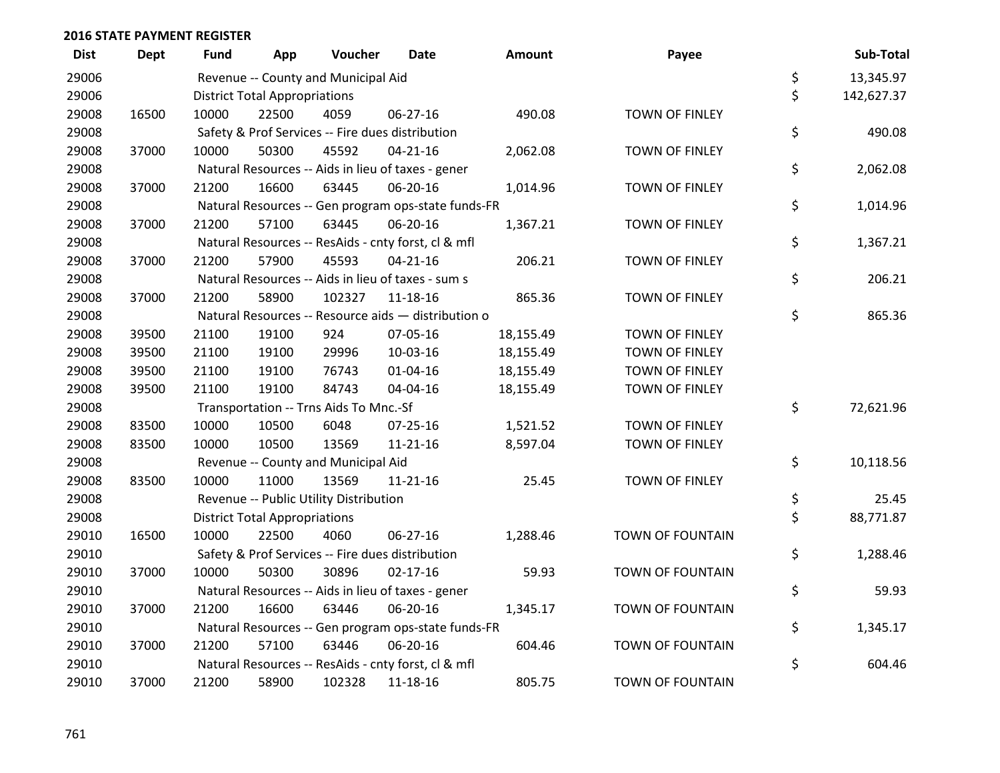| <b>Dist</b> | <b>Dept</b> | Fund  | App                                  | Voucher                                             | <b>Date</b>    | Amount    | Payee                   | Sub-Total        |
|-------------|-------------|-------|--------------------------------------|-----------------------------------------------------|----------------|-----------|-------------------------|------------------|
| 29006       |             |       |                                      | Revenue -- County and Municipal Aid                 |                |           |                         | \$<br>13,345.97  |
| 29006       |             |       | <b>District Total Appropriations</b> |                                                     |                |           |                         | \$<br>142,627.37 |
| 29008       | 16500       | 10000 | 22500                                | 4059                                                | 06-27-16       | 490.08    | <b>TOWN OF FINLEY</b>   |                  |
| 29008       |             |       |                                      | Safety & Prof Services -- Fire dues distribution    |                |           |                         | \$<br>490.08     |
| 29008       | 37000       | 10000 | 50300                                | 45592                                               | $04 - 21 - 16$ | 2,062.08  | TOWN OF FINLEY          |                  |
| 29008       |             |       |                                      | Natural Resources -- Aids in lieu of taxes - gener  |                |           |                         | \$<br>2,062.08   |
| 29008       | 37000       | 21200 | 16600                                | 63445                                               | 06-20-16       | 1,014.96  | <b>TOWN OF FINLEY</b>   |                  |
| 29008       |             |       |                                      | Natural Resources -- Gen program ops-state funds-FR |                |           |                         | \$<br>1,014.96   |
| 29008       | 37000       | 21200 | 57100                                | 63445                                               | 06-20-16       | 1,367.21  | TOWN OF FINLEY          |                  |
| 29008       |             |       |                                      | Natural Resources -- ResAids - cnty forst, cl & mfl |                |           |                         | \$<br>1,367.21   |
| 29008       | 37000       | 21200 | 57900                                | 45593                                               | $04 - 21 - 16$ | 206.21    | TOWN OF FINLEY          |                  |
| 29008       |             |       |                                      | Natural Resources -- Aids in lieu of taxes - sum s  |                |           |                         | \$<br>206.21     |
| 29008       | 37000       | 21200 | 58900                                | 102327                                              | 11-18-16       | 865.36    | TOWN OF FINLEY          |                  |
| 29008       |             |       |                                      | Natural Resources -- Resource aids - distribution o |                |           |                         | \$<br>865.36     |
| 29008       | 39500       | 21100 | 19100                                | 924                                                 | 07-05-16       | 18,155.49 | <b>TOWN OF FINLEY</b>   |                  |
| 29008       | 39500       | 21100 | 19100                                | 29996                                               | 10-03-16       | 18,155.49 | TOWN OF FINLEY          |                  |
| 29008       | 39500       | 21100 | 19100                                | 76743                                               | 01-04-16       | 18,155.49 | TOWN OF FINLEY          |                  |
| 29008       | 39500       | 21100 | 19100                                | 84743                                               | 04-04-16       | 18,155.49 | <b>TOWN OF FINLEY</b>   |                  |
| 29008       |             |       |                                      | Transportation -- Trns Aids To Mnc.-Sf              |                |           |                         | \$<br>72,621.96  |
| 29008       | 83500       | 10000 | 10500                                | 6048                                                | $07 - 25 - 16$ | 1,521.52  | TOWN OF FINLEY          |                  |
| 29008       | 83500       | 10000 | 10500                                | 13569                                               | $11 - 21 - 16$ | 8,597.04  | TOWN OF FINLEY          |                  |
| 29008       |             |       |                                      | Revenue -- County and Municipal Aid                 |                |           |                         | \$<br>10,118.56  |
| 29008       | 83500       | 10000 | 11000                                | 13569                                               | 11-21-16       | 25.45     | TOWN OF FINLEY          |                  |
| 29008       |             |       |                                      | Revenue -- Public Utility Distribution              |                |           |                         | \$<br>25.45      |
| 29008       |             |       | <b>District Total Appropriations</b> |                                                     |                |           |                         | \$<br>88,771.87  |
| 29010       | 16500       | 10000 | 22500                                | 4060                                                | 06-27-16       | 1,288.46  | TOWN OF FOUNTAIN        |                  |
| 29010       |             |       |                                      | Safety & Prof Services -- Fire dues distribution    |                |           |                         | \$<br>1,288.46   |
| 29010       | 37000       | 10000 | 50300                                | 30896                                               | $02 - 17 - 16$ | 59.93     | TOWN OF FOUNTAIN        |                  |
| 29010       |             |       |                                      | Natural Resources -- Aids in lieu of taxes - gener  |                |           |                         | \$<br>59.93      |
| 29010       | 37000       | 21200 | 16600                                | 63446                                               | 06-20-16       | 1,345.17  | <b>TOWN OF FOUNTAIN</b> |                  |
| 29010       |             |       |                                      | Natural Resources -- Gen program ops-state funds-FR |                |           |                         | \$<br>1,345.17   |
| 29010       | 37000       | 21200 | 57100                                | 63446                                               | 06-20-16       | 604.46    | <b>TOWN OF FOUNTAIN</b> |                  |
| 29010       |             |       |                                      | Natural Resources -- ResAids - cnty forst, cl & mfl |                |           |                         | \$<br>604.46     |
| 29010       | 37000       | 21200 | 58900                                | 102328                                              | 11-18-16       | 805.75    | <b>TOWN OF FOUNTAIN</b> |                  |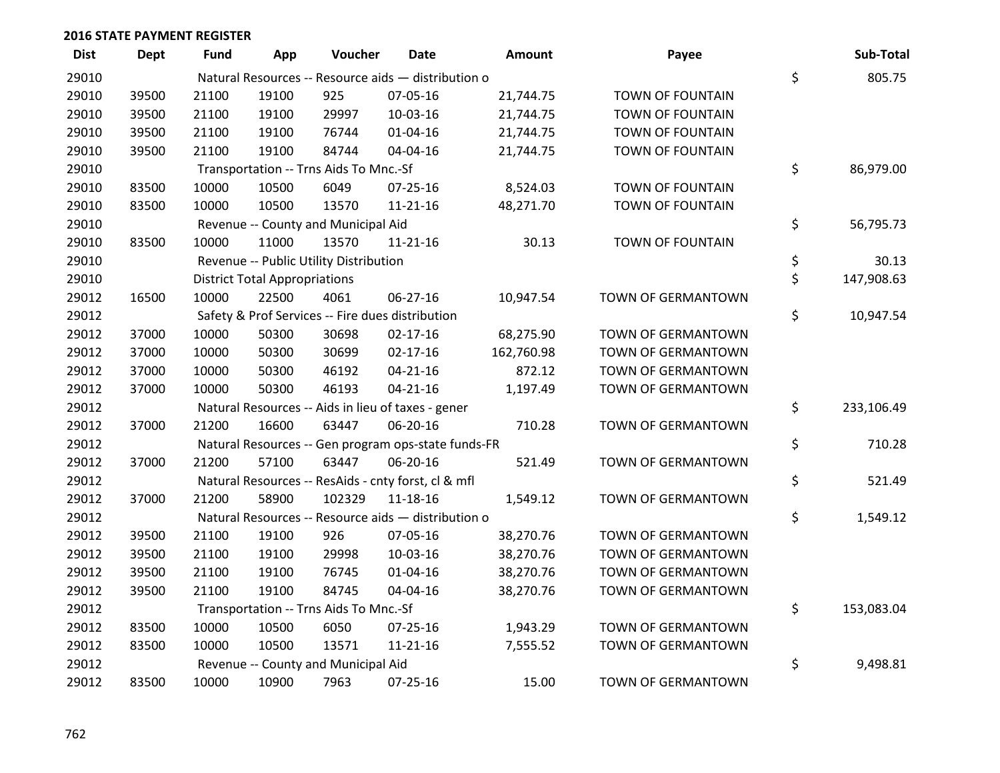| <b>Dist</b> | Dept  | Fund  | App                                  | Voucher                                | <b>Date</b>                                         | <b>Amount</b> | Payee                     | Sub-Total        |
|-------------|-------|-------|--------------------------------------|----------------------------------------|-----------------------------------------------------|---------------|---------------------------|------------------|
| 29010       |       |       |                                      |                                        | Natural Resources -- Resource aids - distribution o |               |                           | \$<br>805.75     |
| 29010       | 39500 | 21100 | 19100                                | 925                                    | 07-05-16                                            | 21,744.75     | TOWN OF FOUNTAIN          |                  |
| 29010       | 39500 | 21100 | 19100                                | 29997                                  | 10-03-16                                            | 21,744.75     | TOWN OF FOUNTAIN          |                  |
| 29010       | 39500 | 21100 | 19100                                | 76744                                  | $01 - 04 - 16$                                      | 21,744.75     | TOWN OF FOUNTAIN          |                  |
| 29010       | 39500 | 21100 | 19100                                | 84744                                  | 04-04-16                                            | 21,744.75     | TOWN OF FOUNTAIN          |                  |
| 29010       |       |       |                                      | Transportation -- Trns Aids To Mnc.-Sf |                                                     |               |                           | \$<br>86,979.00  |
| 29010       | 83500 | 10000 | 10500                                | 6049                                   | $07 - 25 - 16$                                      | 8,524.03      | <b>TOWN OF FOUNTAIN</b>   |                  |
| 29010       | 83500 | 10000 | 10500                                | 13570                                  | $11 - 21 - 16$                                      | 48,271.70     | TOWN OF FOUNTAIN          |                  |
| 29010       |       |       |                                      | Revenue -- County and Municipal Aid    |                                                     |               |                           | \$<br>56,795.73  |
| 29010       | 83500 | 10000 | 11000                                | 13570                                  | $11 - 21 - 16$                                      | 30.13         | TOWN OF FOUNTAIN          |                  |
| 29010       |       |       |                                      | Revenue -- Public Utility Distribution |                                                     |               |                           | \$<br>30.13      |
| 29010       |       |       | <b>District Total Appropriations</b> |                                        |                                                     |               |                           | \$<br>147,908.63 |
| 29012       | 16500 | 10000 | 22500                                | 4061                                   | 06-27-16                                            | 10,947.54     | TOWN OF GERMANTOWN        |                  |
| 29012       |       |       |                                      |                                        | Safety & Prof Services -- Fire dues distribution    |               |                           | \$<br>10,947.54  |
| 29012       | 37000 | 10000 | 50300                                | 30698                                  | $02 - 17 - 16$                                      | 68,275.90     | TOWN OF GERMANTOWN        |                  |
| 29012       | 37000 | 10000 | 50300                                | 30699                                  | $02 - 17 - 16$                                      | 162,760.98    | <b>TOWN OF GERMANTOWN</b> |                  |
| 29012       | 37000 | 10000 | 50300                                | 46192                                  | $04 - 21 - 16$                                      | 872.12        | <b>TOWN OF GERMANTOWN</b> |                  |
| 29012       | 37000 | 10000 | 50300                                | 46193                                  | $04 - 21 - 16$                                      | 1,197.49      | TOWN OF GERMANTOWN        |                  |
| 29012       |       |       |                                      |                                        | Natural Resources -- Aids in lieu of taxes - gener  |               |                           | \$<br>233,106.49 |
| 29012       | 37000 | 21200 | 16600                                | 63447                                  | 06-20-16                                            | 710.28        | TOWN OF GERMANTOWN        |                  |
| 29012       |       |       |                                      |                                        | Natural Resources -- Gen program ops-state funds-FR |               |                           | \$<br>710.28     |
| 29012       | 37000 | 21200 | 57100                                | 63447                                  | 06-20-16                                            | 521.49        | <b>TOWN OF GERMANTOWN</b> |                  |
| 29012       |       |       |                                      |                                        | Natural Resources -- ResAids - cnty forst, cl & mfl |               |                           | \$<br>521.49     |
| 29012       | 37000 | 21200 | 58900                                | 102329                                 | $11 - 18 - 16$                                      | 1,549.12      | TOWN OF GERMANTOWN        |                  |
| 29012       |       |       |                                      |                                        | Natural Resources -- Resource aids - distribution o |               |                           | \$<br>1,549.12   |
| 29012       | 39500 | 21100 | 19100                                | 926                                    | 07-05-16                                            | 38,270.76     | TOWN OF GERMANTOWN        |                  |
| 29012       | 39500 | 21100 | 19100                                | 29998                                  | 10-03-16                                            | 38,270.76     | TOWN OF GERMANTOWN        |                  |
| 29012       | 39500 | 21100 | 19100                                | 76745                                  | 01-04-16                                            | 38,270.76     | TOWN OF GERMANTOWN        |                  |
| 29012       | 39500 | 21100 | 19100                                | 84745                                  | 04-04-16                                            | 38,270.76     | TOWN OF GERMANTOWN        |                  |
| 29012       |       |       |                                      | Transportation -- Trns Aids To Mnc.-Sf |                                                     |               |                           | \$<br>153,083.04 |
| 29012       | 83500 | 10000 | 10500                                | 6050                                   | $07 - 25 - 16$                                      | 1,943.29      | <b>TOWN OF GERMANTOWN</b> |                  |
| 29012       | 83500 | 10000 | 10500                                | 13571                                  | $11 - 21 - 16$                                      | 7,555.52      | <b>TOWN OF GERMANTOWN</b> |                  |
| 29012       |       |       |                                      | Revenue -- County and Municipal Aid    |                                                     |               |                           | \$<br>9,498.81   |
| 29012       | 83500 | 10000 | 10900                                | 7963                                   | 07-25-16                                            | 15.00         | TOWN OF GERMANTOWN        |                  |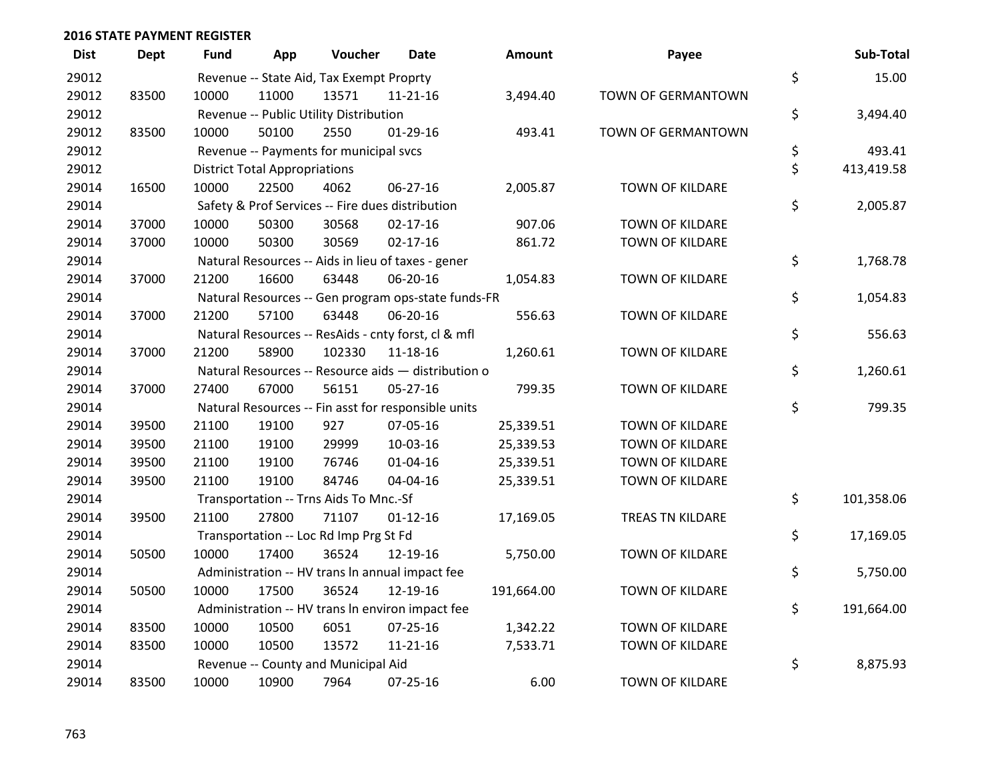| <b>Dist</b> | <b>Dept</b> | <b>Fund</b> | App                                  | Voucher                                  | <b>Date</b>                                         | Amount     | Payee                     | Sub-Total        |
|-------------|-------------|-------------|--------------------------------------|------------------------------------------|-----------------------------------------------------|------------|---------------------------|------------------|
| 29012       |             |             |                                      | Revenue -- State Aid, Tax Exempt Proprty |                                                     |            |                           | \$<br>15.00      |
| 29012       | 83500       | 10000       | 11000                                | 13571                                    | $11 - 21 - 16$                                      | 3,494.40   | <b>TOWN OF GERMANTOWN</b> |                  |
| 29012       |             |             |                                      | Revenue -- Public Utility Distribution   |                                                     |            |                           | \$<br>3,494.40   |
| 29012       | 83500       | 10000       | 50100                                | 2550                                     | $01-29-16$                                          | 493.41     | TOWN OF GERMANTOWN        |                  |
| 29012       |             |             |                                      | Revenue -- Payments for municipal svcs   |                                                     |            |                           | \$<br>493.41     |
| 29012       |             |             | <b>District Total Appropriations</b> |                                          |                                                     |            |                           | \$<br>413,419.58 |
| 29014       | 16500       | 10000       | 22500                                | 4062                                     | 06-27-16                                            | 2,005.87   | TOWN OF KILDARE           |                  |
| 29014       |             |             |                                      |                                          | Safety & Prof Services -- Fire dues distribution    |            |                           | \$<br>2,005.87   |
| 29014       | 37000       | 10000       | 50300                                | 30568                                    | $02 - 17 - 16$                                      | 907.06     | TOWN OF KILDARE           |                  |
| 29014       | 37000       | 10000       | 50300                                | 30569                                    | $02 - 17 - 16$                                      | 861.72     | TOWN OF KILDARE           |                  |
| 29014       |             |             |                                      |                                          | Natural Resources -- Aids in lieu of taxes - gener  |            |                           | \$<br>1,768.78   |
| 29014       | 37000       | 21200       | 16600                                | 63448                                    | 06-20-16                                            | 1,054.83   | TOWN OF KILDARE           |                  |
| 29014       |             |             |                                      |                                          | Natural Resources -- Gen program ops-state funds-FR |            |                           | \$<br>1,054.83   |
| 29014       | 37000       | 21200       | 57100                                | 63448                                    | 06-20-16                                            | 556.63     | <b>TOWN OF KILDARE</b>    |                  |
| 29014       |             |             |                                      |                                          | Natural Resources -- ResAids - cnty forst, cl & mfl |            |                           | \$<br>556.63     |
| 29014       | 37000       | 21200       | 58900                                | 102330                                   | 11-18-16                                            | 1,260.61   | TOWN OF KILDARE           |                  |
| 29014       |             |             |                                      |                                          | Natural Resources -- Resource aids - distribution o |            |                           | \$<br>1,260.61   |
| 29014       | 37000       | 27400       | 67000                                | 56151                                    | $05 - 27 - 16$                                      | 799.35     | TOWN OF KILDARE           |                  |
| 29014       |             |             |                                      |                                          | Natural Resources -- Fin asst for responsible units |            |                           | \$<br>799.35     |
| 29014       | 39500       | 21100       | 19100                                | 927                                      | 07-05-16                                            | 25,339.51  | TOWN OF KILDARE           |                  |
| 29014       | 39500       | 21100       | 19100                                | 29999                                    | 10-03-16                                            | 25,339.53  | <b>TOWN OF KILDARE</b>    |                  |
| 29014       | 39500       | 21100       | 19100                                | 76746                                    | $01 - 04 - 16$                                      | 25,339.51  | TOWN OF KILDARE           |                  |
| 29014       | 39500       | 21100       | 19100                                | 84746                                    | 04-04-16                                            | 25,339.51  | TOWN OF KILDARE           |                  |
| 29014       |             |             |                                      | Transportation -- Trns Aids To Mnc.-Sf   |                                                     |            |                           | \$<br>101,358.06 |
| 29014       | 39500       | 21100       | 27800                                | 71107                                    | $01 - 12 - 16$                                      | 17,169.05  | TREAS TN KILDARE          |                  |
| 29014       |             |             |                                      | Transportation -- Loc Rd Imp Prg St Fd   |                                                     |            |                           | \$<br>17,169.05  |
| 29014       | 50500       | 10000       | 17400                                | 36524                                    | 12-19-16                                            | 5,750.00   | TOWN OF KILDARE           |                  |
| 29014       |             |             |                                      |                                          | Administration -- HV trans In annual impact fee     |            |                           | \$<br>5,750.00   |
| 29014       | 50500       | 10000       | 17500                                | 36524                                    | 12-19-16                                            | 191,664.00 | <b>TOWN OF KILDARE</b>    |                  |
| 29014       |             |             |                                      |                                          | Administration -- HV trans In environ impact fee    |            |                           | \$<br>191,664.00 |
| 29014       | 83500       | 10000       | 10500                                | 6051                                     | $07 - 25 - 16$                                      | 1,342.22   | TOWN OF KILDARE           |                  |
| 29014       | 83500       | 10000       | 10500                                | 13572                                    | $11 - 21 - 16$                                      | 7,533.71   | TOWN OF KILDARE           |                  |
| 29014       |             |             |                                      | Revenue -- County and Municipal Aid      |                                                     |            |                           | \$<br>8,875.93   |
| 29014       | 83500       | 10000       | 10900                                | 7964                                     | 07-25-16                                            | 6.00       | <b>TOWN OF KILDARE</b>    |                  |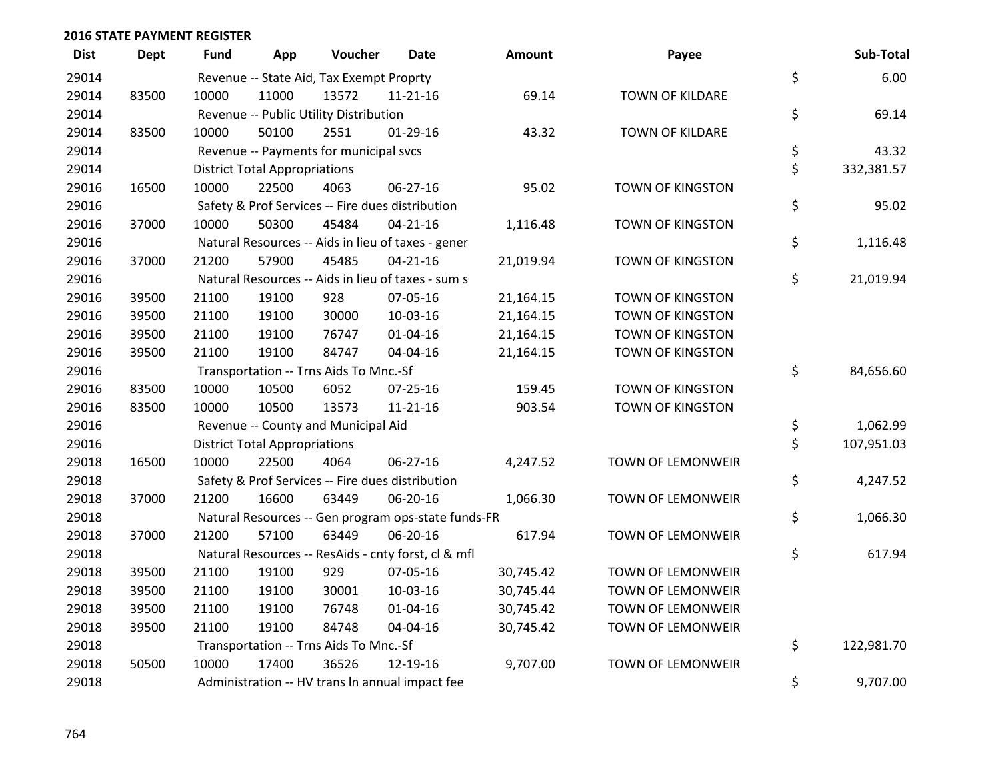| <b>Dist</b> | <b>Dept</b> | <b>Fund</b> | App                                  | Voucher                                             | Date           | Amount    | Payee                   | Sub-Total        |
|-------------|-------------|-------------|--------------------------------------|-----------------------------------------------------|----------------|-----------|-------------------------|------------------|
| 29014       |             |             |                                      | Revenue -- State Aid, Tax Exempt Proprty            |                |           |                         | \$<br>6.00       |
| 29014       | 83500       | 10000       | 11000                                | 13572                                               | $11 - 21 - 16$ | 69.14     | <b>TOWN OF KILDARE</b>  |                  |
| 29014       |             |             |                                      | Revenue -- Public Utility Distribution              |                |           |                         | \$<br>69.14      |
| 29014       | 83500       | 10000       | 50100                                | 2551                                                | $01-29-16$     | 43.32     | TOWN OF KILDARE         |                  |
| 29014       |             |             |                                      | Revenue -- Payments for municipal svcs              |                |           |                         | \$<br>43.32      |
| 29014       |             |             | <b>District Total Appropriations</b> |                                                     |                |           |                         | \$<br>332,381.57 |
| 29016       | 16500       | 10000       | 22500                                | 4063                                                | 06-27-16       | 95.02     | TOWN OF KINGSTON        |                  |
| 29016       |             |             |                                      | Safety & Prof Services -- Fire dues distribution    |                |           |                         | \$<br>95.02      |
| 29016       | 37000       | 10000       | 50300                                | 45484                                               | $04 - 21 - 16$ | 1,116.48  | <b>TOWN OF KINGSTON</b> |                  |
| 29016       |             |             |                                      | Natural Resources -- Aids in lieu of taxes - gener  |                |           |                         | \$<br>1,116.48   |
| 29016       | 37000       | 21200       | 57900                                | 45485                                               | $04 - 21 - 16$ | 21,019.94 | TOWN OF KINGSTON        |                  |
| 29016       |             |             |                                      | Natural Resources -- Aids in lieu of taxes - sum s  |                |           |                         | \$<br>21,019.94  |
| 29016       | 39500       | 21100       | 19100                                | 928                                                 | 07-05-16       | 21,164.15 | TOWN OF KINGSTON        |                  |
| 29016       | 39500       | 21100       | 19100                                | 30000                                               | 10-03-16       | 21,164.15 | TOWN OF KINGSTON        |                  |
| 29016       | 39500       | 21100       | 19100                                | 76747                                               | $01 - 04 - 16$ | 21,164.15 | TOWN OF KINGSTON        |                  |
| 29016       | 39500       | 21100       | 19100                                | 84747                                               | 04-04-16       | 21,164.15 | TOWN OF KINGSTON        |                  |
| 29016       |             |             |                                      | Transportation -- Trns Aids To Mnc.-Sf              |                |           |                         | \$<br>84,656.60  |
| 29016       | 83500       | 10000       | 10500                                | 6052                                                | $07 - 25 - 16$ | 159.45    | <b>TOWN OF KINGSTON</b> |                  |
| 29016       | 83500       | 10000       | 10500                                | 13573                                               | $11 - 21 - 16$ | 903.54    | <b>TOWN OF KINGSTON</b> |                  |
| 29016       |             |             |                                      | Revenue -- County and Municipal Aid                 |                |           |                         | \$<br>1,062.99   |
| 29016       |             |             | <b>District Total Appropriations</b> |                                                     |                |           |                         | \$<br>107,951.03 |
| 29018       | 16500       | 10000       | 22500                                | 4064                                                | $06 - 27 - 16$ | 4,247.52  | TOWN OF LEMONWEIR       |                  |
| 29018       |             |             |                                      | Safety & Prof Services -- Fire dues distribution    |                |           |                         | \$<br>4,247.52   |
| 29018       | 37000       | 21200       | 16600                                | 63449                                               | 06-20-16       | 1,066.30  | TOWN OF LEMONWEIR       |                  |
| 29018       |             |             |                                      | Natural Resources -- Gen program ops-state funds-FR |                |           |                         | \$<br>1,066.30   |
| 29018       | 37000       | 21200       | 57100                                | 63449                                               | 06-20-16       | 617.94    | TOWN OF LEMONWEIR       |                  |
| 29018       |             |             |                                      | Natural Resources -- ResAids - cnty forst, cl & mfl |                |           |                         | \$<br>617.94     |
| 29018       | 39500       | 21100       | 19100                                | 929                                                 | 07-05-16       | 30,745.42 | TOWN OF LEMONWEIR       |                  |
| 29018       | 39500       | 21100       | 19100                                | 30001                                               | 10-03-16       | 30,745.44 | TOWN OF LEMONWEIR       |                  |
| 29018       | 39500       | 21100       | 19100                                | 76748                                               | $01 - 04 - 16$ | 30,745.42 | TOWN OF LEMONWEIR       |                  |
| 29018       | 39500       | 21100       | 19100                                | 84748                                               | 04-04-16       | 30,745.42 | TOWN OF LEMONWEIR       |                  |
| 29018       |             |             |                                      | Transportation -- Trns Aids To Mnc.-Sf              |                |           |                         | \$<br>122,981.70 |
| 29018       | 50500       | 10000       | 17400                                | 36526                                               | 12-19-16       | 9,707.00  | TOWN OF LEMONWEIR       |                  |
| 29018       |             |             |                                      | Administration -- HV trans In annual impact fee     |                |           |                         | \$<br>9,707.00   |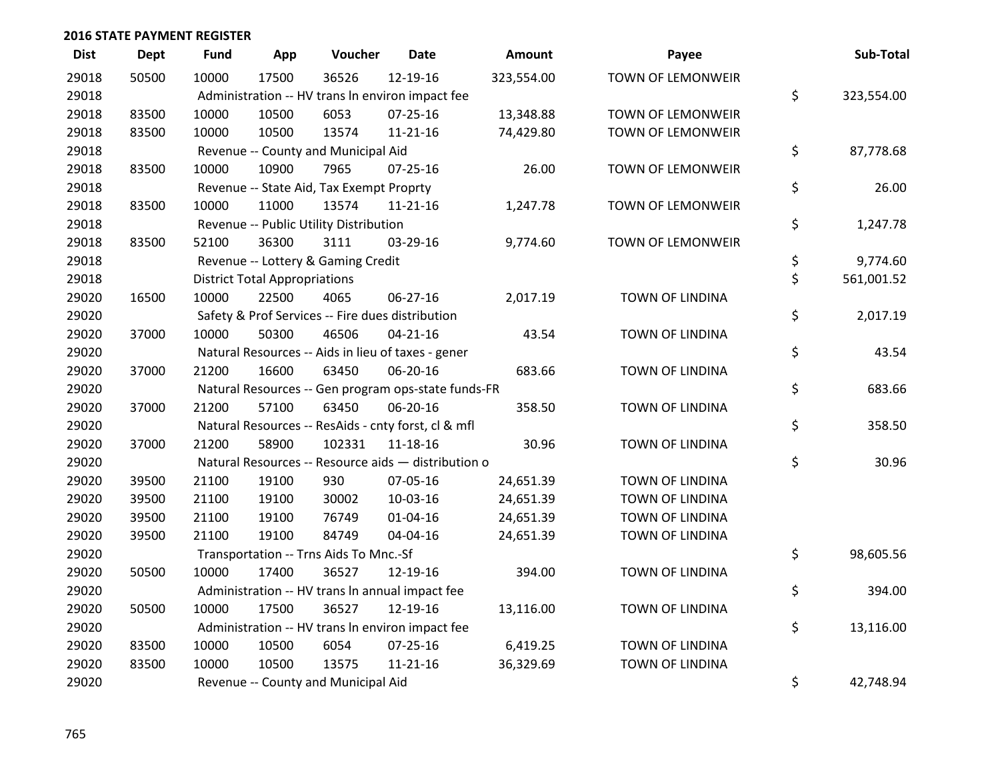| <b>Dist</b> | Dept  | <b>Fund</b> | App                                  | Voucher                                  | <b>Date</b>                                         | Amount     | Payee                  | Sub-Total        |
|-------------|-------|-------------|--------------------------------------|------------------------------------------|-----------------------------------------------------|------------|------------------------|------------------|
| 29018       | 50500 | 10000       | 17500                                | 36526                                    | 12-19-16                                            | 323,554.00 | TOWN OF LEMONWEIR      |                  |
| 29018       |       |             |                                      |                                          | Administration -- HV trans In environ impact fee    |            |                        | \$<br>323,554.00 |
| 29018       | 83500 | 10000       | 10500                                | 6053                                     | 07-25-16                                            | 13,348.88  | TOWN OF LEMONWEIR      |                  |
| 29018       | 83500 | 10000       | 10500                                | 13574                                    | $11 - 21 - 16$                                      | 74,429.80  | TOWN OF LEMONWEIR      |                  |
| 29018       |       |             |                                      | Revenue -- County and Municipal Aid      |                                                     |            |                        | \$<br>87,778.68  |
| 29018       | 83500 | 10000       | 10900                                | 7965                                     | 07-25-16                                            | 26.00      | TOWN OF LEMONWEIR      |                  |
| 29018       |       |             |                                      | Revenue -- State Aid, Tax Exempt Proprty |                                                     |            |                        | \$<br>26.00      |
| 29018       | 83500 | 10000       | 11000                                | 13574                                    | $11 - 21 - 16$                                      | 1,247.78   | TOWN OF LEMONWEIR      |                  |
| 29018       |       |             |                                      | Revenue -- Public Utility Distribution   |                                                     |            |                        | \$<br>1,247.78   |
| 29018       | 83500 | 52100       | 36300                                | 3111                                     | 03-29-16                                            | 9,774.60   | TOWN OF LEMONWEIR      |                  |
| 29018       |       |             |                                      | Revenue -- Lottery & Gaming Credit       |                                                     |            |                        | \$<br>9,774.60   |
| 29018       |       |             | <b>District Total Appropriations</b> |                                          |                                                     |            |                        | \$<br>561,001.52 |
| 29020       | 16500 | 10000       | 22500                                | 4065                                     | 06-27-16                                            | 2,017.19   | TOWN OF LINDINA        |                  |
| 29020       |       |             |                                      |                                          | Safety & Prof Services -- Fire dues distribution    |            |                        | \$<br>2,017.19   |
| 29020       | 37000 | 10000       | 50300                                | 46506                                    | $04 - 21 - 16$                                      | 43.54      | <b>TOWN OF LINDINA</b> |                  |
| 29020       |       |             |                                      |                                          | Natural Resources -- Aids in lieu of taxes - gener  |            |                        | \$<br>43.54      |
| 29020       | 37000 | 21200       | 16600                                | 63450                                    | 06-20-16                                            | 683.66     | TOWN OF LINDINA        |                  |
| 29020       |       |             |                                      |                                          | Natural Resources -- Gen program ops-state funds-FR |            |                        | \$<br>683.66     |
| 29020       | 37000 | 21200       | 57100                                | 63450                                    | 06-20-16                                            | 358.50     | <b>TOWN OF LINDINA</b> |                  |
| 29020       |       |             |                                      |                                          | Natural Resources -- ResAids - cnty forst, cl & mfl |            |                        | \$<br>358.50     |
| 29020       | 37000 | 21200       | 58900                                | 102331                                   | $11 - 18 - 16$                                      | 30.96      | TOWN OF LINDINA        |                  |
| 29020       |       |             |                                      |                                          | Natural Resources -- Resource aids - distribution o |            |                        | \$<br>30.96      |
| 29020       | 39500 | 21100       | 19100                                | 930                                      | 07-05-16                                            | 24,651.39  | TOWN OF LINDINA        |                  |
| 29020       | 39500 | 21100       | 19100                                | 30002                                    | 10-03-16                                            | 24,651.39  | TOWN OF LINDINA        |                  |
| 29020       | 39500 | 21100       | 19100                                | 76749                                    | $01 - 04 - 16$                                      | 24,651.39  | TOWN OF LINDINA        |                  |
| 29020       | 39500 | 21100       | 19100                                | 84749                                    | 04-04-16                                            | 24,651.39  | TOWN OF LINDINA        |                  |
| 29020       |       |             |                                      | Transportation -- Trns Aids To Mnc.-Sf   |                                                     |            |                        | \$<br>98,605.56  |
| 29020       | 50500 | 10000       | 17400                                | 36527                                    | 12-19-16                                            | 394.00     | TOWN OF LINDINA        |                  |
| 29020       |       |             |                                      |                                          | Administration -- HV trans In annual impact fee     |            |                        | \$<br>394.00     |
| 29020       | 50500 | 10000       | 17500                                | 36527                                    | 12-19-16                                            | 13,116.00  | TOWN OF LINDINA        |                  |
| 29020       |       |             |                                      |                                          | Administration -- HV trans In environ impact fee    |            |                        | \$<br>13,116.00  |
| 29020       | 83500 | 10000       | 10500                                | 6054                                     | $07 - 25 - 16$                                      | 6,419.25   | TOWN OF LINDINA        |                  |
| 29020       | 83500 | 10000       | 10500                                | 13575                                    | $11 - 21 - 16$                                      | 36,329.69  | TOWN OF LINDINA        |                  |
| 29020       |       |             |                                      | Revenue -- County and Municipal Aid      |                                                     |            |                        | \$<br>42,748.94  |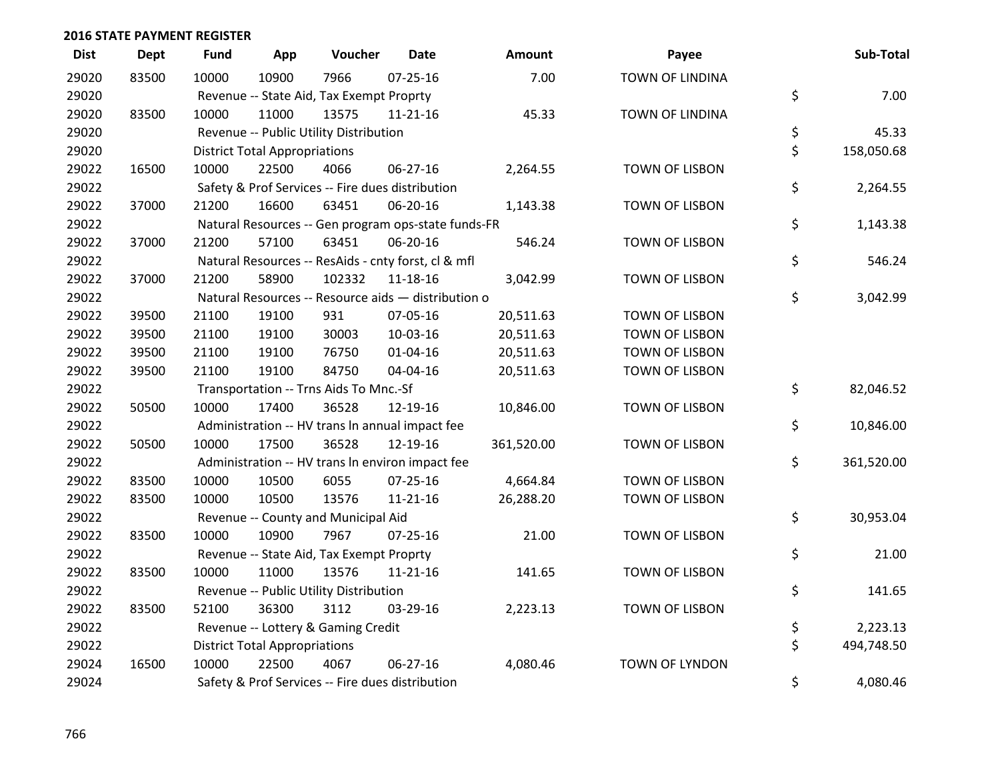| <b>Dist</b> | <b>Dept</b> | <b>Fund</b> | App                                  | Voucher                                             | <b>Date</b>    | Amount     | Payee                  | Sub-Total        |
|-------------|-------------|-------------|--------------------------------------|-----------------------------------------------------|----------------|------------|------------------------|------------------|
| 29020       | 83500       | 10000       | 10900                                | 7966                                                | $07 - 25 - 16$ | 7.00       | <b>TOWN OF LINDINA</b> |                  |
| 29020       |             |             |                                      | Revenue -- State Aid, Tax Exempt Proprty            |                |            |                        | \$<br>7.00       |
| 29020       | 83500       | 10000       | 11000                                | 13575                                               | $11 - 21 - 16$ | 45.33      | TOWN OF LINDINA        |                  |
| 29020       |             |             |                                      | Revenue -- Public Utility Distribution              |                |            |                        | \$<br>45.33      |
| 29020       |             |             | <b>District Total Appropriations</b> |                                                     |                |            |                        | \$<br>158,050.68 |
| 29022       | 16500       | 10000       | 22500                                | 4066                                                | 06-27-16       | 2,264.55   | <b>TOWN OF LISBON</b>  |                  |
| 29022       |             |             |                                      | Safety & Prof Services -- Fire dues distribution    |                |            |                        | \$<br>2,264.55   |
| 29022       | 37000       | 21200       | 16600                                | 63451                                               | 06-20-16       | 1,143.38   | TOWN OF LISBON         |                  |
| 29022       |             |             |                                      | Natural Resources -- Gen program ops-state funds-FR |                |            |                        | \$<br>1,143.38   |
| 29022       | 37000       | 21200       | 57100                                | 63451                                               | 06-20-16       | 546.24     | TOWN OF LISBON         |                  |
| 29022       |             |             |                                      | Natural Resources -- ResAids - cnty forst, cl & mfl |                |            |                        | \$<br>546.24     |
| 29022       | 37000       | 21200       | 58900                                | 102332                                              | 11-18-16       | 3,042.99   | <b>TOWN OF LISBON</b>  |                  |
| 29022       |             |             |                                      | Natural Resources -- Resource aids - distribution o |                |            |                        | \$<br>3,042.99   |
| 29022       | 39500       | 21100       | 19100                                | 931                                                 | 07-05-16       | 20,511.63  | TOWN OF LISBON         |                  |
| 29022       | 39500       | 21100       | 19100                                | 30003                                               | 10-03-16       | 20,511.63  | TOWN OF LISBON         |                  |
| 29022       | 39500       | 21100       | 19100                                | 76750                                               | $01 - 04 - 16$ | 20,511.63  | <b>TOWN OF LISBON</b>  |                  |
| 29022       | 39500       | 21100       | 19100                                | 84750                                               | 04-04-16       | 20,511.63  | TOWN OF LISBON         |                  |
| 29022       |             |             |                                      | Transportation -- Trns Aids To Mnc.-Sf              |                |            |                        | \$<br>82,046.52  |
| 29022       | 50500       | 10000       | 17400                                | 36528                                               | 12-19-16       | 10,846.00  | <b>TOWN OF LISBON</b>  |                  |
| 29022       |             |             |                                      | Administration -- HV trans In annual impact fee     |                |            |                        | \$<br>10,846.00  |
| 29022       | 50500       | 10000       | 17500                                | 36528                                               | 12-19-16       | 361,520.00 | <b>TOWN OF LISBON</b>  |                  |
| 29022       |             |             |                                      | Administration -- HV trans In environ impact fee    |                |            |                        | \$<br>361,520.00 |
| 29022       | 83500       | 10000       | 10500                                | 6055                                                | $07 - 25 - 16$ | 4,664.84   | <b>TOWN OF LISBON</b>  |                  |
| 29022       | 83500       | 10000       | 10500                                | 13576                                               | $11 - 21 - 16$ | 26,288.20  | <b>TOWN OF LISBON</b>  |                  |
| 29022       |             |             |                                      | Revenue -- County and Municipal Aid                 |                |            |                        | \$<br>30,953.04  |
| 29022       | 83500       | 10000       | 10900                                | 7967                                                | $07 - 25 - 16$ | 21.00      | TOWN OF LISBON         |                  |
| 29022       |             |             |                                      | Revenue -- State Aid, Tax Exempt Proprty            |                |            |                        | \$<br>21.00      |
| 29022       | 83500       | 10000       | 11000                                | 13576                                               | $11 - 21 - 16$ | 141.65     | TOWN OF LISBON         |                  |
| 29022       |             |             |                                      | Revenue -- Public Utility Distribution              |                |            |                        | \$<br>141.65     |
| 29022       | 83500       | 52100       | 36300                                | 3112                                                | 03-29-16       | 2,223.13   | TOWN OF LISBON         |                  |
| 29022       |             |             |                                      | Revenue -- Lottery & Gaming Credit                  |                |            |                        | \$<br>2,223.13   |
| 29022       |             |             | <b>District Total Appropriations</b> |                                                     |                |            |                        | \$<br>494,748.50 |
| 29024       | 16500       | 10000       | 22500                                | 4067                                                | 06-27-16       | 4,080.46   | <b>TOWN OF LYNDON</b>  |                  |
| 29024       |             |             |                                      | Safety & Prof Services -- Fire dues distribution    |                |            |                        | \$<br>4,080.46   |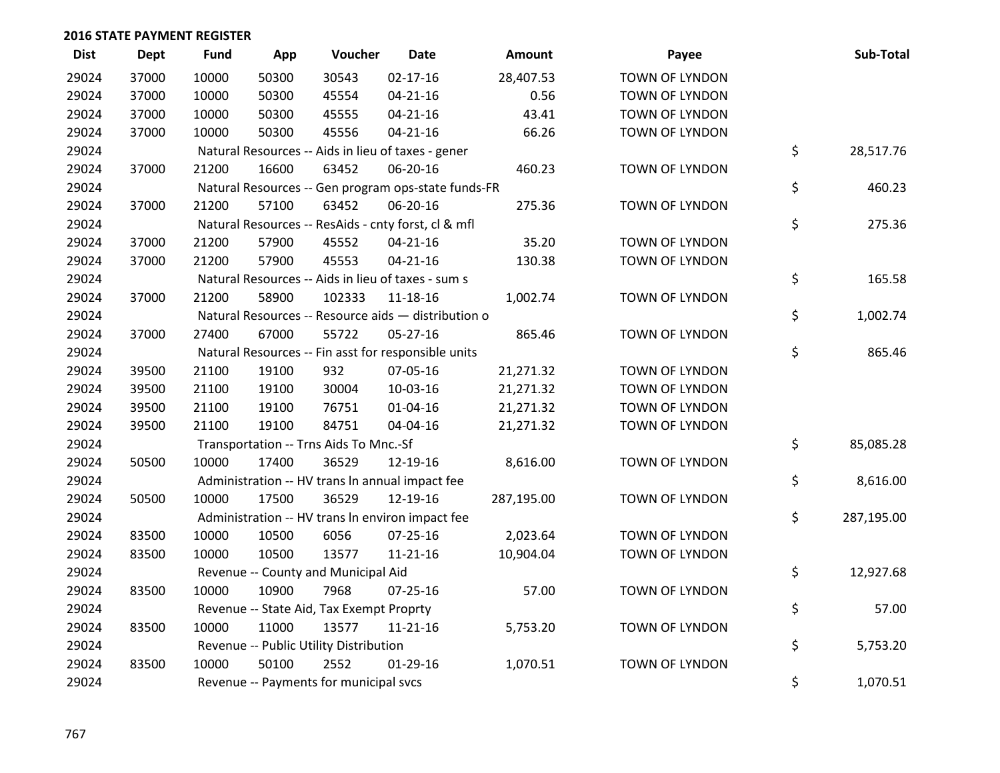| <b>Dist</b> | <b>Dept</b> | <b>Fund</b> | App   | Voucher                                             | <b>Date</b>    | Amount     | Payee                 | Sub-Total        |
|-------------|-------------|-------------|-------|-----------------------------------------------------|----------------|------------|-----------------------|------------------|
| 29024       | 37000       | 10000       | 50300 | 30543                                               | $02 - 17 - 16$ | 28,407.53  | <b>TOWN OF LYNDON</b> |                  |
| 29024       | 37000       | 10000       | 50300 | 45554                                               | $04 - 21 - 16$ | 0.56       | TOWN OF LYNDON        |                  |
| 29024       | 37000       | 10000       | 50300 | 45555                                               | $04 - 21 - 16$ | 43.41      | TOWN OF LYNDON        |                  |
| 29024       | 37000       | 10000       | 50300 | 45556                                               | $04 - 21 - 16$ | 66.26      | <b>TOWN OF LYNDON</b> |                  |
| 29024       |             |             |       | Natural Resources -- Aids in lieu of taxes - gener  |                |            |                       | \$<br>28,517.76  |
| 29024       | 37000       | 21200       | 16600 | 63452                                               | 06-20-16       | 460.23     | TOWN OF LYNDON        |                  |
| 29024       |             |             |       | Natural Resources -- Gen program ops-state funds-FR |                |            |                       | \$<br>460.23     |
| 29024       | 37000       | 21200       | 57100 | 63452                                               | 06-20-16       | 275.36     | <b>TOWN OF LYNDON</b> |                  |
| 29024       |             |             |       | Natural Resources -- ResAids - cnty forst, cl & mfl |                |            |                       | \$<br>275.36     |
| 29024       | 37000       | 21200       | 57900 | 45552                                               | $04 - 21 - 16$ | 35.20      | TOWN OF LYNDON        |                  |
| 29024       | 37000       | 21200       | 57900 | 45553                                               | $04 - 21 - 16$ | 130.38     | TOWN OF LYNDON        |                  |
| 29024       |             |             |       | Natural Resources -- Aids in lieu of taxes - sum s  |                |            |                       | \$<br>165.58     |
| 29024       | 37000       | 21200       | 58900 | 102333                                              | $11 - 18 - 16$ | 1,002.74   | TOWN OF LYNDON        |                  |
| 29024       |             |             |       | Natural Resources -- Resource aids - distribution o |                |            |                       | \$<br>1,002.74   |
| 29024       | 37000       | 27400       | 67000 | 55722                                               | 05-27-16       | 865.46     | TOWN OF LYNDON        |                  |
| 29024       |             |             |       | Natural Resources -- Fin asst for responsible units |                |            |                       | \$<br>865.46     |
| 29024       | 39500       | 21100       | 19100 | 932                                                 | 07-05-16       | 21,271.32  | TOWN OF LYNDON        |                  |
| 29024       | 39500       | 21100       | 19100 | 30004                                               | 10-03-16       | 21,271.32  | TOWN OF LYNDON        |                  |
| 29024       | 39500       | 21100       | 19100 | 76751                                               | $01 - 04 - 16$ | 21,271.32  | TOWN OF LYNDON        |                  |
| 29024       | 39500       | 21100       | 19100 | 84751                                               | 04-04-16       | 21,271.32  | TOWN OF LYNDON        |                  |
| 29024       |             |             |       | Transportation -- Trns Aids To Mnc.-Sf              |                |            |                       | \$<br>85,085.28  |
| 29024       | 50500       | 10000       | 17400 | 36529                                               | 12-19-16       | 8,616.00   | TOWN OF LYNDON        |                  |
| 29024       |             |             |       | Administration -- HV trans In annual impact fee     |                |            |                       | \$<br>8,616.00   |
| 29024       | 50500       | 10000       | 17500 | 36529                                               | 12-19-16       | 287,195.00 | <b>TOWN OF LYNDON</b> |                  |
| 29024       |             |             |       | Administration -- HV trans In environ impact fee    |                |            |                       | \$<br>287,195.00 |
| 29024       | 83500       | 10000       | 10500 | 6056                                                | $07 - 25 - 16$ | 2,023.64   | TOWN OF LYNDON        |                  |
| 29024       | 83500       | 10000       | 10500 | 13577                                               | $11 - 21 - 16$ | 10,904.04  | TOWN OF LYNDON        |                  |
| 29024       |             |             |       | Revenue -- County and Municipal Aid                 |                |            |                       | \$<br>12,927.68  |
| 29024       | 83500       | 10000       | 10900 | 7968                                                | $07 - 25 - 16$ | 57.00      | <b>TOWN OF LYNDON</b> |                  |
| 29024       |             |             |       | Revenue -- State Aid, Tax Exempt Proprty            |                |            |                       | \$<br>57.00      |
| 29024       | 83500       | 10000       | 11000 | 13577                                               | $11 - 21 - 16$ | 5,753.20   | TOWN OF LYNDON        |                  |
| 29024       |             |             |       | Revenue -- Public Utility Distribution              |                |            |                       | \$<br>5,753.20   |
| 29024       | 83500       | 10000       | 50100 | 2552                                                | $01-29-16$     | 1,070.51   | <b>TOWN OF LYNDON</b> |                  |
| 29024       |             |             |       | Revenue -- Payments for municipal svcs              |                |            |                       | \$<br>1,070.51   |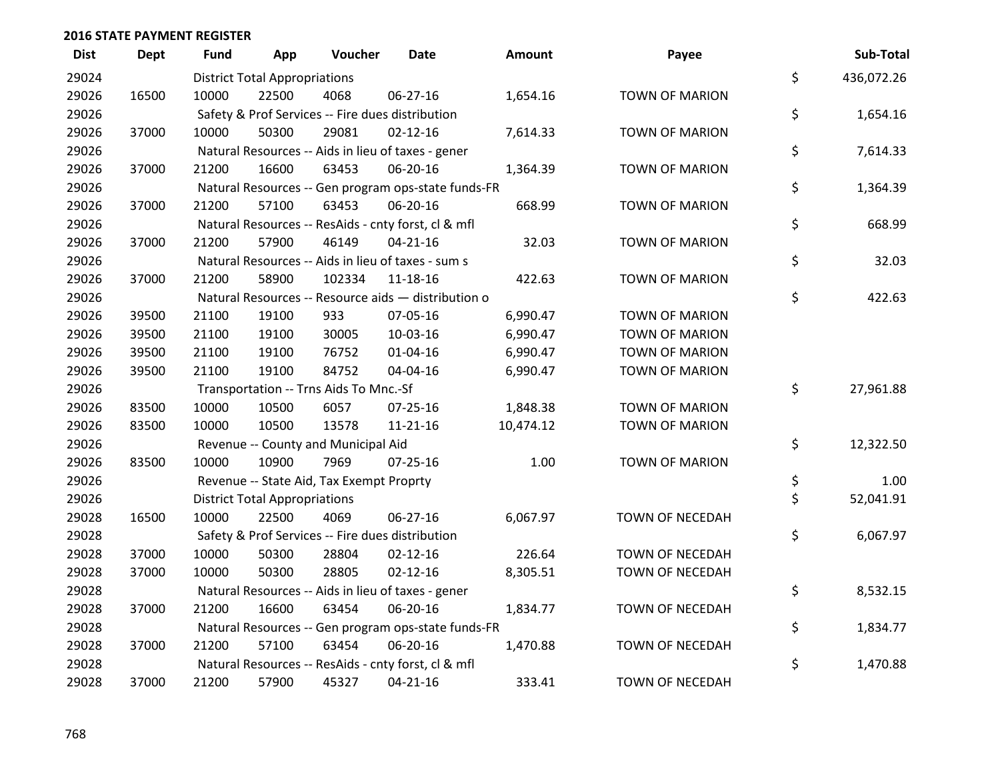| <b>Dist</b> | <b>Dept</b> | <b>Fund</b> | App                                  | Voucher                                  | <b>Date</b>                                         | Amount    | Payee                  | Sub-Total        |
|-------------|-------------|-------------|--------------------------------------|------------------------------------------|-----------------------------------------------------|-----------|------------------------|------------------|
| 29024       |             |             | <b>District Total Appropriations</b> |                                          |                                                     |           |                        | \$<br>436,072.26 |
| 29026       | 16500       | 10000       | 22500                                | 4068                                     | 06-27-16                                            | 1,654.16  | <b>TOWN OF MARION</b>  |                  |
| 29026       |             |             |                                      |                                          | Safety & Prof Services -- Fire dues distribution    |           |                        | \$<br>1,654.16   |
| 29026       | 37000       | 10000       | 50300                                | 29081                                    | $02 - 12 - 16$                                      | 7,614.33  | <b>TOWN OF MARION</b>  |                  |
| 29026       |             |             |                                      |                                          | Natural Resources -- Aids in lieu of taxes - gener  |           |                        | \$<br>7,614.33   |
| 29026       | 37000       | 21200       | 16600                                | 63453                                    | 06-20-16                                            | 1,364.39  | <b>TOWN OF MARION</b>  |                  |
| 29026       |             |             |                                      |                                          | Natural Resources -- Gen program ops-state funds-FR |           |                        | \$<br>1,364.39   |
| 29026       | 37000       | 21200       | 57100                                | 63453                                    | 06-20-16                                            | 668.99    | <b>TOWN OF MARION</b>  |                  |
| 29026       |             |             |                                      |                                          | Natural Resources -- ResAids - cnty forst, cl & mfl |           |                        | \$<br>668.99     |
| 29026       | 37000       | 21200       | 57900                                | 46149                                    | $04 - 21 - 16$                                      | 32.03     | <b>TOWN OF MARION</b>  |                  |
| 29026       |             |             |                                      |                                          | Natural Resources -- Aids in lieu of taxes - sum s  |           |                        | \$<br>32.03      |
| 29026       | 37000       | 21200       | 58900                                | 102334                                   | 11-18-16                                            | 422.63    | <b>TOWN OF MARION</b>  |                  |
| 29026       |             |             |                                      |                                          | Natural Resources -- Resource aids - distribution o |           |                        | \$<br>422.63     |
| 29026       | 39500       | 21100       | 19100                                | 933                                      | 07-05-16                                            | 6,990.47  | <b>TOWN OF MARION</b>  |                  |
| 29026       | 39500       | 21100       | 19100                                | 30005                                    | 10-03-16                                            | 6,990.47  | <b>TOWN OF MARION</b>  |                  |
| 29026       | 39500       | 21100       | 19100                                | 76752                                    | $01 - 04 - 16$                                      | 6,990.47  | <b>TOWN OF MARION</b>  |                  |
| 29026       | 39500       | 21100       | 19100                                | 84752                                    | 04-04-16                                            | 6,990.47  | <b>TOWN OF MARION</b>  |                  |
| 29026       |             |             |                                      | Transportation -- Trns Aids To Mnc.-Sf   |                                                     |           |                        | \$<br>27,961.88  |
| 29026       | 83500       | 10000       | 10500                                | 6057                                     | $07 - 25 - 16$                                      | 1,848.38  | <b>TOWN OF MARION</b>  |                  |
| 29026       | 83500       | 10000       | 10500                                | 13578                                    | $11 - 21 - 16$                                      | 10,474.12 | <b>TOWN OF MARION</b>  |                  |
| 29026       |             |             |                                      | Revenue -- County and Municipal Aid      |                                                     |           |                        | \$<br>12,322.50  |
| 29026       | 83500       | 10000       | 10900                                | 7969                                     | $07 - 25 - 16$                                      | 1.00      | <b>TOWN OF MARION</b>  |                  |
| 29026       |             |             |                                      | Revenue -- State Aid, Tax Exempt Proprty |                                                     |           |                        | \$<br>1.00       |
| 29026       |             |             | <b>District Total Appropriations</b> |                                          |                                                     |           |                        | \$<br>52,041.91  |
| 29028       | 16500       | 10000       | 22500                                | 4069                                     | 06-27-16                                            | 6,067.97  | TOWN OF NECEDAH        |                  |
| 29028       |             |             |                                      |                                          | Safety & Prof Services -- Fire dues distribution    |           |                        | \$<br>6,067.97   |
| 29028       | 37000       | 10000       | 50300                                | 28804                                    | $02 - 12 - 16$                                      | 226.64    | TOWN OF NECEDAH        |                  |
| 29028       | 37000       | 10000       | 50300                                | 28805                                    | $02 - 12 - 16$                                      | 8,305.51  | TOWN OF NECEDAH        |                  |
| 29028       |             |             |                                      |                                          | Natural Resources -- Aids in lieu of taxes - gener  |           |                        | \$<br>8,532.15   |
| 29028       | 37000       | 21200       | 16600                                | 63454                                    | 06-20-16                                            | 1,834.77  | <b>TOWN OF NECEDAH</b> |                  |
| 29028       |             |             |                                      |                                          | Natural Resources -- Gen program ops-state funds-FR |           |                        | \$<br>1,834.77   |
| 29028       | 37000       | 21200       | 57100                                | 63454                                    | 06-20-16                                            | 1,470.88  | TOWN OF NECEDAH        |                  |
| 29028       |             |             |                                      |                                          | Natural Resources -- ResAids - cnty forst, cl & mfl |           |                        | \$<br>1,470.88   |
| 29028       | 37000       | 21200       | 57900                                | 45327                                    | $04 - 21 - 16$                                      | 333.41    | <b>TOWN OF NECEDAH</b> |                  |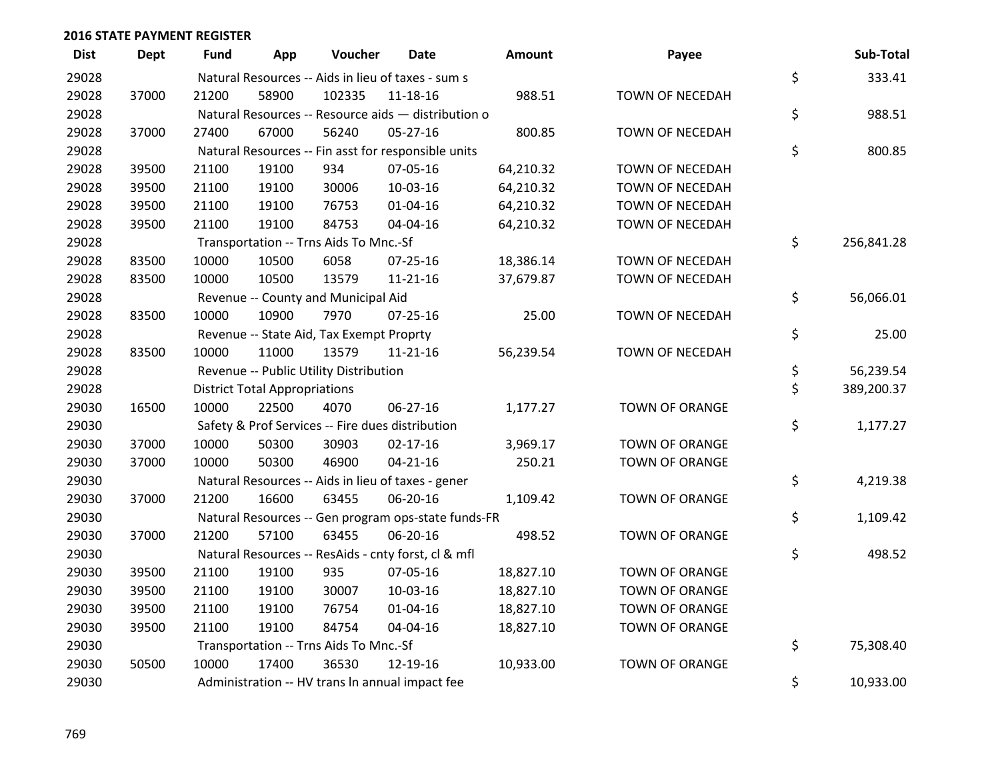| <b>Dist</b> | <b>Dept</b> | <b>Fund</b> | App                                  | Voucher                                  | Date                                                | Amount    | Payee                  | Sub-Total        |
|-------------|-------------|-------------|--------------------------------------|------------------------------------------|-----------------------------------------------------|-----------|------------------------|------------------|
| 29028       |             |             |                                      |                                          | Natural Resources -- Aids in lieu of taxes - sum s  |           |                        | \$<br>333.41     |
| 29028       | 37000       | 21200       | 58900                                | 102335                                   | 11-18-16                                            | 988.51    | TOWN OF NECEDAH        |                  |
| 29028       |             |             |                                      |                                          | Natural Resources -- Resource aids - distribution o |           |                        | \$<br>988.51     |
| 29028       | 37000       | 27400       | 67000                                | 56240                                    | 05-27-16                                            | 800.85    | <b>TOWN OF NECEDAH</b> |                  |
| 29028       |             |             |                                      |                                          | Natural Resources -- Fin asst for responsible units |           |                        | \$<br>800.85     |
| 29028       | 39500       | 21100       | 19100                                | 934                                      | 07-05-16                                            | 64,210.32 | TOWN OF NECEDAH        |                  |
| 29028       | 39500       | 21100       | 19100                                | 30006                                    | 10-03-16                                            | 64,210.32 | <b>TOWN OF NECEDAH</b> |                  |
| 29028       | 39500       | 21100       | 19100                                | 76753                                    | $01 - 04 - 16$                                      | 64,210.32 | TOWN OF NECEDAH        |                  |
| 29028       | 39500       | 21100       | 19100                                | 84753                                    | 04-04-16                                            | 64,210.32 | TOWN OF NECEDAH        |                  |
| 29028       |             |             |                                      | Transportation -- Trns Aids To Mnc.-Sf   |                                                     |           |                        | \$<br>256,841.28 |
| 29028       | 83500       | 10000       | 10500                                | 6058                                     | $07 - 25 - 16$                                      | 18,386.14 | TOWN OF NECEDAH        |                  |
| 29028       | 83500       | 10000       | 10500                                | 13579                                    | $11 - 21 - 16$                                      | 37,679.87 | TOWN OF NECEDAH        |                  |
| 29028       |             |             |                                      | Revenue -- County and Municipal Aid      |                                                     |           |                        | \$<br>56,066.01  |
| 29028       | 83500       | 10000       | 10900                                | 7970                                     | $07 - 25 - 16$                                      | 25.00     | TOWN OF NECEDAH        |                  |
| 29028       |             |             |                                      | Revenue -- State Aid, Tax Exempt Proprty |                                                     |           |                        | \$<br>25.00      |
| 29028       | 83500       | 10000       | 11000                                | 13579                                    | $11 - 21 - 16$                                      | 56,239.54 | TOWN OF NECEDAH        |                  |
| 29028       |             |             |                                      | Revenue -- Public Utility Distribution   |                                                     |           |                        | \$<br>56,239.54  |
| 29028       |             |             | <b>District Total Appropriations</b> |                                          |                                                     |           |                        | \$<br>389,200.37 |
| 29030       | 16500       | 10000       | 22500                                | 4070                                     | 06-27-16                                            | 1,177.27  | <b>TOWN OF ORANGE</b>  |                  |
| 29030       |             |             |                                      |                                          | Safety & Prof Services -- Fire dues distribution    |           |                        | \$<br>1,177.27   |
| 29030       | 37000       | 10000       | 50300                                | 30903                                    | $02 - 17 - 16$                                      | 3,969.17  | <b>TOWN OF ORANGE</b>  |                  |
| 29030       | 37000       | 10000       | 50300                                | 46900                                    | $04 - 21 - 16$                                      | 250.21    | <b>TOWN OF ORANGE</b>  |                  |
| 29030       |             |             |                                      |                                          | Natural Resources -- Aids in lieu of taxes - gener  |           |                        | \$<br>4,219.38   |
| 29030       | 37000       | 21200       | 16600                                | 63455                                    | 06-20-16                                            | 1,109.42  | <b>TOWN OF ORANGE</b>  |                  |
| 29030       |             |             |                                      |                                          | Natural Resources -- Gen program ops-state funds-FR |           |                        | \$<br>1,109.42   |
| 29030       | 37000       | 21200       | 57100                                | 63455                                    | 06-20-16                                            | 498.52    | <b>TOWN OF ORANGE</b>  |                  |
| 29030       |             |             |                                      |                                          | Natural Resources -- ResAids - cnty forst, cl & mfl |           |                        | \$<br>498.52     |
| 29030       | 39500       | 21100       | 19100                                | 935                                      | 07-05-16                                            | 18,827.10 | <b>TOWN OF ORANGE</b>  |                  |
| 29030       | 39500       | 21100       | 19100                                | 30007                                    | $10-03-16$                                          | 18,827.10 | <b>TOWN OF ORANGE</b>  |                  |
| 29030       | 39500       | 21100       | 19100                                | 76754                                    | $01 - 04 - 16$                                      | 18,827.10 | <b>TOWN OF ORANGE</b>  |                  |
| 29030       | 39500       | 21100       | 19100                                | 84754                                    | 04-04-16                                            | 18,827.10 | <b>TOWN OF ORANGE</b>  |                  |
| 29030       |             |             |                                      | Transportation -- Trns Aids To Mnc.-Sf   |                                                     |           |                        | \$<br>75,308.40  |
| 29030       | 50500       | 10000       | 17400                                | 36530                                    | 12-19-16                                            | 10,933.00 | <b>TOWN OF ORANGE</b>  |                  |
| 29030       |             |             |                                      |                                          | Administration -- HV trans In annual impact fee     |           |                        | \$<br>10,933.00  |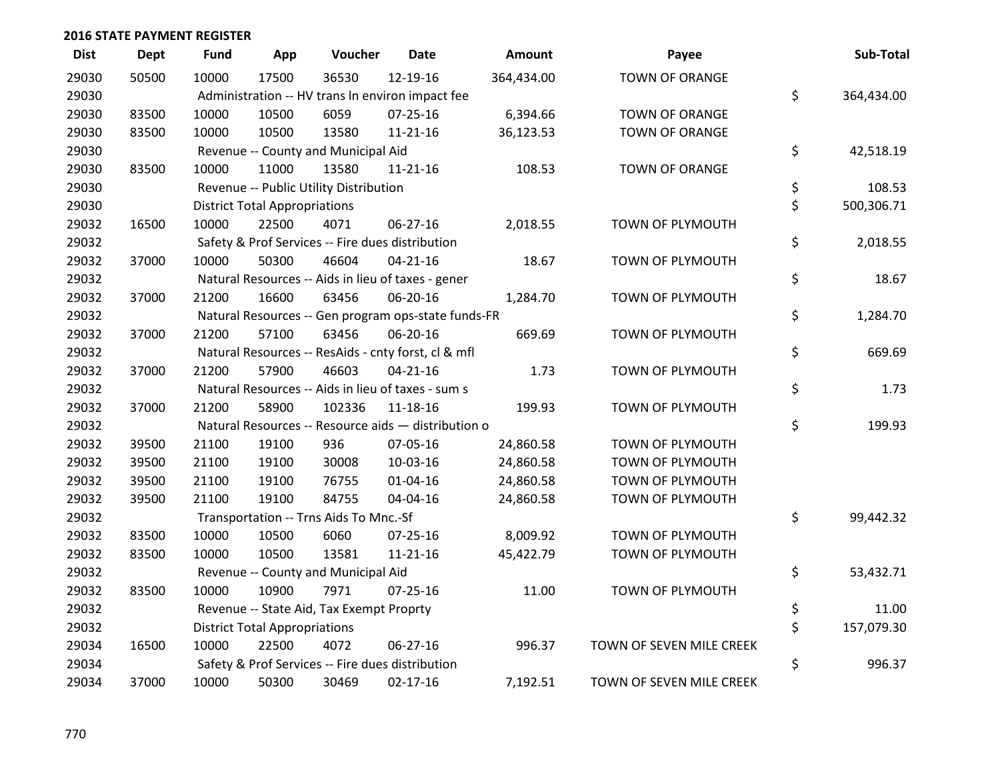| <b>Dist</b> | <b>Dept</b> | <b>Fund</b> | App                                  | Voucher                                  | <b>Date</b>                                         | <b>Amount</b> | Payee                    | Sub-Total        |
|-------------|-------------|-------------|--------------------------------------|------------------------------------------|-----------------------------------------------------|---------------|--------------------------|------------------|
| 29030       | 50500       | 10000       | 17500                                | 36530                                    | 12-19-16                                            | 364,434.00    | <b>TOWN OF ORANGE</b>    |                  |
| 29030       |             |             |                                      |                                          | Administration -- HV trans In environ impact fee    |               |                          | \$<br>364,434.00 |
| 29030       | 83500       | 10000       | 10500                                | 6059                                     | 07-25-16                                            | 6,394.66      | TOWN OF ORANGE           |                  |
| 29030       | 83500       | 10000       | 10500                                | 13580                                    | $11 - 21 - 16$                                      | 36,123.53     | <b>TOWN OF ORANGE</b>    |                  |
| 29030       |             |             |                                      | Revenue -- County and Municipal Aid      |                                                     |               |                          | \$<br>42,518.19  |
| 29030       | 83500       | 10000       | 11000                                | 13580                                    | $11 - 21 - 16$                                      | 108.53        | <b>TOWN OF ORANGE</b>    |                  |
| 29030       |             |             |                                      | Revenue -- Public Utility Distribution   |                                                     |               |                          | \$<br>108.53     |
| 29030       |             |             | <b>District Total Appropriations</b> |                                          |                                                     |               |                          | \$<br>500,306.71 |
| 29032       | 16500       | 10000       | 22500                                | 4071                                     | 06-27-16                                            | 2,018.55      | TOWN OF PLYMOUTH         |                  |
| 29032       |             |             |                                      |                                          | Safety & Prof Services -- Fire dues distribution    |               |                          | \$<br>2,018.55   |
| 29032       | 37000       | 10000       | 50300                                | 46604                                    | $04 - 21 - 16$                                      | 18.67         | TOWN OF PLYMOUTH         |                  |
| 29032       |             |             |                                      |                                          | Natural Resources -- Aids in lieu of taxes - gener  |               |                          | \$<br>18.67      |
| 29032       | 37000       | 21200       | 16600                                | 63456                                    | 06-20-16                                            | 1,284.70      | TOWN OF PLYMOUTH         |                  |
| 29032       |             |             |                                      |                                          | Natural Resources -- Gen program ops-state funds-FR |               |                          | \$<br>1,284.70   |
| 29032       | 37000       | 21200       | 57100                                | 63456                                    | 06-20-16                                            | 669.69        | TOWN OF PLYMOUTH         |                  |
| 29032       |             |             |                                      |                                          | Natural Resources -- ResAids - cnty forst, cl & mfl |               |                          | \$<br>669.69     |
| 29032       | 37000       | 21200       | 57900                                | 46603                                    | $04 - 21 - 16$                                      | 1.73          | TOWN OF PLYMOUTH         |                  |
| 29032       |             |             |                                      |                                          | Natural Resources -- Aids in lieu of taxes - sum s  |               |                          | \$<br>1.73       |
| 29032       | 37000       | 21200       | 58900                                | 102336                                   | 11-18-16                                            | 199.93        | TOWN OF PLYMOUTH         |                  |
| 29032       |             |             |                                      |                                          | Natural Resources -- Resource aids - distribution o |               |                          | \$<br>199.93     |
| 29032       | 39500       | 21100       | 19100                                | 936                                      | 07-05-16                                            | 24,860.58     | TOWN OF PLYMOUTH         |                  |
| 29032       | 39500       | 21100       | 19100                                | 30008                                    | 10-03-16                                            | 24,860.58     | TOWN OF PLYMOUTH         |                  |
| 29032       | 39500       | 21100       | 19100                                | 76755                                    | $01 - 04 - 16$                                      | 24,860.58     | TOWN OF PLYMOUTH         |                  |
| 29032       | 39500       | 21100       | 19100                                | 84755                                    | 04-04-16                                            | 24,860.58     | TOWN OF PLYMOUTH         |                  |
| 29032       |             |             |                                      | Transportation -- Trns Aids To Mnc.-Sf   |                                                     |               |                          | \$<br>99,442.32  |
| 29032       | 83500       | 10000       | 10500                                | 6060                                     | $07 - 25 - 16$                                      | 8,009.92      | TOWN OF PLYMOUTH         |                  |
| 29032       | 83500       | 10000       | 10500                                | 13581                                    | 11-21-16                                            | 45,422.79     | TOWN OF PLYMOUTH         |                  |
| 29032       |             |             |                                      | Revenue -- County and Municipal Aid      |                                                     |               |                          | \$<br>53,432.71  |
| 29032       | 83500       | 10000       | 10900                                | 7971                                     | $07 - 25 - 16$                                      | 11.00         | TOWN OF PLYMOUTH         |                  |
| 29032       |             |             |                                      | Revenue -- State Aid, Tax Exempt Proprty |                                                     |               |                          | \$<br>11.00      |
| 29032       |             |             | <b>District Total Appropriations</b> |                                          |                                                     |               |                          | \$<br>157,079.30 |
| 29034       | 16500       | 10000       | 22500                                | 4072                                     | 06-27-16                                            | 996.37        | TOWN OF SEVEN MILE CREEK |                  |
| 29034       |             |             |                                      |                                          | Safety & Prof Services -- Fire dues distribution    |               |                          | \$<br>996.37     |
| 29034       | 37000       | 10000       | 50300                                | 30469                                    | $02 - 17 - 16$                                      | 7,192.51      | TOWN OF SEVEN MILE CREEK |                  |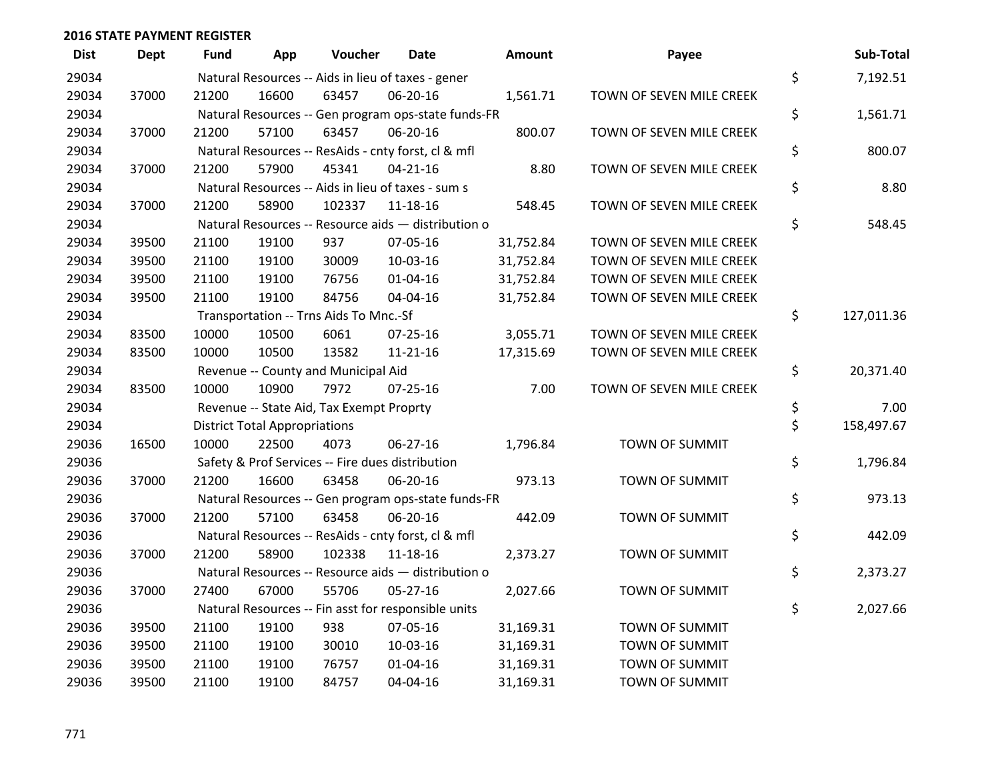| <b>Dist</b> | <b>Dept</b> | <b>Fund</b> | App                                  | Voucher                                             | <b>Date</b>    | <b>Amount</b> | Payee                    | Sub-Total        |
|-------------|-------------|-------------|--------------------------------------|-----------------------------------------------------|----------------|---------------|--------------------------|------------------|
| 29034       |             |             |                                      | Natural Resources -- Aids in lieu of taxes - gener  |                |               |                          | \$<br>7,192.51   |
| 29034       | 37000       | 21200       | 16600                                | 63457                                               | 06-20-16       | 1,561.71      | TOWN OF SEVEN MILE CREEK |                  |
| 29034       |             |             |                                      | Natural Resources -- Gen program ops-state funds-FR |                |               |                          | \$<br>1,561.71   |
| 29034       | 37000       | 21200       | 57100                                | 63457                                               | 06-20-16       | 800.07        | TOWN OF SEVEN MILE CREEK |                  |
| 29034       |             |             |                                      | Natural Resources -- ResAids - cnty forst, cl & mfl |                |               |                          | \$<br>800.07     |
| 29034       | 37000       | 21200       | 57900                                | 45341                                               | $04 - 21 - 16$ | 8.80          | TOWN OF SEVEN MILE CREEK |                  |
| 29034       |             |             |                                      | Natural Resources -- Aids in lieu of taxes - sum s  |                |               |                          | \$<br>8.80       |
| 29034       | 37000       | 21200       | 58900                                | 102337                                              | $11 - 18 - 16$ | 548.45        | TOWN OF SEVEN MILE CREEK |                  |
| 29034       |             |             |                                      | Natural Resources -- Resource aids - distribution o |                |               |                          | \$<br>548.45     |
| 29034       | 39500       | 21100       | 19100                                | 937                                                 | 07-05-16       | 31,752.84     | TOWN OF SEVEN MILE CREEK |                  |
| 29034       | 39500       | 21100       | 19100                                | 30009                                               | 10-03-16       | 31,752.84     | TOWN OF SEVEN MILE CREEK |                  |
| 29034       | 39500       | 21100       | 19100                                | 76756                                               | $01 - 04 - 16$ | 31,752.84     | TOWN OF SEVEN MILE CREEK |                  |
| 29034       | 39500       | 21100       | 19100                                | 84756                                               | 04-04-16       | 31,752.84     | TOWN OF SEVEN MILE CREEK |                  |
| 29034       |             |             |                                      | Transportation -- Trns Aids To Mnc.-Sf              |                |               |                          | \$<br>127,011.36 |
| 29034       | 83500       | 10000       | 10500                                | 6061                                                | $07 - 25 - 16$ | 3,055.71      | TOWN OF SEVEN MILE CREEK |                  |
| 29034       | 83500       | 10000       | 10500                                | 13582                                               | $11 - 21 - 16$ | 17,315.69     | TOWN OF SEVEN MILE CREEK |                  |
| 29034       |             |             |                                      | Revenue -- County and Municipal Aid                 |                |               |                          | \$<br>20,371.40  |
| 29034       | 83500       | 10000       | 10900                                | 7972                                                | $07 - 25 - 16$ | 7.00          | TOWN OF SEVEN MILE CREEK |                  |
| 29034       |             |             |                                      | Revenue -- State Aid, Tax Exempt Proprty            |                |               |                          | \$<br>7.00       |
| 29034       |             |             | <b>District Total Appropriations</b> |                                                     |                |               |                          | \$<br>158,497.67 |
| 29036       | 16500       | 10000       | 22500                                | 4073                                                | 06-27-16       | 1,796.84      | TOWN OF SUMMIT           |                  |
| 29036       |             |             |                                      | Safety & Prof Services -- Fire dues distribution    |                |               |                          | \$<br>1,796.84   |
| 29036       | 37000       | 21200       | 16600                                | 63458                                               | 06-20-16       | 973.13        | TOWN OF SUMMIT           |                  |
| 29036       |             |             |                                      | Natural Resources -- Gen program ops-state funds-FR |                |               |                          | \$<br>973.13     |
| 29036       | 37000       | 21200       | 57100                                | 63458                                               | 06-20-16       | 442.09        | <b>TOWN OF SUMMIT</b>    |                  |
| 29036       |             |             |                                      | Natural Resources -- ResAids - cnty forst, cl & mfl |                |               |                          | \$<br>442.09     |
| 29036       | 37000       | 21200       | 58900                                | 102338                                              | 11-18-16       | 2,373.27      | <b>TOWN OF SUMMIT</b>    |                  |
| 29036       |             |             |                                      | Natural Resources -- Resource aids - distribution o |                |               |                          | \$<br>2,373.27   |
| 29036       | 37000       | 27400       | 67000                                | 55706                                               | $05 - 27 - 16$ | 2,027.66      | TOWN OF SUMMIT           |                  |
| 29036       |             |             |                                      | Natural Resources -- Fin asst for responsible units |                |               |                          | \$<br>2,027.66   |
| 29036       | 39500       | 21100       | 19100                                | 938                                                 | 07-05-16       | 31,169.31     | TOWN OF SUMMIT           |                  |
| 29036       | 39500       | 21100       | 19100                                | 30010                                               | 10-03-16       | 31,169.31     | TOWN OF SUMMIT           |                  |
| 29036       | 39500       | 21100       | 19100                                | 76757                                               | $01 - 04 - 16$ | 31,169.31     | <b>TOWN OF SUMMIT</b>    |                  |
| 29036       | 39500       | 21100       | 19100                                | 84757                                               | 04-04-16       | 31,169.31     | <b>TOWN OF SUMMIT</b>    |                  |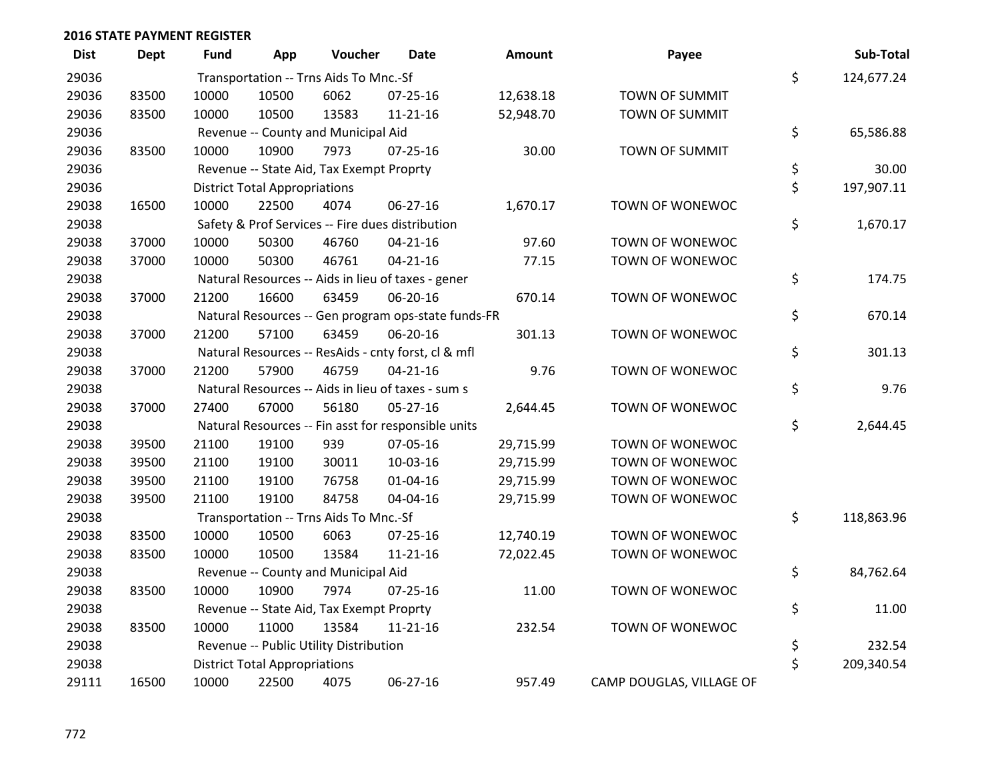| <b>Dist</b> | <b>Dept</b> | <b>Fund</b> | App                                  | Voucher                                             | <b>Date</b>    | <b>Amount</b> | Payee                    | Sub-Total        |
|-------------|-------------|-------------|--------------------------------------|-----------------------------------------------------|----------------|---------------|--------------------------|------------------|
| 29036       |             |             |                                      | Transportation -- Trns Aids To Mnc.-Sf              |                |               |                          | \$<br>124,677.24 |
| 29036       | 83500       | 10000       | 10500                                | 6062                                                | 07-25-16       | 12,638.18     | TOWN OF SUMMIT           |                  |
| 29036       | 83500       | 10000       | 10500                                | 13583                                               | $11 - 21 - 16$ | 52,948.70     | <b>TOWN OF SUMMIT</b>    |                  |
| 29036       |             |             |                                      | Revenue -- County and Municipal Aid                 |                |               |                          | \$<br>65,586.88  |
| 29036       | 83500       | 10000       | 10900                                | 7973                                                | $07 - 25 - 16$ | 30.00         | <b>TOWN OF SUMMIT</b>    |                  |
| 29036       |             |             |                                      | Revenue -- State Aid, Tax Exempt Proprty            |                |               |                          | \$<br>30.00      |
| 29036       |             |             | <b>District Total Appropriations</b> |                                                     |                |               |                          | \$<br>197,907.11 |
| 29038       | 16500       | 10000       | 22500                                | 4074                                                | 06-27-16       | 1,670.17      | TOWN OF WONEWOC          |                  |
| 29038       |             |             |                                      | Safety & Prof Services -- Fire dues distribution    |                |               |                          | \$<br>1,670.17   |
| 29038       | 37000       | 10000       | 50300                                | 46760                                               | $04 - 21 - 16$ | 97.60         | <b>TOWN OF WONEWOC</b>   |                  |
| 29038       | 37000       | 10000       | 50300                                | 46761                                               | $04 - 21 - 16$ | 77.15         | TOWN OF WONEWOC          |                  |
| 29038       |             |             |                                      | Natural Resources -- Aids in lieu of taxes - gener  |                |               |                          | \$<br>174.75     |
| 29038       | 37000       | 21200       | 16600                                | 63459                                               | 06-20-16       | 670.14        | TOWN OF WONEWOC          |                  |
| 29038       |             |             |                                      | Natural Resources -- Gen program ops-state funds-FR |                |               |                          | \$<br>670.14     |
| 29038       | 37000       | 21200       | 57100                                | 63459                                               | 06-20-16       | 301.13        | TOWN OF WONEWOC          |                  |
| 29038       |             |             |                                      | Natural Resources -- ResAids - cnty forst, cl & mfl |                |               |                          | \$<br>301.13     |
| 29038       | 37000       | 21200       | 57900                                | 46759                                               | $04 - 21 - 16$ | 9.76          | TOWN OF WONEWOC          |                  |
| 29038       |             |             |                                      | Natural Resources -- Aids in lieu of taxes - sum s  |                |               |                          | \$<br>9.76       |
| 29038       | 37000       | 27400       | 67000                                | 56180                                               | $05 - 27 - 16$ | 2,644.45      | TOWN OF WONEWOC          |                  |
| 29038       |             |             |                                      | Natural Resources -- Fin asst for responsible units |                |               |                          | \$<br>2,644.45   |
| 29038       | 39500       | 21100       | 19100                                | 939                                                 | 07-05-16       | 29,715.99     | TOWN OF WONEWOC          |                  |
| 29038       | 39500       | 21100       | 19100                                | 30011                                               | 10-03-16       | 29,715.99     | TOWN OF WONEWOC          |                  |
| 29038       | 39500       | 21100       | 19100                                | 76758                                               | $01 - 04 - 16$ | 29,715.99     | TOWN OF WONEWOC          |                  |
| 29038       | 39500       | 21100       | 19100                                | 84758                                               | 04-04-16       | 29,715.99     | TOWN OF WONEWOC          |                  |
| 29038       |             |             |                                      | Transportation -- Trns Aids To Mnc.-Sf              |                |               |                          | \$<br>118,863.96 |
| 29038       | 83500       | 10000       | 10500                                | 6063                                                | $07 - 25 - 16$ | 12,740.19     | <b>TOWN OF WONEWOC</b>   |                  |
| 29038       | 83500       | 10000       | 10500                                | 13584                                               | $11 - 21 - 16$ | 72,022.45     | TOWN OF WONEWOC          |                  |
| 29038       |             |             |                                      | Revenue -- County and Municipal Aid                 |                |               |                          | \$<br>84,762.64  |
| 29038       | 83500       | 10000       | 10900                                | 7974                                                | $07 - 25 - 16$ | 11.00         | TOWN OF WONEWOC          |                  |
| 29038       |             |             |                                      | Revenue -- State Aid, Tax Exempt Proprty            |                |               |                          | \$<br>11.00      |
| 29038       | 83500       | 10000       | 11000                                | 13584                                               | $11 - 21 - 16$ | 232.54        | TOWN OF WONEWOC          |                  |
| 29038       |             |             |                                      | Revenue -- Public Utility Distribution              |                |               |                          | \$<br>232.54     |
| 29038       |             |             | <b>District Total Appropriations</b> |                                                     |                |               |                          | \$<br>209,340.54 |
| 29111       | 16500       | 10000       | 22500                                | 4075                                                | 06-27-16       | 957.49        | CAMP DOUGLAS, VILLAGE OF |                  |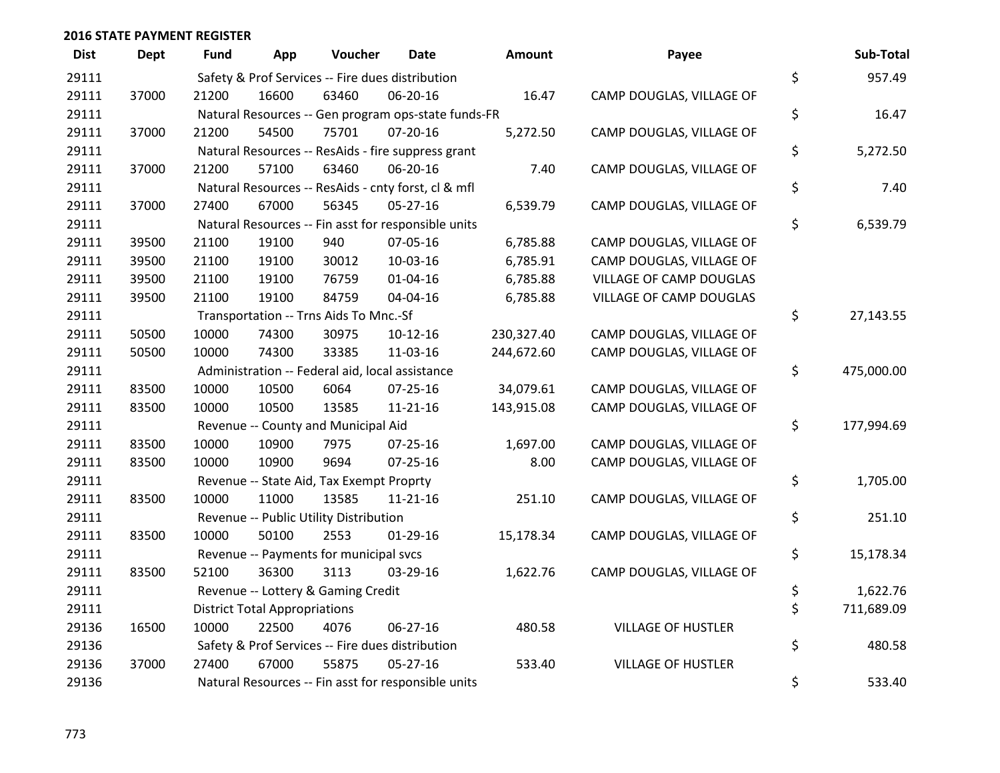| <b>Dist</b> | <b>Dept</b> | <b>Fund</b> | App                                  | Voucher                                             | <b>Date</b>    | <b>Amount</b> | Payee                     | Sub-Total        |
|-------------|-------------|-------------|--------------------------------------|-----------------------------------------------------|----------------|---------------|---------------------------|------------------|
| 29111       |             |             |                                      | Safety & Prof Services -- Fire dues distribution    |                |               |                           | \$<br>957.49     |
| 29111       | 37000       | 21200       | 16600                                | 63460                                               | 06-20-16       | 16.47         | CAMP DOUGLAS, VILLAGE OF  |                  |
| 29111       |             |             |                                      | Natural Resources -- Gen program ops-state funds-FR |                |               |                           | \$<br>16.47      |
| 29111       | 37000       | 21200       | 54500                                | 75701                                               | 07-20-16       | 5,272.50      | CAMP DOUGLAS, VILLAGE OF  |                  |
| 29111       |             |             |                                      | Natural Resources -- ResAids - fire suppress grant  |                |               |                           | \$<br>5,272.50   |
| 29111       | 37000       | 21200       | 57100                                | 63460                                               | 06-20-16       | 7.40          | CAMP DOUGLAS, VILLAGE OF  |                  |
| 29111       |             |             |                                      | Natural Resources -- ResAids - cnty forst, cl & mfl |                |               |                           | \$<br>7.40       |
| 29111       | 37000       | 27400       | 67000                                | 56345                                               | $05 - 27 - 16$ | 6,539.79      | CAMP DOUGLAS, VILLAGE OF  |                  |
| 29111       |             |             |                                      | Natural Resources -- Fin asst for responsible units |                |               |                           | \$<br>6,539.79   |
| 29111       | 39500       | 21100       | 19100                                | 940                                                 | 07-05-16       | 6,785.88      | CAMP DOUGLAS, VILLAGE OF  |                  |
| 29111       | 39500       | 21100       | 19100                                | 30012                                               | 10-03-16       | 6,785.91      | CAMP DOUGLAS, VILLAGE OF  |                  |
| 29111       | 39500       | 21100       | 19100                                | 76759                                               | $01 - 04 - 16$ | 6,785.88      | VILLAGE OF CAMP DOUGLAS   |                  |
| 29111       | 39500       | 21100       | 19100                                | 84759                                               | 04-04-16       | 6,785.88      | VILLAGE OF CAMP DOUGLAS   |                  |
| 29111       |             |             |                                      | Transportation -- Trns Aids To Mnc.-Sf              |                |               |                           | \$<br>27,143.55  |
| 29111       | 50500       | 10000       | 74300                                | 30975                                               | $10-12-16$     | 230,327.40    | CAMP DOUGLAS, VILLAGE OF  |                  |
| 29111       | 50500       | 10000       | 74300                                | 33385                                               | 11-03-16       | 244,672.60    | CAMP DOUGLAS, VILLAGE OF  |                  |
| 29111       |             |             |                                      | Administration -- Federal aid, local assistance     |                |               |                           | \$<br>475,000.00 |
| 29111       | 83500       | 10000       | 10500                                | 6064                                                | $07 - 25 - 16$ | 34,079.61     | CAMP DOUGLAS, VILLAGE OF  |                  |
| 29111       | 83500       | 10000       | 10500                                | 13585                                               | $11 - 21 - 16$ | 143,915.08    | CAMP DOUGLAS, VILLAGE OF  |                  |
| 29111       |             |             |                                      | Revenue -- County and Municipal Aid                 |                |               |                           | \$<br>177,994.69 |
| 29111       | 83500       | 10000       | 10900                                | 7975                                                | 07-25-16       | 1,697.00      | CAMP DOUGLAS, VILLAGE OF  |                  |
| 29111       | 83500       | 10000       | 10900                                | 9694                                                | $07 - 25 - 16$ | 8.00          | CAMP DOUGLAS, VILLAGE OF  |                  |
| 29111       |             |             |                                      | Revenue -- State Aid, Tax Exempt Proprty            |                |               |                           | \$<br>1,705.00   |
| 29111       | 83500       | 10000       | 11000                                | 13585                                               | 11-21-16       | 251.10        | CAMP DOUGLAS, VILLAGE OF  |                  |
| 29111       |             |             |                                      | Revenue -- Public Utility Distribution              |                |               |                           | \$<br>251.10     |
| 29111       | 83500       | 10000       | 50100                                | 2553                                                | $01-29-16$     | 15,178.34     | CAMP DOUGLAS, VILLAGE OF  |                  |
| 29111       |             |             |                                      | Revenue -- Payments for municipal svcs              |                |               |                           | \$<br>15,178.34  |
| 29111       | 83500       | 52100       | 36300                                | 3113                                                | 03-29-16       | 1,622.76      | CAMP DOUGLAS, VILLAGE OF  |                  |
| 29111       |             |             |                                      | Revenue -- Lottery & Gaming Credit                  |                |               |                           | \$<br>1,622.76   |
| 29111       |             |             | <b>District Total Appropriations</b> |                                                     |                |               |                           | \$<br>711,689.09 |
| 29136       | 16500       | 10000       | 22500                                | 4076                                                | $06 - 27 - 16$ | 480.58        | <b>VILLAGE OF HUSTLER</b> |                  |
| 29136       |             |             |                                      | Safety & Prof Services -- Fire dues distribution    |                |               |                           | \$<br>480.58     |
| 29136       | 37000       | 27400       | 67000                                | 55875                                               | $05 - 27 - 16$ | 533.40        | <b>VILLAGE OF HUSTLER</b> |                  |
| 29136       |             |             |                                      | Natural Resources -- Fin asst for responsible units |                |               |                           | \$<br>533.40     |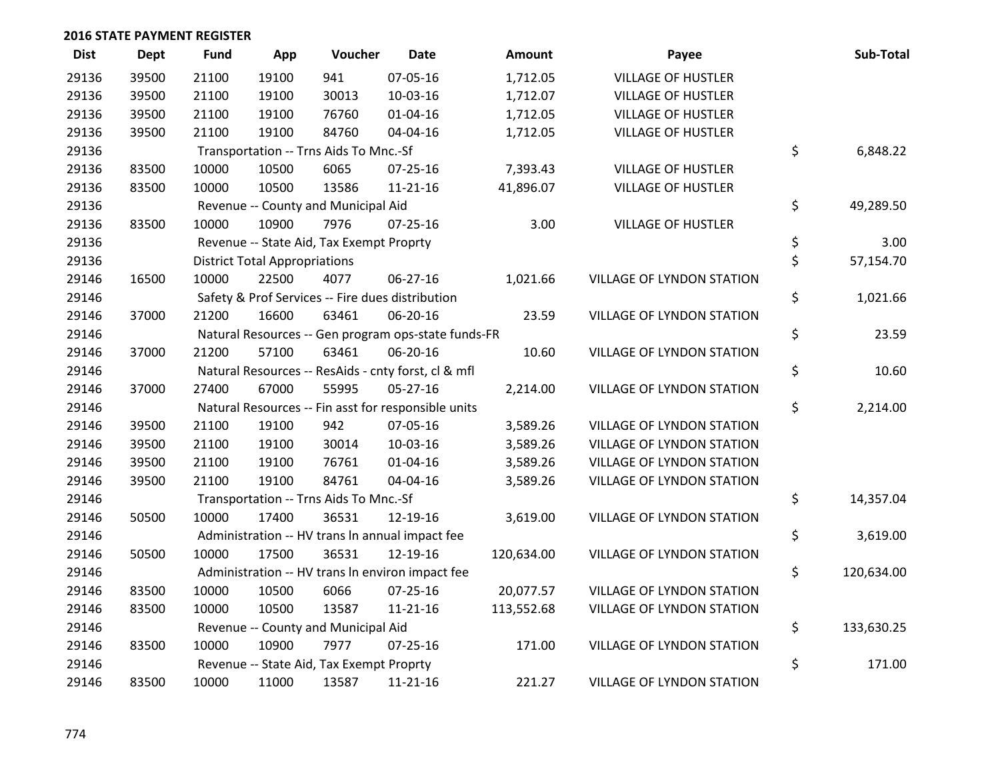| <b>Dist</b> | <b>Dept</b> | <b>Fund</b> | App                                  | Voucher                                          | Date                                                | <b>Amount</b> | Payee                            | Sub-Total        |
|-------------|-------------|-------------|--------------------------------------|--------------------------------------------------|-----------------------------------------------------|---------------|----------------------------------|------------------|
| 29136       | 39500       | 21100       | 19100                                | 941                                              | 07-05-16                                            | 1,712.05      | <b>VILLAGE OF HUSTLER</b>        |                  |
| 29136       | 39500       | 21100       | 19100                                | 30013                                            | 10-03-16                                            | 1,712.07      | <b>VILLAGE OF HUSTLER</b>        |                  |
| 29136       | 39500       | 21100       | 19100                                | 76760                                            | $01 - 04 - 16$                                      | 1,712.05      | <b>VILLAGE OF HUSTLER</b>        |                  |
| 29136       | 39500       | 21100       | 19100                                | 84760                                            | 04-04-16                                            | 1,712.05      | <b>VILLAGE OF HUSTLER</b>        |                  |
| 29136       |             |             |                                      | Transportation -- Trns Aids To Mnc.-Sf           |                                                     |               |                                  | \$<br>6,848.22   |
| 29136       | 83500       | 10000       | 10500                                | 6065                                             | $07 - 25 - 16$                                      | 7,393.43      | <b>VILLAGE OF HUSTLER</b>        |                  |
| 29136       | 83500       | 10000       | 10500                                | 13586                                            | $11 - 21 - 16$                                      | 41,896.07     | <b>VILLAGE OF HUSTLER</b>        |                  |
| 29136       |             |             |                                      | Revenue -- County and Municipal Aid              |                                                     |               |                                  | \$<br>49,289.50  |
| 29136       | 83500       | 10000       | 10900                                | 7976                                             | $07 - 25 - 16$                                      | 3.00          | <b>VILLAGE OF HUSTLER</b>        |                  |
| 29136       |             |             |                                      | Revenue -- State Aid, Tax Exempt Proprty         |                                                     |               |                                  | \$<br>3.00       |
| 29136       |             |             | <b>District Total Appropriations</b> |                                                  |                                                     |               |                                  | \$<br>57,154.70  |
| 29146       | 16500       | 10000       | 22500                                | 4077                                             | 06-27-16                                            | 1,021.66      | VILLAGE OF LYNDON STATION        |                  |
| 29146       |             |             |                                      | Safety & Prof Services -- Fire dues distribution |                                                     |               |                                  | \$<br>1,021.66   |
| 29146       | 37000       | 21200       | 16600                                | 63461                                            | 06-20-16                                            | 23.59         | VILLAGE OF LYNDON STATION        |                  |
| 29146       |             |             |                                      |                                                  | Natural Resources -- Gen program ops-state funds-FR |               |                                  | \$<br>23.59      |
| 29146       | 37000       | 21200       | 57100                                | 63461                                            | 06-20-16                                            | 10.60         | VILLAGE OF LYNDON STATION        |                  |
| 29146       |             |             |                                      |                                                  | Natural Resources -- ResAids - cnty forst, cl & mfl |               |                                  | \$<br>10.60      |
| 29146       | 37000       | 27400       | 67000                                | 55995                                            | $05 - 27 - 16$                                      | 2,214.00      | VILLAGE OF LYNDON STATION        |                  |
| 29146       |             |             |                                      |                                                  | Natural Resources -- Fin asst for responsible units |               |                                  | \$<br>2,214.00   |
| 29146       | 39500       | 21100       | 19100                                | 942                                              | 07-05-16                                            | 3,589.26      | VILLAGE OF LYNDON STATION        |                  |
| 29146       | 39500       | 21100       | 19100                                | 30014                                            | 10-03-16                                            | 3,589.26      | VILLAGE OF LYNDON STATION        |                  |
| 29146       | 39500       | 21100       | 19100                                | 76761                                            | $01 - 04 - 16$                                      | 3,589.26      | VILLAGE OF LYNDON STATION        |                  |
| 29146       | 39500       | 21100       | 19100                                | 84761                                            | 04-04-16                                            | 3,589.26      | VILLAGE OF LYNDON STATION        |                  |
| 29146       |             |             |                                      | Transportation -- Trns Aids To Mnc.-Sf           |                                                     |               |                                  | \$<br>14,357.04  |
| 29146       | 50500       | 10000       | 17400                                | 36531                                            | 12-19-16                                            | 3,619.00      | <b>VILLAGE OF LYNDON STATION</b> |                  |
| 29146       |             |             |                                      |                                                  | Administration -- HV trans In annual impact fee     |               |                                  | \$<br>3,619.00   |
| 29146       | 50500       | 10000       | 17500                                | 36531                                            | 12-19-16                                            | 120,634.00    | VILLAGE OF LYNDON STATION        |                  |
| 29146       |             |             |                                      |                                                  | Administration -- HV trans In environ impact fee    |               |                                  | \$<br>120,634.00 |
| 29146       | 83500       | 10000       | 10500                                | 6066                                             | 07-25-16                                            | 20,077.57     | VILLAGE OF LYNDON STATION        |                  |
| 29146       | 83500       | 10000       | 10500                                | 13587                                            | $11 - 21 - 16$                                      | 113,552.68    | VILLAGE OF LYNDON STATION        |                  |
| 29146       |             |             |                                      | Revenue -- County and Municipal Aid              |                                                     |               |                                  | \$<br>133,630.25 |
| 29146       | 83500       | 10000       | 10900                                | 7977                                             | $07 - 25 - 16$                                      | 171.00        | VILLAGE OF LYNDON STATION        |                  |
| 29146       |             |             |                                      | Revenue -- State Aid, Tax Exempt Proprty         |                                                     |               |                                  | \$<br>171.00     |
| 29146       | 83500       | 10000       | 11000                                | 13587                                            | 11-21-16                                            | 221.27        | <b>VILLAGE OF LYNDON STATION</b> |                  |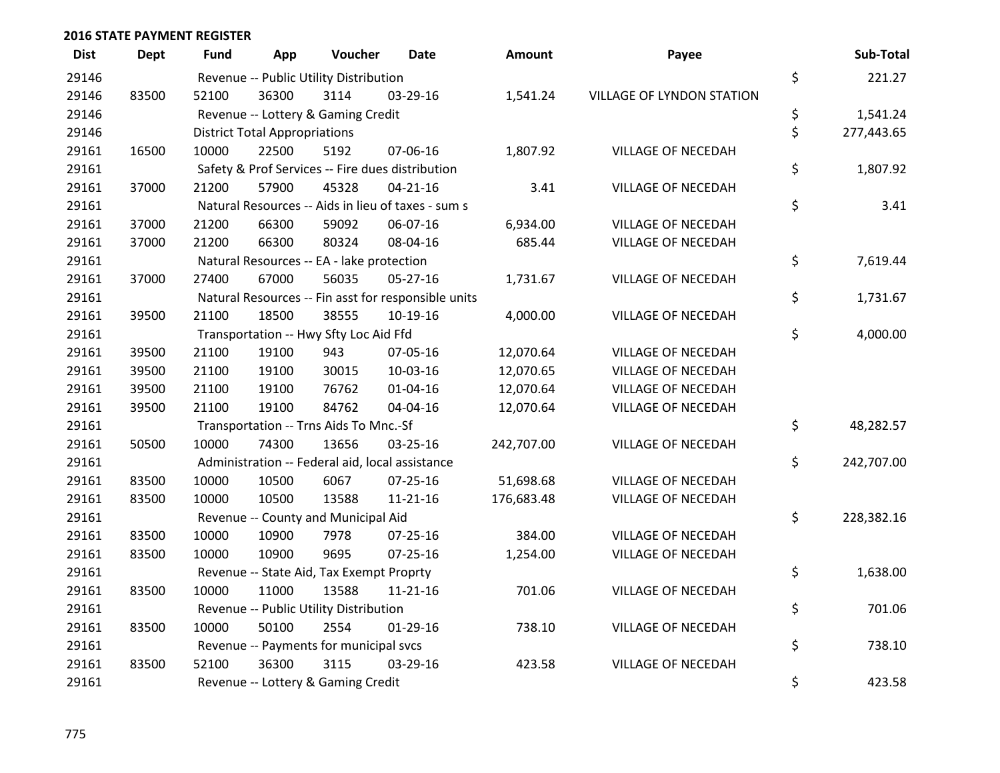| <b>Dist</b> | <b>Dept</b> | <b>Fund</b> | App                                  | Voucher                                             | <b>Date</b>    | <b>Amount</b> | Payee                     | Sub-Total        |
|-------------|-------------|-------------|--------------------------------------|-----------------------------------------------------|----------------|---------------|---------------------------|------------------|
| 29146       |             |             |                                      | Revenue -- Public Utility Distribution              |                |               |                           | \$<br>221.27     |
| 29146       | 83500       | 52100       | 36300                                | 3114                                                | 03-29-16       | 1,541.24      | VILLAGE OF LYNDON STATION |                  |
| 29146       |             |             |                                      | Revenue -- Lottery & Gaming Credit                  |                |               |                           | \$<br>1,541.24   |
| 29146       |             |             | <b>District Total Appropriations</b> |                                                     |                |               |                           | \$<br>277,443.65 |
| 29161       | 16500       | 10000       | 22500                                | 5192                                                | 07-06-16       | 1,807.92      | <b>VILLAGE OF NECEDAH</b> |                  |
| 29161       |             |             |                                      | Safety & Prof Services -- Fire dues distribution    |                |               |                           | \$<br>1,807.92   |
| 29161       | 37000       | 21200       | 57900                                | 45328                                               | $04 - 21 - 16$ | 3.41          | VILLAGE OF NECEDAH        |                  |
| 29161       |             |             |                                      | Natural Resources -- Aids in lieu of taxes - sum s  |                |               |                           | \$<br>3.41       |
| 29161       | 37000       | 21200       | 66300                                | 59092                                               | 06-07-16       | 6,934.00      | <b>VILLAGE OF NECEDAH</b> |                  |
| 29161       | 37000       | 21200       | 66300                                | 80324                                               | 08-04-16       | 685.44        | VILLAGE OF NECEDAH        |                  |
| 29161       |             |             |                                      | Natural Resources -- EA - lake protection           |                |               |                           | \$<br>7,619.44   |
| 29161       | 37000       | 27400       | 67000                                | 56035                                               | 05-27-16       | 1,731.67      | VILLAGE OF NECEDAH        |                  |
| 29161       |             |             |                                      | Natural Resources -- Fin asst for responsible units |                |               |                           | \$<br>1,731.67   |
| 29161       | 39500       | 21100       | 18500                                | 38555                                               | 10-19-16       | 4,000.00      | VILLAGE OF NECEDAH        |                  |
| 29161       |             |             |                                      | Transportation -- Hwy Sfty Loc Aid Ffd              |                |               |                           | \$<br>4,000.00   |
| 29161       | 39500       | 21100       | 19100                                | 943                                                 | 07-05-16       | 12,070.64     | VILLAGE OF NECEDAH        |                  |
| 29161       | 39500       | 21100       | 19100                                | 30015                                               | 10-03-16       | 12,070.65     | VILLAGE OF NECEDAH        |                  |
| 29161       | 39500       | 21100       | 19100                                | 76762                                               | $01 - 04 - 16$ | 12,070.64     | <b>VILLAGE OF NECEDAH</b> |                  |
| 29161       | 39500       | 21100       | 19100                                | 84762                                               | 04-04-16       | 12,070.64     | VILLAGE OF NECEDAH        |                  |
| 29161       |             |             |                                      | Transportation -- Trns Aids To Mnc.-Sf              |                |               |                           | \$<br>48,282.57  |
| 29161       | 50500       | 10000       | 74300                                | 13656                                               | 03-25-16       | 242,707.00    | VILLAGE OF NECEDAH        |                  |
| 29161       |             |             |                                      | Administration -- Federal aid, local assistance     |                |               |                           | \$<br>242,707.00 |
| 29161       | 83500       | 10000       | 10500                                | 6067                                                | $07 - 25 - 16$ | 51,698.68     | <b>VILLAGE OF NECEDAH</b> |                  |
| 29161       | 83500       | 10000       | 10500                                | 13588                                               | $11 - 21 - 16$ | 176,683.48    | VILLAGE OF NECEDAH        |                  |
| 29161       |             |             |                                      | Revenue -- County and Municipal Aid                 |                |               |                           | \$<br>228,382.16 |
| 29161       | 83500       | 10000       | 10900                                | 7978                                                | $07 - 25 - 16$ | 384.00        | <b>VILLAGE OF NECEDAH</b> |                  |
| 29161       | 83500       | 10000       | 10900                                | 9695                                                | 07-25-16       | 1,254.00      | VILLAGE OF NECEDAH        |                  |
| 29161       |             |             |                                      | Revenue -- State Aid, Tax Exempt Proprty            |                |               |                           | \$<br>1,638.00   |
| 29161       | 83500       | 10000       | 11000                                | 13588                                               | $11 - 21 - 16$ | 701.06        | <b>VILLAGE OF NECEDAH</b> |                  |
| 29161       |             |             |                                      | Revenue -- Public Utility Distribution              |                |               |                           | \$<br>701.06     |
| 29161       | 83500       | 10000       | 50100                                | 2554                                                | 01-29-16       | 738.10        | VILLAGE OF NECEDAH        |                  |
| 29161       |             |             |                                      | Revenue -- Payments for municipal svcs              |                |               |                           | \$<br>738.10     |
| 29161       | 83500       | 52100       | 36300                                | 3115                                                | 03-29-16       | 423.58        | <b>VILLAGE OF NECEDAH</b> |                  |
| 29161       |             |             |                                      | Revenue -- Lottery & Gaming Credit                  |                |               |                           | \$<br>423.58     |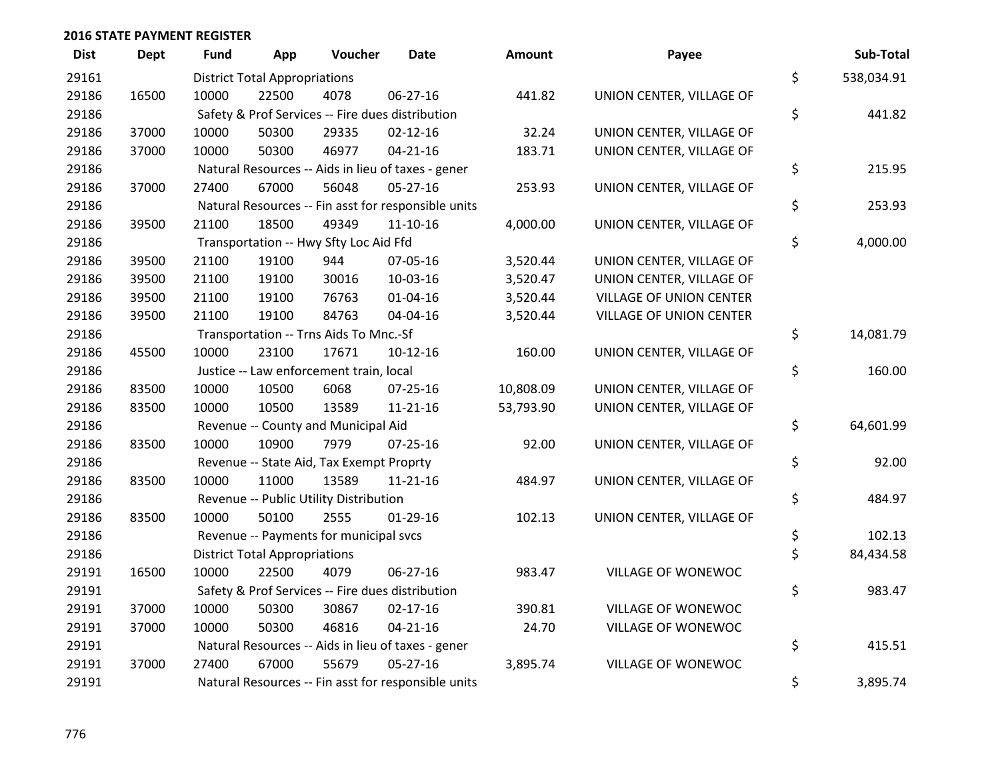| <b>Dist</b> | <b>Dept</b> | Fund  | App                                  | Voucher                                  | <b>Date</b>                                         | <b>Amount</b> | Payee                          | Sub-Total        |
|-------------|-------------|-------|--------------------------------------|------------------------------------------|-----------------------------------------------------|---------------|--------------------------------|------------------|
| 29161       |             |       | <b>District Total Appropriations</b> |                                          |                                                     |               |                                | \$<br>538,034.91 |
| 29186       | 16500       | 10000 | 22500                                | 4078                                     | 06-27-16                                            | 441.82        | UNION CENTER, VILLAGE OF       |                  |
| 29186       |             |       |                                      |                                          | Safety & Prof Services -- Fire dues distribution    |               |                                | \$<br>441.82     |
| 29186       | 37000       | 10000 | 50300                                | 29335                                    | $02 - 12 - 16$                                      | 32.24         | UNION CENTER, VILLAGE OF       |                  |
| 29186       | 37000       | 10000 | 50300                                | 46977                                    | $04 - 21 - 16$                                      | 183.71        | UNION CENTER, VILLAGE OF       |                  |
| 29186       |             |       |                                      |                                          | Natural Resources -- Aids in lieu of taxes - gener  |               |                                | \$<br>215.95     |
| 29186       | 37000       | 27400 | 67000                                | 56048                                    | $05 - 27 - 16$                                      | 253.93        | UNION CENTER, VILLAGE OF       |                  |
| 29186       |             |       |                                      |                                          | Natural Resources -- Fin asst for responsible units |               |                                | \$<br>253.93     |
| 29186       | 39500       | 21100 | 18500                                | 49349                                    | $11 - 10 - 16$                                      | 4,000.00      | UNION CENTER, VILLAGE OF       |                  |
| 29186       |             |       |                                      | Transportation -- Hwy Sfty Loc Aid Ffd   |                                                     |               |                                | \$<br>4,000.00   |
| 29186       | 39500       | 21100 | 19100                                | 944                                      | 07-05-16                                            | 3,520.44      | UNION CENTER, VILLAGE OF       |                  |
| 29186       | 39500       | 21100 | 19100                                | 30016                                    | 10-03-16                                            | 3,520.47      | UNION CENTER, VILLAGE OF       |                  |
| 29186       | 39500       | 21100 | 19100                                | 76763                                    | 01-04-16                                            | 3,520.44      | <b>VILLAGE OF UNION CENTER</b> |                  |
| 29186       | 39500       | 21100 | 19100                                | 84763                                    | 04-04-16                                            | 3,520.44      | VILLAGE OF UNION CENTER        |                  |
| 29186       |             |       |                                      | Transportation -- Trns Aids To Mnc.-Sf   |                                                     |               |                                | \$<br>14,081.79  |
| 29186       | 45500       | 10000 | 23100                                | 17671                                    | $10-12-16$                                          | 160.00        | UNION CENTER, VILLAGE OF       |                  |
| 29186       |             |       |                                      | Justice -- Law enforcement train, local  |                                                     |               |                                | \$<br>160.00     |
| 29186       | 83500       | 10000 | 10500                                | 6068                                     | 07-25-16                                            | 10,808.09     | UNION CENTER, VILLAGE OF       |                  |
| 29186       | 83500       | 10000 | 10500                                | 13589                                    | 11-21-16                                            | 53,793.90     | UNION CENTER, VILLAGE OF       |                  |
| 29186       |             |       |                                      | Revenue -- County and Municipal Aid      |                                                     |               |                                | \$<br>64,601.99  |
| 29186       | 83500       | 10000 | 10900                                | 7979                                     | $07 - 25 - 16$                                      | 92.00         | UNION CENTER, VILLAGE OF       |                  |
| 29186       |             |       |                                      | Revenue -- State Aid, Tax Exempt Proprty |                                                     |               |                                | \$<br>92.00      |
| 29186       | 83500       | 10000 | 11000                                | 13589                                    | $11 - 21 - 16$                                      | 484.97        | UNION CENTER, VILLAGE OF       |                  |
| 29186       |             |       |                                      | Revenue -- Public Utility Distribution   |                                                     |               |                                | \$<br>484.97     |
| 29186       | 83500       | 10000 | 50100                                | 2555                                     | $01-29-16$                                          | 102.13        | UNION CENTER, VILLAGE OF       |                  |
| 29186       |             |       |                                      | Revenue -- Payments for municipal svcs   |                                                     |               |                                | \$<br>102.13     |
| 29186       |             |       | <b>District Total Appropriations</b> |                                          |                                                     |               |                                | \$<br>84,434.58  |
| 29191       | 16500       | 10000 | 22500                                | 4079                                     | 06-27-16                                            | 983.47        | VILLAGE OF WONEWOC             |                  |
| 29191       |             |       |                                      |                                          | Safety & Prof Services -- Fire dues distribution    |               |                                | \$<br>983.47     |
| 29191       | 37000       | 10000 | 50300                                | 30867                                    | $02 - 17 - 16$                                      | 390.81        | <b>VILLAGE OF WONEWOC</b>      |                  |
| 29191       | 37000       | 10000 | 50300                                | 46816                                    | $04 - 21 - 16$                                      | 24.70         | VILLAGE OF WONEWOC             |                  |
| 29191       |             |       |                                      |                                          | Natural Resources -- Aids in lieu of taxes - gener  |               |                                | \$<br>415.51     |
| 29191       | 37000       | 27400 | 67000                                | 55679                                    | $05 - 27 - 16$                                      | 3,895.74      | VILLAGE OF WONEWOC             |                  |
| 29191       |             |       |                                      |                                          | Natural Resources -- Fin asst for responsible units |               |                                | \$<br>3,895.74   |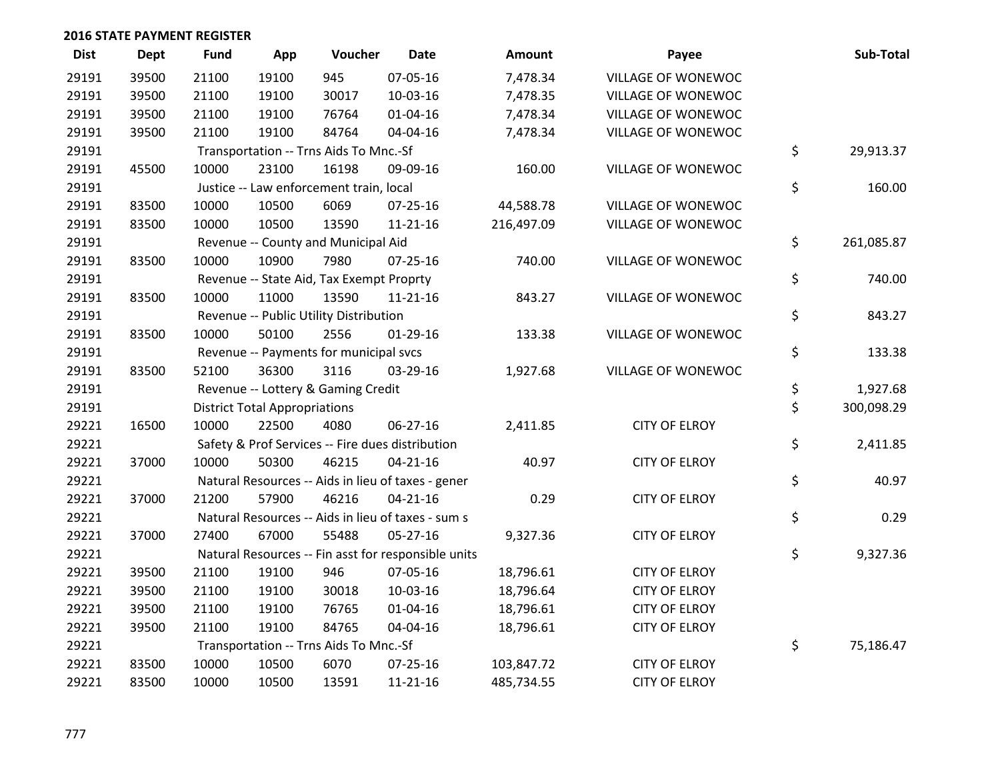| <b>Dist</b> | <b>Dept</b> | <b>Fund</b> | App                                  | Voucher                                  | <b>Date</b>                                         | Amount     | Payee                | Sub-Total        |
|-------------|-------------|-------------|--------------------------------------|------------------------------------------|-----------------------------------------------------|------------|----------------------|------------------|
| 29191       | 39500       | 21100       | 19100                                | 945                                      | 07-05-16                                            | 7,478.34   | VILLAGE OF WONEWOC   |                  |
| 29191       | 39500       | 21100       | 19100                                | 30017                                    | 10-03-16                                            | 7,478.35   | VILLAGE OF WONEWOC   |                  |
| 29191       | 39500       | 21100       | 19100                                | 76764                                    | $01 - 04 - 16$                                      | 7,478.34   | VILLAGE OF WONEWOC   |                  |
| 29191       | 39500       | 21100       | 19100                                | 84764                                    | 04-04-16                                            | 7,478.34   | VILLAGE OF WONEWOC   |                  |
| 29191       |             |             |                                      | Transportation -- Trns Aids To Mnc.-Sf   |                                                     |            |                      | \$<br>29,913.37  |
| 29191       | 45500       | 10000       | 23100                                | 16198                                    | 09-09-16                                            | 160.00     | VILLAGE OF WONEWOC   |                  |
| 29191       |             |             |                                      | Justice -- Law enforcement train, local  |                                                     |            |                      | \$<br>160.00     |
| 29191       | 83500       | 10000       | 10500                                | 6069                                     | 07-25-16                                            | 44,588.78  | VILLAGE OF WONEWOC   |                  |
| 29191       | 83500       | 10000       | 10500                                | 13590                                    | 11-21-16                                            | 216,497.09 | VILLAGE OF WONEWOC   |                  |
| 29191       |             |             |                                      | Revenue -- County and Municipal Aid      |                                                     |            |                      | \$<br>261,085.87 |
| 29191       | 83500       | 10000       | 10900                                | 7980                                     | $07 - 25 - 16$                                      | 740.00     | VILLAGE OF WONEWOC   |                  |
| 29191       |             |             |                                      | Revenue -- State Aid, Tax Exempt Proprty |                                                     |            |                      | \$<br>740.00     |
| 29191       | 83500       | 10000       | 11000                                | 13590                                    | $11 - 21 - 16$                                      | 843.27     | VILLAGE OF WONEWOC   |                  |
| 29191       |             |             |                                      | Revenue -- Public Utility Distribution   |                                                     |            |                      | \$<br>843.27     |
| 29191       | 83500       | 10000       | 50100                                | 2556                                     | $01-29-16$                                          | 133.38     | VILLAGE OF WONEWOC   |                  |
| 29191       |             |             |                                      | Revenue -- Payments for municipal svcs   |                                                     |            |                      | \$<br>133.38     |
| 29191       | 83500       | 52100       | 36300                                | 3116                                     | 03-29-16                                            | 1,927.68   | VILLAGE OF WONEWOC   |                  |
| 29191       |             |             |                                      | Revenue -- Lottery & Gaming Credit       |                                                     |            |                      | \$<br>1,927.68   |
| 29191       |             |             | <b>District Total Appropriations</b> |                                          |                                                     |            |                      | \$<br>300,098.29 |
| 29221       | 16500       | 10000       | 22500                                | 4080                                     | 06-27-16                                            | 2,411.85   | <b>CITY OF ELROY</b> |                  |
| 29221       |             |             |                                      |                                          | Safety & Prof Services -- Fire dues distribution    |            |                      | \$<br>2,411.85   |
| 29221       | 37000       | 10000       | 50300                                | 46215                                    | $04 - 21 - 16$                                      | 40.97      | <b>CITY OF ELROY</b> |                  |
| 29221       |             |             |                                      |                                          | Natural Resources -- Aids in lieu of taxes - gener  |            |                      | \$<br>40.97      |
| 29221       | 37000       | 21200       | 57900                                | 46216                                    | $04 - 21 - 16$                                      | 0.29       | <b>CITY OF ELROY</b> |                  |
| 29221       |             |             |                                      |                                          | Natural Resources -- Aids in lieu of taxes - sum s  |            |                      | \$<br>0.29       |
| 29221       | 37000       | 27400       | 67000                                | 55488                                    | $05 - 27 - 16$                                      | 9,327.36   | <b>CITY OF ELROY</b> |                  |
| 29221       |             |             |                                      |                                          | Natural Resources -- Fin asst for responsible units |            |                      | \$<br>9,327.36   |
| 29221       | 39500       | 21100       | 19100                                | 946                                      | 07-05-16                                            | 18,796.61  | <b>CITY OF ELROY</b> |                  |
| 29221       | 39500       | 21100       | 19100                                | 30018                                    | 10-03-16                                            | 18,796.64  | <b>CITY OF ELROY</b> |                  |
| 29221       | 39500       | 21100       | 19100                                | 76765                                    | $01 - 04 - 16$                                      | 18,796.61  | <b>CITY OF ELROY</b> |                  |
| 29221       | 39500       | 21100       | 19100                                | 84765                                    | 04-04-16                                            | 18,796.61  | <b>CITY OF ELROY</b> |                  |
| 29221       |             |             |                                      | Transportation -- Trns Aids To Mnc.-Sf   |                                                     |            |                      | \$<br>75,186.47  |
| 29221       | 83500       | 10000       | 10500                                | 6070                                     | 07-25-16                                            | 103,847.72 | <b>CITY OF ELROY</b> |                  |
| 29221       | 83500       | 10000       | 10500                                | 13591                                    | 11-21-16                                            | 485,734.55 | <b>CITY OF ELROY</b> |                  |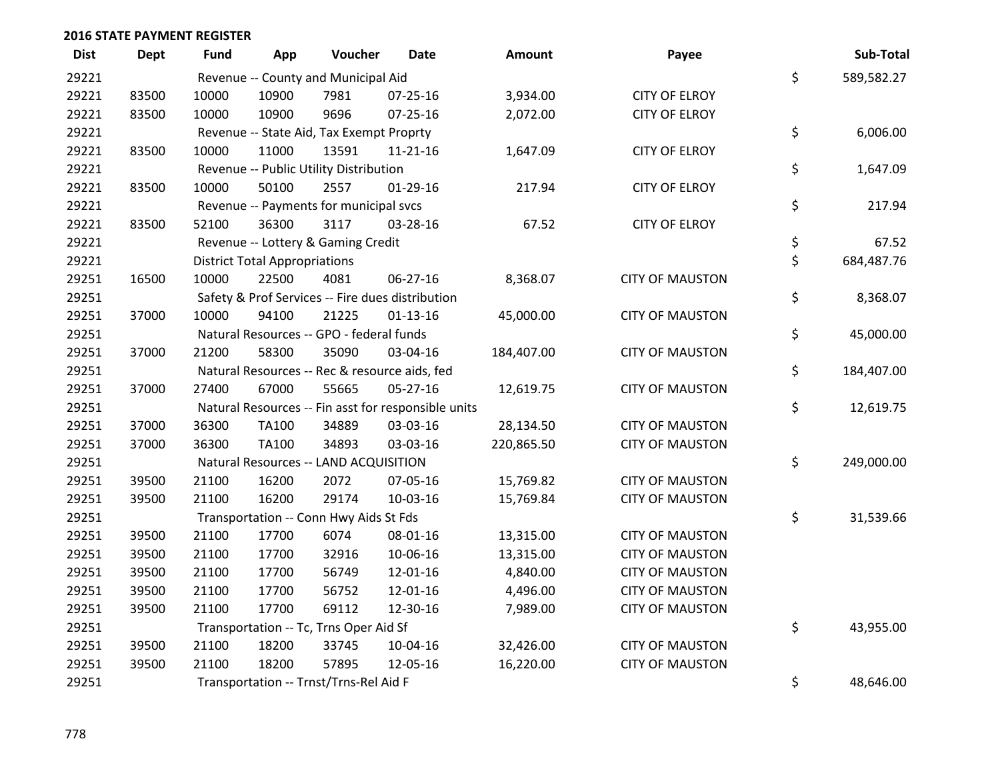| <b>Dist</b> | <b>Dept</b> | <b>Fund</b> | App                                  | Voucher                                       | <b>Date</b>                                         | Amount     | Payee                  | Sub-Total        |
|-------------|-------------|-------------|--------------------------------------|-----------------------------------------------|-----------------------------------------------------|------------|------------------------|------------------|
| 29221       |             |             |                                      | Revenue -- County and Municipal Aid           |                                                     |            |                        | \$<br>589,582.27 |
| 29221       | 83500       | 10000       | 10900                                | 7981                                          | $07 - 25 - 16$                                      | 3,934.00   | <b>CITY OF ELROY</b>   |                  |
| 29221       | 83500       | 10000       | 10900                                | 9696                                          | $07 - 25 - 16$                                      | 2,072.00   | <b>CITY OF ELROY</b>   |                  |
| 29221       |             |             |                                      | Revenue -- State Aid, Tax Exempt Proprty      |                                                     |            |                        | \$<br>6,006.00   |
| 29221       | 83500       | 10000       | 11000                                | 13591                                         | 11-21-16                                            | 1,647.09   | <b>CITY OF ELROY</b>   |                  |
| 29221       |             |             |                                      | Revenue -- Public Utility Distribution        |                                                     |            |                        | \$<br>1,647.09   |
| 29221       | 83500       | 10000       | 50100                                | 2557                                          | $01 - 29 - 16$                                      | 217.94     | <b>CITY OF ELROY</b>   |                  |
| 29221       |             |             |                                      | Revenue -- Payments for municipal svcs        |                                                     |            |                        | \$<br>217.94     |
| 29221       | 83500       | 52100       | 36300                                | 3117                                          | 03-28-16                                            | 67.52      | <b>CITY OF ELROY</b>   |                  |
| 29221       |             |             |                                      | Revenue -- Lottery & Gaming Credit            |                                                     |            |                        | \$<br>67.52      |
| 29221       |             |             | <b>District Total Appropriations</b> |                                               |                                                     |            |                        | \$<br>684,487.76 |
| 29251       | 16500       | 10000       | 22500                                | 4081                                          | 06-27-16                                            | 8,368.07   | <b>CITY OF MAUSTON</b> |                  |
| 29251       |             |             |                                      |                                               | Safety & Prof Services -- Fire dues distribution    |            |                        | \$<br>8,368.07   |
| 29251       | 37000       | 10000       | 94100                                | 21225                                         | $01-13-16$                                          | 45,000.00  | <b>CITY OF MAUSTON</b> |                  |
| 29251       |             |             |                                      | Natural Resources -- GPO - federal funds      |                                                     |            |                        | \$<br>45,000.00  |
| 29251       | 37000       | 21200       | 58300                                | 35090                                         | 03-04-16                                            | 184,407.00 | <b>CITY OF MAUSTON</b> |                  |
| 29251       |             |             |                                      | Natural Resources -- Rec & resource aids, fed |                                                     |            |                        | \$<br>184,407.00 |
| 29251       | 37000       | 27400       | 67000                                | 55665                                         | 05-27-16                                            | 12,619.75  | <b>CITY OF MAUSTON</b> |                  |
| 29251       |             |             |                                      |                                               | Natural Resources -- Fin asst for responsible units |            |                        | \$<br>12,619.75  |
| 29251       | 37000       | 36300       | TA100                                | 34889                                         | 03-03-16                                            | 28,134.50  | <b>CITY OF MAUSTON</b> |                  |
| 29251       | 37000       | 36300       | TA100                                | 34893                                         | 03-03-16                                            | 220,865.50 | <b>CITY OF MAUSTON</b> |                  |
| 29251       |             |             |                                      | Natural Resources -- LAND ACQUISITION         |                                                     |            |                        | \$<br>249,000.00 |
| 29251       | 39500       | 21100       | 16200                                | 2072                                          | 07-05-16                                            | 15,769.82  | <b>CITY OF MAUSTON</b> |                  |
| 29251       | 39500       | 21100       | 16200                                | 29174                                         | 10-03-16                                            | 15,769.84  | <b>CITY OF MAUSTON</b> |                  |
| 29251       |             |             |                                      | Transportation -- Conn Hwy Aids St Fds        |                                                     |            |                        | \$<br>31,539.66  |
| 29251       | 39500       | 21100       | 17700                                | 6074                                          | 08-01-16                                            | 13,315.00  | <b>CITY OF MAUSTON</b> |                  |
| 29251       | 39500       | 21100       | 17700                                | 32916                                         | 10-06-16                                            | 13,315.00  | <b>CITY OF MAUSTON</b> |                  |
| 29251       | 39500       | 21100       | 17700                                | 56749                                         | 12-01-16                                            | 4,840.00   | <b>CITY OF MAUSTON</b> |                  |
| 29251       | 39500       | 21100       | 17700                                | 56752                                         | 12-01-16                                            | 4,496.00   | <b>CITY OF MAUSTON</b> |                  |
| 29251       | 39500       | 21100       | 17700                                | 69112                                         | 12-30-16                                            | 7,989.00   | <b>CITY OF MAUSTON</b> |                  |
| 29251       |             |             |                                      | Transportation -- Tc, Trns Oper Aid Sf        |                                                     |            |                        | \$<br>43,955.00  |
| 29251       | 39500       | 21100       | 18200                                | 33745                                         | 10-04-16                                            | 32,426.00  | <b>CITY OF MAUSTON</b> |                  |
| 29251       | 39500       | 21100       | 18200                                | 57895                                         | 12-05-16                                            | 16,220.00  | <b>CITY OF MAUSTON</b> |                  |
| 29251       |             |             |                                      | Transportation -- Trnst/Trns-Rel Aid F        |                                                     |            |                        | \$<br>48,646.00  |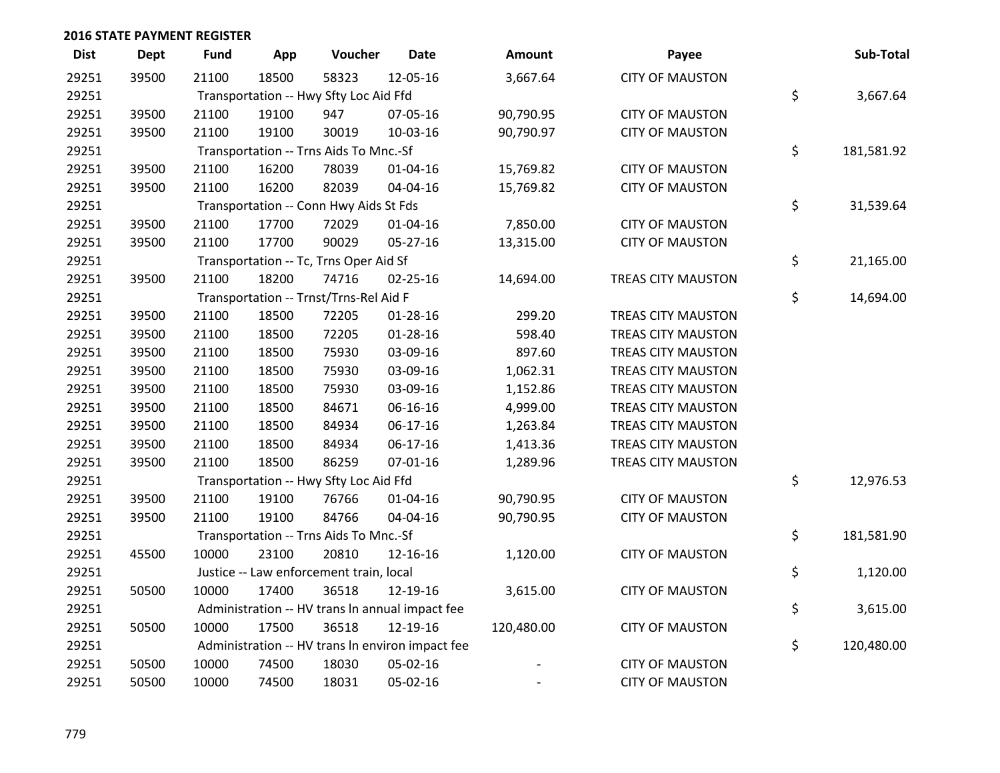| <b>Dist</b> | <b>Dept</b> | <b>Fund</b>                            | App            | Voucher                                 | <b>Date</b>                                      | <b>Amount</b> | Payee                     | Sub-Total        |
|-------------|-------------|----------------------------------------|----------------|-----------------------------------------|--------------------------------------------------|---------------|---------------------------|------------------|
| 29251       | 39500       | 21100                                  | 18500          | 58323                                   | 12-05-16                                         | 3,667.64      | <b>CITY OF MAUSTON</b>    |                  |
| 29251       |             | Transportation -- Hwy Sfty Loc Aid Ffd | \$<br>3,667.64 |                                         |                                                  |               |                           |                  |
| 29251       | 39500       | 21100                                  | 19100          | 947                                     | 07-05-16                                         | 90,790.95     | <b>CITY OF MAUSTON</b>    |                  |
| 29251       | 39500       | 21100                                  | 19100          | 30019                                   | 10-03-16                                         | 90,790.97     | <b>CITY OF MAUSTON</b>    |                  |
| 29251       |             |                                        |                | Transportation -- Trns Aids To Mnc.-Sf  |                                                  |               |                           | \$<br>181,581.92 |
| 29251       | 39500       | 21100                                  | 16200          | 78039                                   | $01 - 04 - 16$                                   | 15,769.82     | <b>CITY OF MAUSTON</b>    |                  |
| 29251       | 39500       | 21100                                  | 16200          | 82039                                   | 04-04-16                                         | 15,769.82     | <b>CITY OF MAUSTON</b>    |                  |
| 29251       |             |                                        |                | Transportation -- Conn Hwy Aids St Fds  |                                                  |               |                           | \$<br>31,539.64  |
| 29251       | 39500       | 21100                                  | 17700          | 72029                                   | $01 - 04 - 16$                                   | 7,850.00      | <b>CITY OF MAUSTON</b>    |                  |
| 29251       | 39500       | 21100                                  | 17700          | 90029                                   | 05-27-16                                         | 13,315.00     | <b>CITY OF MAUSTON</b>    |                  |
| 29251       |             |                                        |                | Transportation -- Tc, Trns Oper Aid Sf  |                                                  |               |                           | \$<br>21,165.00  |
| 29251       | 39500       | 21100                                  | 18200          | 74716                                   | 02-25-16                                         | 14,694.00     | <b>TREAS CITY MAUSTON</b> |                  |
| 29251       |             |                                        |                | Transportation -- Trnst/Trns-Rel Aid F  |                                                  |               |                           | \$<br>14,694.00  |
| 29251       | 39500       | 21100                                  | 18500          | 72205                                   | $01 - 28 - 16$                                   | 299.20        | <b>TREAS CITY MAUSTON</b> |                  |
| 29251       | 39500       | 21100                                  | 18500          | 72205                                   | $01 - 28 - 16$                                   | 598.40        | <b>TREAS CITY MAUSTON</b> |                  |
| 29251       | 39500       | 21100                                  | 18500          | 75930                                   | 03-09-16                                         | 897.60        | <b>TREAS CITY MAUSTON</b> |                  |
| 29251       | 39500       | 21100                                  | 18500          | 75930                                   | 03-09-16                                         | 1,062.31      | <b>TREAS CITY MAUSTON</b> |                  |
| 29251       | 39500       | 21100                                  | 18500          | 75930                                   | 03-09-16                                         | 1,152.86      | <b>TREAS CITY MAUSTON</b> |                  |
| 29251       | 39500       | 21100                                  | 18500          | 84671                                   | 06-16-16                                         | 4,999.00      | <b>TREAS CITY MAUSTON</b> |                  |
| 29251       | 39500       | 21100                                  | 18500          | 84934                                   | 06-17-16                                         | 1,263.84      | <b>TREAS CITY MAUSTON</b> |                  |
| 29251       | 39500       | 21100                                  | 18500          | 84934                                   | 06-17-16                                         | 1,413.36      | <b>TREAS CITY MAUSTON</b> |                  |
| 29251       | 39500       | 21100                                  | 18500          | 86259                                   | $07 - 01 - 16$                                   | 1,289.96      | <b>TREAS CITY MAUSTON</b> |                  |
| 29251       |             |                                        |                | Transportation -- Hwy Sfty Loc Aid Ffd  |                                                  |               |                           | \$<br>12,976.53  |
| 29251       | 39500       | 21100                                  | 19100          | 76766                                   | $01 - 04 - 16$                                   | 90,790.95     | <b>CITY OF MAUSTON</b>    |                  |
| 29251       | 39500       | 21100                                  | 19100          | 84766                                   | 04-04-16                                         | 90,790.95     | <b>CITY OF MAUSTON</b>    |                  |
| 29251       |             |                                        |                | Transportation -- Trns Aids To Mnc.-Sf  |                                                  |               |                           | \$<br>181,581.90 |
| 29251       | 45500       | 10000                                  | 23100          | 20810                                   | 12-16-16                                         | 1,120.00      | <b>CITY OF MAUSTON</b>    |                  |
| 29251       |             |                                        |                | Justice -- Law enforcement train, local |                                                  |               |                           | \$<br>1,120.00   |
| 29251       | 50500       | 10000                                  | 17400          | 36518                                   | 12-19-16                                         | 3,615.00      | <b>CITY OF MAUSTON</b>    |                  |
| 29251       |             |                                        |                |                                         | Administration -- HV trans In annual impact fee  |               |                           | \$<br>3,615.00   |
| 29251       | 50500       | 10000                                  | 17500          | 36518                                   | 12-19-16                                         | 120,480.00    | <b>CITY OF MAUSTON</b>    |                  |
| 29251       |             |                                        |                |                                         | Administration -- HV trans In environ impact fee |               |                           | \$<br>120,480.00 |
| 29251       | 50500       | 10000                                  | 74500          | 18030                                   | 05-02-16                                         |               | <b>CITY OF MAUSTON</b>    |                  |
| 29251       | 50500       | 10000                                  | 74500          | 18031                                   | 05-02-16                                         |               | <b>CITY OF MAUSTON</b>    |                  |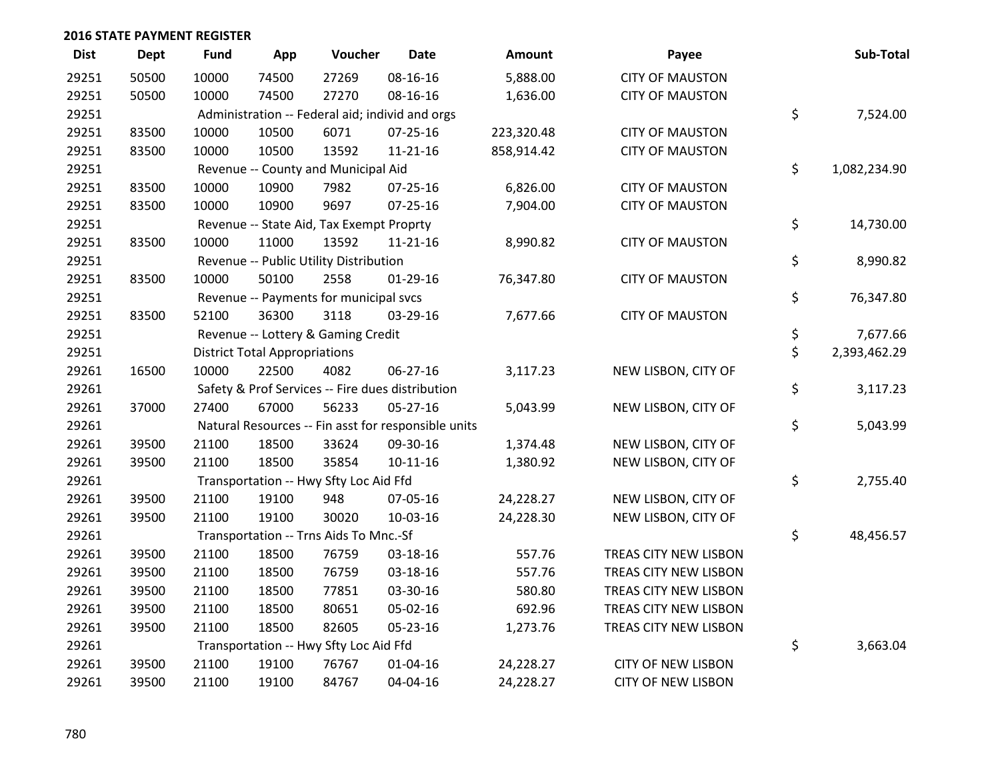| <b>Dist</b> | <b>Dept</b> | <b>Fund</b> | App                                             | Voucher                                  | <b>Date</b>                                         | Amount     | Payee                     |    | Sub-Total    |  |
|-------------|-------------|-------------|-------------------------------------------------|------------------------------------------|-----------------------------------------------------|------------|---------------------------|----|--------------|--|
| 29251       | 50500       | 10000       | 74500                                           | 27269                                    | 08-16-16                                            | 5,888.00   | <b>CITY OF MAUSTON</b>    |    |              |  |
| 29251       | 50500       | 10000       | 74500                                           | 27270                                    | 08-16-16                                            | 1,636.00   | <b>CITY OF MAUSTON</b>    |    |              |  |
| 29251       |             |             | Administration -- Federal aid; individ and orgs |                                          |                                                     |            |                           |    |              |  |
| 29251       | 83500       | 10000       | 10500                                           | 6071                                     | $07 - 25 - 16$                                      | 223,320.48 | <b>CITY OF MAUSTON</b>    |    |              |  |
| 29251       | 83500       | 10000       | 10500                                           | 13592                                    | $11 - 21 - 16$                                      | 858,914.42 | <b>CITY OF MAUSTON</b>    |    |              |  |
| 29251       |             |             |                                                 | Revenue -- County and Municipal Aid      |                                                     |            |                           | \$ | 1,082,234.90 |  |
| 29251       | 83500       | 10000       | 10900                                           | 7982                                     | 07-25-16                                            | 6,826.00   | <b>CITY OF MAUSTON</b>    |    |              |  |
| 29251       | 83500       | 10000       | 10900                                           | 9697                                     | $07 - 25 - 16$                                      | 7,904.00   | <b>CITY OF MAUSTON</b>    |    |              |  |
| 29251       |             |             |                                                 | Revenue -- State Aid, Tax Exempt Proprty |                                                     |            |                           | \$ | 14,730.00    |  |
| 29251       | 83500       | 10000       | 11000                                           | 13592                                    | $11 - 21 - 16$                                      | 8,990.82   | <b>CITY OF MAUSTON</b>    |    |              |  |
| 29251       |             |             |                                                 | Revenue -- Public Utility Distribution   |                                                     |            |                           | \$ | 8,990.82     |  |
| 29251       | 83500       | 10000       | 50100                                           | 2558                                     | $01-29-16$                                          | 76,347.80  | <b>CITY OF MAUSTON</b>    |    |              |  |
| 29251       |             |             |                                                 | Revenue -- Payments for municipal svcs   |                                                     |            |                           | \$ | 76,347.80    |  |
| 29251       | 83500       | 52100       | 36300                                           | 3118                                     | 03-29-16                                            | 7,677.66   | <b>CITY OF MAUSTON</b>    |    |              |  |
| 29251       |             |             |                                                 | Revenue -- Lottery & Gaming Credit       |                                                     |            |                           | \$ | 7,677.66     |  |
| 29251       |             |             | <b>District Total Appropriations</b>            |                                          |                                                     |            |                           | \$ | 2,393,462.29 |  |
| 29261       | 16500       | 10000       | 22500                                           | 4082                                     | 06-27-16                                            | 3,117.23   | NEW LISBON, CITY OF       |    |              |  |
| 29261       |             |             |                                                 |                                          | Safety & Prof Services -- Fire dues distribution    |            |                           | \$ | 3,117.23     |  |
| 29261       | 37000       | 27400       | 67000                                           | 56233                                    | 05-27-16                                            | 5,043.99   | NEW LISBON, CITY OF       |    |              |  |
| 29261       |             |             |                                                 |                                          | Natural Resources -- Fin asst for responsible units |            |                           | \$ | 5,043.99     |  |
| 29261       | 39500       | 21100       | 18500                                           | 33624                                    | 09-30-16                                            | 1,374.48   | NEW LISBON, CITY OF       |    |              |  |
| 29261       | 39500       | 21100       | 18500                                           | 35854                                    | $10 - 11 - 16$                                      | 1,380.92   | NEW LISBON, CITY OF       |    |              |  |
| 29261       |             |             |                                                 | Transportation -- Hwy Sfty Loc Aid Ffd   |                                                     |            |                           | \$ | 2,755.40     |  |
| 29261       | 39500       | 21100       | 19100                                           | 948                                      | 07-05-16                                            | 24,228.27  | NEW LISBON, CITY OF       |    |              |  |
| 29261       | 39500       | 21100       | 19100                                           | 30020                                    | 10-03-16                                            | 24,228.30  | NEW LISBON, CITY OF       |    |              |  |
| 29261       |             |             |                                                 | Transportation -- Trns Aids To Mnc.-Sf   |                                                     |            |                           | \$ | 48,456.57    |  |
| 29261       | 39500       | 21100       | 18500                                           | 76759                                    | 03-18-16                                            | 557.76     | TREAS CITY NEW LISBON     |    |              |  |
| 29261       | 39500       | 21100       | 18500                                           | 76759                                    | 03-18-16                                            | 557.76     | TREAS CITY NEW LISBON     |    |              |  |
| 29261       | 39500       | 21100       | 18500                                           | 77851                                    | 03-30-16                                            | 580.80     | TREAS CITY NEW LISBON     |    |              |  |
| 29261       | 39500       | 21100       | 18500                                           | 80651                                    | 05-02-16                                            | 692.96     | TREAS CITY NEW LISBON     |    |              |  |
| 29261       | 39500       | 21100       | 18500                                           | 82605                                    | 05-23-16                                            | 1,273.76   | TREAS CITY NEW LISBON     |    |              |  |
| 29261       |             |             |                                                 | Transportation -- Hwy Sfty Loc Aid Ffd   |                                                     |            |                           | \$ | 3,663.04     |  |
| 29261       | 39500       | 21100       | 19100                                           | 76767                                    | $01 - 04 - 16$                                      | 24,228.27  | <b>CITY OF NEW LISBON</b> |    |              |  |
| 29261       | 39500       | 21100       | 19100                                           | 84767                                    | 04-04-16                                            | 24,228.27  | <b>CITY OF NEW LISBON</b> |    |              |  |